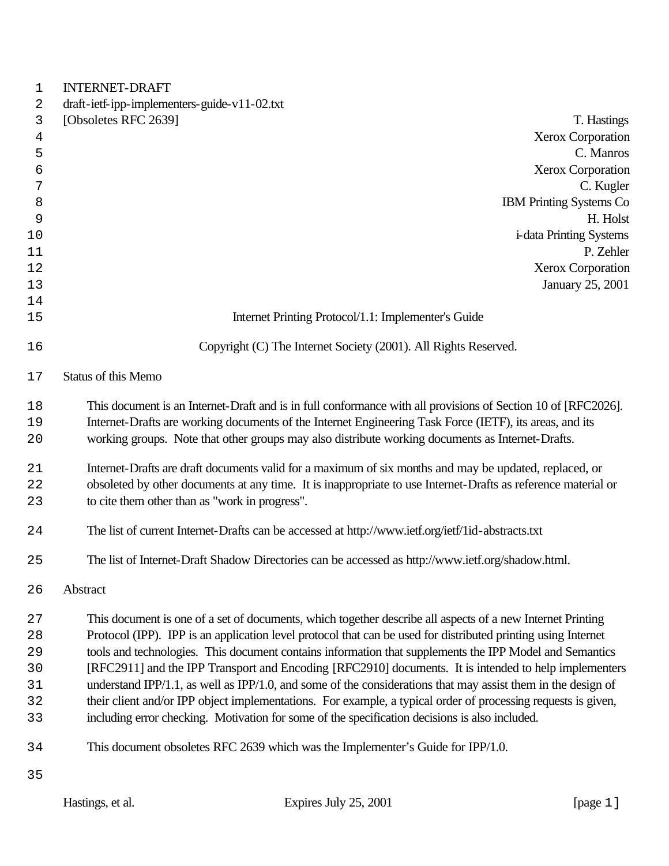| $\mathbf{1}$   | <b>INTERNET-DRAFT</b>                                                                                         |
|----------------|---------------------------------------------------------------------------------------------------------------|
| 2              | draft-ietf-ipp-implementers-guide-v11-02.txt                                                                  |
| 3              | [Obsoletes RFC 2639]<br>T. Hastings                                                                           |
| $\overline{4}$ | <b>Xerox Corporation</b>                                                                                      |
| 5              | C. Manros                                                                                                     |
| 6              | <b>Xerox Corporation</b>                                                                                      |
| 7              | C. Kugler                                                                                                     |
| 8              | <b>IBM Printing Systems Co</b>                                                                                |
| 9              | H. Holst                                                                                                      |
| 10             | <i>i</i> -data Printing Systems                                                                               |
| 11             | P. Zehler                                                                                                     |
| 12             | <b>Xerox Corporation</b>                                                                                      |
| 13             | January 25, 2001                                                                                              |
| 14             |                                                                                                               |
| 15             | Internet Printing Protocol/1.1: Implementer's Guide                                                           |
| 16             | Copyright (C) The Internet Society (2001). All Rights Reserved.                                               |
| 17             | <b>Status of this Memo</b>                                                                                    |
| 18             | This document is an Internet-Draft and is in full conformance with all provisions of Section 10 of [RFC2026]. |
| 19             | Internet-Drafts are working documents of the Internet Engineering Task Force (IETF), its areas, and its       |
| 20             | working groups. Note that other groups may also distribute working documents as Internet-Drafts.              |
| 21             | Internet-Drafts are draft documents valid for a maximum of six months and may be updated, replaced, or        |
| 22             | obsoleted by other documents at any time. It is inappropriate to use Internet-Drafts as reference material or |
| 23             | to cite them other than as "work in progress".                                                                |
| 24             | The list of current Internet-Drafts can be accessed at http://www.ietf.org/ietf/1id-abstracts.txt             |
| 25             | The list of Internet-Draft Shadow Directories can be accessed as http://www.ietf.org/shadow.html.             |
| 26             | Abstract                                                                                                      |
| 27             | This document is one of a set of documents, which together describe all aspects of a new Internet Printing    |
| 28             | Protocol (IPP). IPP is an application level protocol that can be used for distributed printing using Internet |
| 29             | tools and technologies. This document contains information that supplements the IPP Model and Semantics       |
| 30             | [RFC2911] and the IPP Transport and Encoding [RFC2910] documents. It is intended to help implementers         |
| 31             | understand IPP/1.1, as well as IPP/1.0, and some of the considerations that may assist them in the design of  |
| 32             | their client and/or IPP object implementations. For example, a typical order of processing requests is given, |
| 33             | including error checking. Motivation for some of the specification decisions is also included.                |
| 34             | This document obsoletes RFC 2639 which was the Implementer's Guide for IPP/1.0.                               |
| 35             |                                                                                                               |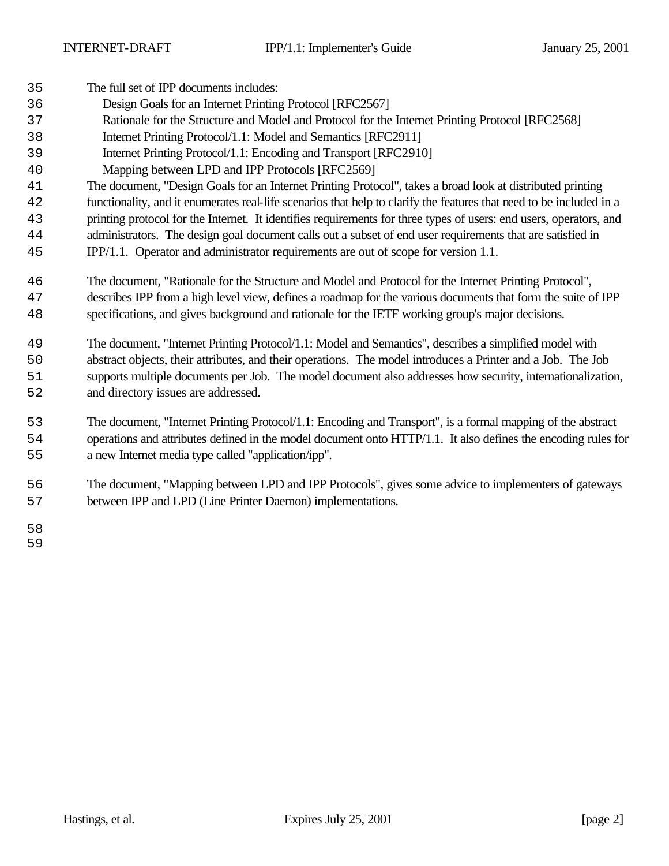| 35 | The full set of IPP documents includes:                                                                              |
|----|----------------------------------------------------------------------------------------------------------------------|
| 36 | Design Goals for an Internet Printing Protocol [RFC2567]                                                             |
| 37 | Rationale for the Structure and Model and Protocol for the Internet Printing Protocol [RFC2568]                      |
| 38 | Internet Printing Protocol/1.1: Model and Semantics [RFC2911]                                                        |
| 39 | Internet Printing Protocol/1.1: Encoding and Transport [RFC2910]                                                     |
| 40 | Mapping between LPD and IPP Protocols [RFC2569]                                                                      |
| 41 | The document, "Design Goals for an Internet Printing Protocol", takes a broad look at distributed printing           |
| 42 | functionality, and it enumerates real-life scenarios that help to clarify the features that need to be included in a |
| 43 | printing protocol for the Internet. It identifies requirements for three types of users: end users, operators, and   |
| 44 | administrators. The design goal document calls out a subset of end user requirements that are satisfied in           |
| 45 | IPP/1.1. Operator and administrator requirements are out of scope for version 1.1.                                   |
| 46 | The document, "Rationale for the Structure and Model and Protocol for the Internet Printing Protocol",               |
| 47 | describes IPP from a high level view, defines a roadmap for the various documents that form the suite of IPP         |
| 48 | specifications, and gives background and rationale for the IETF working group's major decisions.                     |
| 49 | The document, "Internet Printing Protocol/1.1: Model and Semantics", describes a simplified model with               |
| 50 | abstract objects, their attributes, and their operations. The model introduces a Printer and a Job. The Job          |
| 51 | supports multiple documents per Job. The model document also addresses how security, internationalization,           |
| 52 | and directory issues are addressed.                                                                                  |
| 53 | The document, "Internet Printing Protocol/1.1: Encoding and Transport", is a formal mapping of the abstract          |
| 54 | operations and attributes defined in the model document onto HTTP/1.1. It also defines the encoding rules for        |
| 55 | a new Internet media type called "application/ipp".                                                                  |
| 56 | The document, "Mapping between LPD and IPP Protocols", gives some advice to implementers of gateways                 |
| 57 | between IPP and LPD (Line Printer Daemon) implementations.                                                           |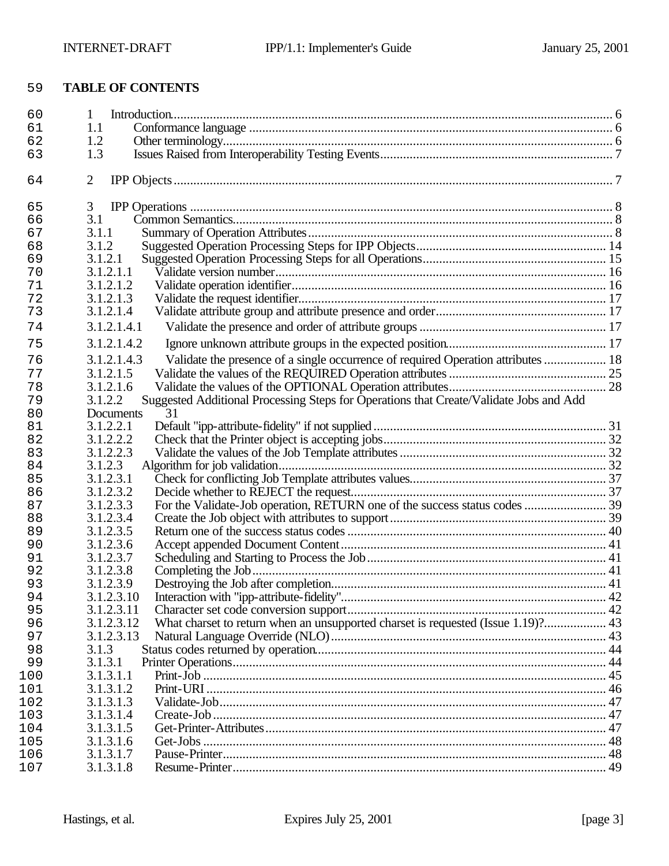# **TABLE OF CONTENTS**

| 1.2<br>62<br>1.3<br>63<br>$\overline{2}$<br>64<br>3<br>65<br>3.1<br>66<br>3.1.1<br>67<br>3.1.2<br>68<br>69<br>3.1.2.1<br>3.1.2.1.1<br>70<br>3.1.2.1.2<br>71<br>72<br>3.1.2.1.3<br>73<br>3.1.2.1.4<br>3.1.2.1.4.1<br>74<br>3.1.2.1.4.2<br>75<br>Validate the presence of a single occurrence of required Operation attributes  18<br>3.1.2.1.4.3<br>76<br>77<br>3.1.2.1.5<br>3.1.2.1.6<br>78<br>Suggested Additional Processing Steps for Operations that Create/Validate Jobs and Add<br>3.1.2.2<br>79<br>31<br>80<br>Documents<br>3.1.2.2.1<br>81<br>82<br>3.1.2.2.2<br>3.1.2.2.3<br>83<br>3.1.2.3<br>84<br>3.1.2.3.1<br>85<br>3.1.2.3.2<br>86<br>3.1.2.3.3<br>87<br>3.1.2.3.4<br>88<br>3.1.2.3.5<br>89<br>3.1.2.3.6<br>90<br>3.1.2.3.7<br>91<br>3.1.2.3.8<br>92<br>93<br>3.1.2.3.9<br>3.1.2.3.10<br>94<br>3.1.2.3.11<br>95<br>What charset to return when an unsupported charset is requested (Issue 1.19)? 43<br>96<br>3.1.2.3.12<br>3.1.2.3.13<br>97<br>98<br>3.1.3<br>99<br>3.1.3.1<br>100<br>3.1.3.1.1<br>101<br>3.1.3.1.2<br>102<br>3.1.3.1.3<br>3.1.3.1.4<br>3.1.3.1.5<br>3.1.3.1.6<br>3.1.3.1.7<br>3.1.3.1.8 | 60  | $\mathbf{1}$ |  |
|-----------------------------------------------------------------------------------------------------------------------------------------------------------------------------------------------------------------------------------------------------------------------------------------------------------------------------------------------------------------------------------------------------------------------------------------------------------------------------------------------------------------------------------------------------------------------------------------------------------------------------------------------------------------------------------------------------------------------------------------------------------------------------------------------------------------------------------------------------------------------------------------------------------------------------------------------------------------------------------------------------------------------------------------------------------------------------------------------------------------------|-----|--------------|--|
|                                                                                                                                                                                                                                                                                                                                                                                                                                                                                                                                                                                                                                                                                                                                                                                                                                                                                                                                                                                                                                                                                                                       | 61  | 1.1          |  |
|                                                                                                                                                                                                                                                                                                                                                                                                                                                                                                                                                                                                                                                                                                                                                                                                                                                                                                                                                                                                                                                                                                                       |     |              |  |
|                                                                                                                                                                                                                                                                                                                                                                                                                                                                                                                                                                                                                                                                                                                                                                                                                                                                                                                                                                                                                                                                                                                       |     |              |  |
|                                                                                                                                                                                                                                                                                                                                                                                                                                                                                                                                                                                                                                                                                                                                                                                                                                                                                                                                                                                                                                                                                                                       |     |              |  |
|                                                                                                                                                                                                                                                                                                                                                                                                                                                                                                                                                                                                                                                                                                                                                                                                                                                                                                                                                                                                                                                                                                                       |     |              |  |
|                                                                                                                                                                                                                                                                                                                                                                                                                                                                                                                                                                                                                                                                                                                                                                                                                                                                                                                                                                                                                                                                                                                       |     |              |  |
|                                                                                                                                                                                                                                                                                                                                                                                                                                                                                                                                                                                                                                                                                                                                                                                                                                                                                                                                                                                                                                                                                                                       |     |              |  |
|                                                                                                                                                                                                                                                                                                                                                                                                                                                                                                                                                                                                                                                                                                                                                                                                                                                                                                                                                                                                                                                                                                                       |     |              |  |
|                                                                                                                                                                                                                                                                                                                                                                                                                                                                                                                                                                                                                                                                                                                                                                                                                                                                                                                                                                                                                                                                                                                       |     |              |  |
|                                                                                                                                                                                                                                                                                                                                                                                                                                                                                                                                                                                                                                                                                                                                                                                                                                                                                                                                                                                                                                                                                                                       |     |              |  |
|                                                                                                                                                                                                                                                                                                                                                                                                                                                                                                                                                                                                                                                                                                                                                                                                                                                                                                                                                                                                                                                                                                                       |     |              |  |
|                                                                                                                                                                                                                                                                                                                                                                                                                                                                                                                                                                                                                                                                                                                                                                                                                                                                                                                                                                                                                                                                                                                       |     |              |  |
|                                                                                                                                                                                                                                                                                                                                                                                                                                                                                                                                                                                                                                                                                                                                                                                                                                                                                                                                                                                                                                                                                                                       |     |              |  |
|                                                                                                                                                                                                                                                                                                                                                                                                                                                                                                                                                                                                                                                                                                                                                                                                                                                                                                                                                                                                                                                                                                                       |     |              |  |
|                                                                                                                                                                                                                                                                                                                                                                                                                                                                                                                                                                                                                                                                                                                                                                                                                                                                                                                                                                                                                                                                                                                       |     |              |  |
|                                                                                                                                                                                                                                                                                                                                                                                                                                                                                                                                                                                                                                                                                                                                                                                                                                                                                                                                                                                                                                                                                                                       |     |              |  |
|                                                                                                                                                                                                                                                                                                                                                                                                                                                                                                                                                                                                                                                                                                                                                                                                                                                                                                                                                                                                                                                                                                                       |     |              |  |
|                                                                                                                                                                                                                                                                                                                                                                                                                                                                                                                                                                                                                                                                                                                                                                                                                                                                                                                                                                                                                                                                                                                       |     |              |  |
|                                                                                                                                                                                                                                                                                                                                                                                                                                                                                                                                                                                                                                                                                                                                                                                                                                                                                                                                                                                                                                                                                                                       |     |              |  |
|                                                                                                                                                                                                                                                                                                                                                                                                                                                                                                                                                                                                                                                                                                                                                                                                                                                                                                                                                                                                                                                                                                                       |     |              |  |
|                                                                                                                                                                                                                                                                                                                                                                                                                                                                                                                                                                                                                                                                                                                                                                                                                                                                                                                                                                                                                                                                                                                       |     |              |  |
|                                                                                                                                                                                                                                                                                                                                                                                                                                                                                                                                                                                                                                                                                                                                                                                                                                                                                                                                                                                                                                                                                                                       |     |              |  |
|                                                                                                                                                                                                                                                                                                                                                                                                                                                                                                                                                                                                                                                                                                                                                                                                                                                                                                                                                                                                                                                                                                                       |     |              |  |
|                                                                                                                                                                                                                                                                                                                                                                                                                                                                                                                                                                                                                                                                                                                                                                                                                                                                                                                                                                                                                                                                                                                       |     |              |  |
|                                                                                                                                                                                                                                                                                                                                                                                                                                                                                                                                                                                                                                                                                                                                                                                                                                                                                                                                                                                                                                                                                                                       |     |              |  |
|                                                                                                                                                                                                                                                                                                                                                                                                                                                                                                                                                                                                                                                                                                                                                                                                                                                                                                                                                                                                                                                                                                                       |     |              |  |
|                                                                                                                                                                                                                                                                                                                                                                                                                                                                                                                                                                                                                                                                                                                                                                                                                                                                                                                                                                                                                                                                                                                       |     |              |  |
|                                                                                                                                                                                                                                                                                                                                                                                                                                                                                                                                                                                                                                                                                                                                                                                                                                                                                                                                                                                                                                                                                                                       |     |              |  |
|                                                                                                                                                                                                                                                                                                                                                                                                                                                                                                                                                                                                                                                                                                                                                                                                                                                                                                                                                                                                                                                                                                                       |     |              |  |
|                                                                                                                                                                                                                                                                                                                                                                                                                                                                                                                                                                                                                                                                                                                                                                                                                                                                                                                                                                                                                                                                                                                       |     |              |  |
|                                                                                                                                                                                                                                                                                                                                                                                                                                                                                                                                                                                                                                                                                                                                                                                                                                                                                                                                                                                                                                                                                                                       |     |              |  |
|                                                                                                                                                                                                                                                                                                                                                                                                                                                                                                                                                                                                                                                                                                                                                                                                                                                                                                                                                                                                                                                                                                                       |     |              |  |
|                                                                                                                                                                                                                                                                                                                                                                                                                                                                                                                                                                                                                                                                                                                                                                                                                                                                                                                                                                                                                                                                                                                       |     |              |  |
|                                                                                                                                                                                                                                                                                                                                                                                                                                                                                                                                                                                                                                                                                                                                                                                                                                                                                                                                                                                                                                                                                                                       |     |              |  |
|                                                                                                                                                                                                                                                                                                                                                                                                                                                                                                                                                                                                                                                                                                                                                                                                                                                                                                                                                                                                                                                                                                                       |     |              |  |
|                                                                                                                                                                                                                                                                                                                                                                                                                                                                                                                                                                                                                                                                                                                                                                                                                                                                                                                                                                                                                                                                                                                       |     |              |  |
|                                                                                                                                                                                                                                                                                                                                                                                                                                                                                                                                                                                                                                                                                                                                                                                                                                                                                                                                                                                                                                                                                                                       |     |              |  |
|                                                                                                                                                                                                                                                                                                                                                                                                                                                                                                                                                                                                                                                                                                                                                                                                                                                                                                                                                                                                                                                                                                                       |     |              |  |
|                                                                                                                                                                                                                                                                                                                                                                                                                                                                                                                                                                                                                                                                                                                                                                                                                                                                                                                                                                                                                                                                                                                       |     |              |  |
|                                                                                                                                                                                                                                                                                                                                                                                                                                                                                                                                                                                                                                                                                                                                                                                                                                                                                                                                                                                                                                                                                                                       |     |              |  |
|                                                                                                                                                                                                                                                                                                                                                                                                                                                                                                                                                                                                                                                                                                                                                                                                                                                                                                                                                                                                                                                                                                                       |     |              |  |
|                                                                                                                                                                                                                                                                                                                                                                                                                                                                                                                                                                                                                                                                                                                                                                                                                                                                                                                                                                                                                                                                                                                       | 103 |              |  |
|                                                                                                                                                                                                                                                                                                                                                                                                                                                                                                                                                                                                                                                                                                                                                                                                                                                                                                                                                                                                                                                                                                                       | 104 |              |  |
|                                                                                                                                                                                                                                                                                                                                                                                                                                                                                                                                                                                                                                                                                                                                                                                                                                                                                                                                                                                                                                                                                                                       | 105 |              |  |
|                                                                                                                                                                                                                                                                                                                                                                                                                                                                                                                                                                                                                                                                                                                                                                                                                                                                                                                                                                                                                                                                                                                       | 106 |              |  |
|                                                                                                                                                                                                                                                                                                                                                                                                                                                                                                                                                                                                                                                                                                                                                                                                                                                                                                                                                                                                                                                                                                                       | 107 |              |  |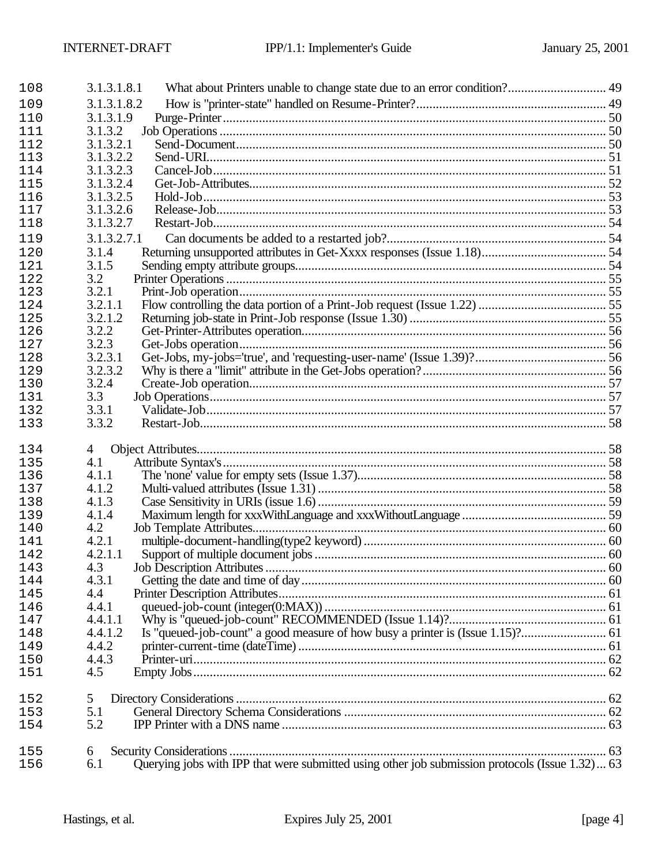| 108 | 3.1.3.1.8.1                                                                                            |  |
|-----|--------------------------------------------------------------------------------------------------------|--|
| 109 | 3.1.3.1.8.2                                                                                            |  |
| 110 | 3.1.3.1.9                                                                                              |  |
| 111 | 3.1.3.2                                                                                                |  |
| 112 | 3.1.3.2.1                                                                                              |  |
| 113 | 3.1.3.2.2                                                                                              |  |
| 114 | 3.1.3.2.3                                                                                              |  |
| 115 | 3.1.3.2.4                                                                                              |  |
| 116 | 3.1.3.2.5                                                                                              |  |
| 117 | 3.1.3.2.6                                                                                              |  |
| 118 | 3.1.3.2.7                                                                                              |  |
| 119 | 3.1.3.2.7.1                                                                                            |  |
| 120 | 3.1.4                                                                                                  |  |
| 121 | 3.1.5                                                                                                  |  |
| 122 | 3.2                                                                                                    |  |
| 123 | 3.2.1                                                                                                  |  |
| 124 | 3.2.1.1                                                                                                |  |
| 125 | 3.2.1.2                                                                                                |  |
| 126 | 3.2.2                                                                                                  |  |
| 127 | 3.2.3                                                                                                  |  |
| 128 | 3.2.3.1                                                                                                |  |
| 129 | 3.2.3.2                                                                                                |  |
| 130 | 3.2.4                                                                                                  |  |
| 131 | 3.3                                                                                                    |  |
| 132 | 3.3.1                                                                                                  |  |
| 133 | 3.3.2                                                                                                  |  |
| 134 | $\overline{4}$                                                                                         |  |
| 135 | 4.1                                                                                                    |  |
| 136 | 4.1.1                                                                                                  |  |
| 137 | 4.1.2                                                                                                  |  |
| 138 | 4.1.3                                                                                                  |  |
| 139 | 4.1.4                                                                                                  |  |
| 140 | 4.2                                                                                                    |  |
| 141 | 4.2.1                                                                                                  |  |
| 142 | 4.2.1.1                                                                                                |  |
| 143 | 4.3                                                                                                    |  |
| 144 | 4.3.1                                                                                                  |  |
| 145 | 4.4                                                                                                    |  |
| 146 | 4.4.1                                                                                                  |  |
| 147 | 4.4.1.1                                                                                                |  |
| 148 | 4.4.1.2                                                                                                |  |
| 149 | 4.4.2                                                                                                  |  |
| 150 | 4.4.3                                                                                                  |  |
| 151 | 4.5                                                                                                    |  |
|     |                                                                                                        |  |
| 152 | 5                                                                                                      |  |
| 153 | 5.1                                                                                                    |  |
| 154 | 5.2                                                                                                    |  |
| 155 | 6                                                                                                      |  |
| 156 | Querying jobs with IPP that were submitted using other job submission protocols (Issue 1.32) 63<br>6.1 |  |
|     |                                                                                                        |  |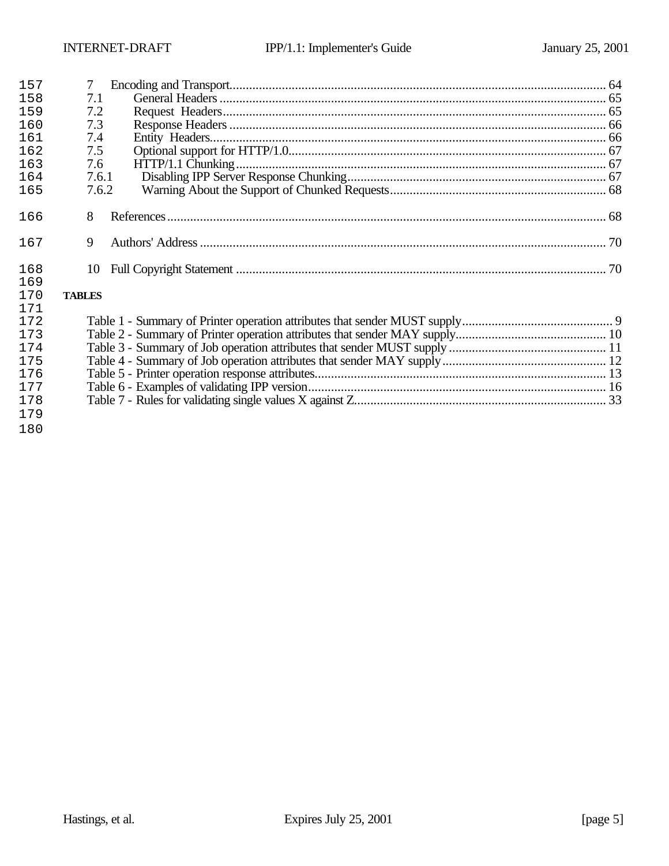| 157 | 7             |  |
|-----|---------------|--|
| 158 | 7.1           |  |
| 159 | 7.2           |  |
| 160 | 7.3           |  |
| 161 | 7.4           |  |
| 162 | 7.5           |  |
| 163 | 7.6           |  |
| 164 | 7.6.1         |  |
| 165 | 7.6.2         |  |
|     |               |  |
| 166 | 8             |  |
|     |               |  |
| 167 | 9             |  |
|     |               |  |
| 168 | 10            |  |
| 169 |               |  |
| 170 | <b>TABLES</b> |  |
| 171 |               |  |
| 172 |               |  |
| 173 |               |  |
| 174 |               |  |
| 175 |               |  |
| 176 |               |  |
| 177 |               |  |
| 178 |               |  |
| 179 |               |  |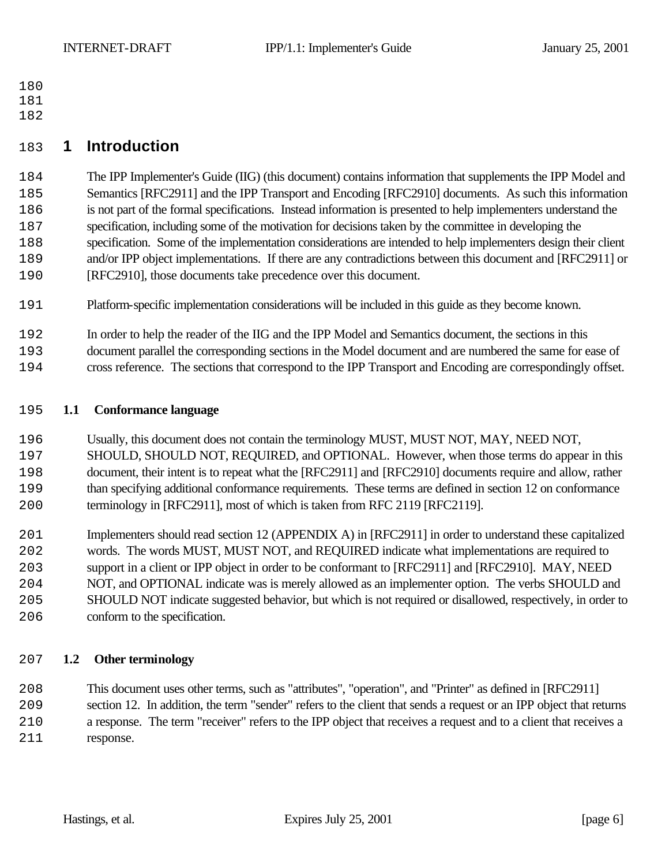- 
- 
- 

# **1 Introduction**

 The IPP Implementer's Guide (IIG) (this document) contains information that supplements the IPP Model and Semantics [RFC2911] and the IPP Transport and Encoding [RFC2910] documents. As such this information is not part of the formal specifications. Instead information is presented to help implementers understand the specification, including some of the motivation for decisions taken by the committee in developing the specification. Some of the implementation considerations are intended to help implementers design their client and/or IPP object implementations. If there are any contradictions between this document and [RFC2911] or [RFC2910], those documents take precedence over this document.

- Platform-specific implementation considerations will be included in this guide as they become known.
- In order to help the reader of the IIG and the IPP Model and Semantics document, the sections in this
- document parallel the corresponding sections in the Model document and are numbered the same for ease of
- cross reference. The sections that correspond to the IPP Transport and Encoding are correspondingly offset.

#### **1.1 Conformance language**

- Usually, this document does not contain the terminology MUST, MUST NOT, MAY, NEED NOT, SHOULD, SHOULD NOT, REQUIRED, and OPTIONAL. However, when those terms do appear in this document, their intent is to repeat what the [RFC2911] and [RFC2910] documents require and allow, rather than specifying additional conformance requirements. These terms are defined in section 12 on conformance terminology in [RFC2911], most of which is taken from RFC 2119 [RFC2119].
- Implementers should read section 12 (APPENDIX A) in [RFC2911] in order to understand these capitalized words. The words MUST, MUST NOT, and REQUIRED indicate what implementations are required to support in a client or IPP object in order to be conformant to [RFC2911] and [RFC2910]. MAY, NEED NOT, and OPTIONAL indicate was is merely allowed as an implementer option. The verbs SHOULD and SHOULD NOT indicate suggested behavior, but which is not required or disallowed, respectively, in order to conform to the specification.

## **1.2 Other terminology**

 This document uses other terms, such as "attributes", "operation", and "Printer" as defined in [RFC2911] section 12. In addition, the term "sender" refers to the client that sends a request or an IPP object that returns a response. The term "receiver" refers to the IPP object that receives a request and to a client that receives a response.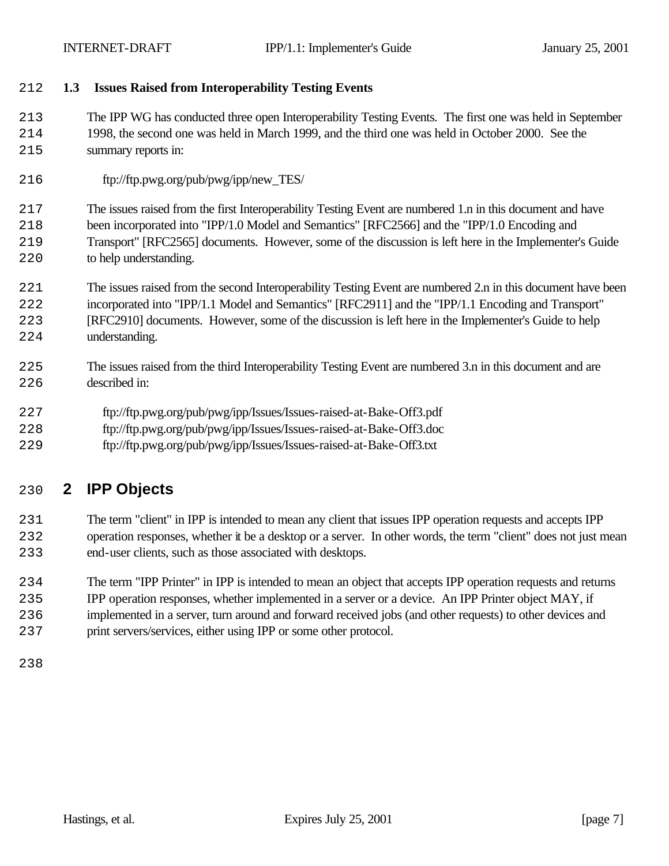# **1.3 Issues Raised from Interoperability Testing Events**

 The IPP WG has conducted three open Interoperability Testing Events. The first one was held in September 1998, the second one was held in March 1999, and the third one was held in October 2000. See the summary reports in:

ftp://ftp.pwg.org/pub/pwg/ipp/new\_TES/

 The issues raised from the first Interoperability Testing Event are numbered 1.n in this document and have been incorporated into "IPP/1.0 Model and Semantics" [RFC2566] and the "IPP/1.0 Encoding and Transport" [RFC2565] documents. However, some of the discussion is left here in the Implementer's Guide to help understanding.

- The issues raised from the second Interoperability Testing Event are numbered 2.n in this document have been
- incorporated into "IPP/1.1 Model and Semantics" [RFC2911] and the "IPP/1.1 Encoding and Transport"
- [RFC2910] documents. However, some of the discussion is left here in the Implementer's Guide to help understanding.
- The issues raised from the third Interoperability Testing Event are numbered 3.n in this document and are described in:
- ftp://ftp.pwg.org/pub/pwg/ipp/Issues/Issues-raised-at-Bake-Off3.pdf
- ftp://ftp.pwg.org/pub/pwg/ipp/Issues/Issues-raised-at-Bake-Off3.doc
- ftp://ftp.pwg.org/pub/pwg/ipp/Issues/Issues-raised-at-Bake-Off3.txt

# **2 IPP Objects**

- The term "client" in IPP is intended to mean any client that issues IPP operation requests and accepts IPP operation responses, whether it be a desktop or a server. In other words, the term "client" does not just mean end-user clients, such as those associated with desktops.
- The term "IPP Printer" in IPP is intended to mean an object that accepts IPP operation requests and returns IPP operation responses, whether implemented in a server or a device. An IPP Printer object MAY, if
- implemented in a server, turn around and forward received jobs (and other requests) to other devices and
- print servers/services, either using IPP or some other protocol.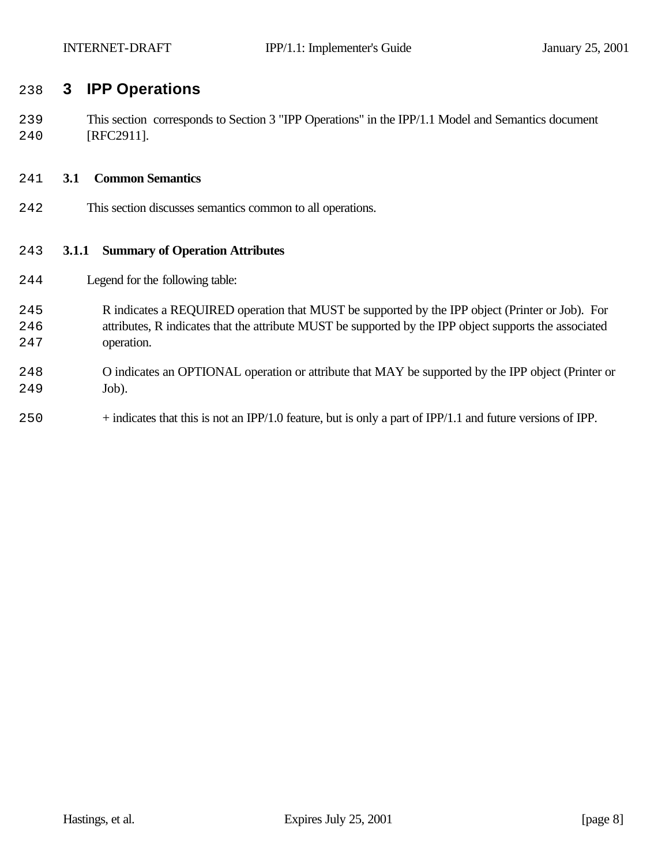# **3 IPP Operations**

 This section corresponds to Section 3 "IPP Operations" in the IPP/1.1 Model and Semantics document [RFC2911].

#### **3.1 Common Semantics**

This section discusses semantics common to all operations.

#### **3.1.1 Summary of Operation Attributes**

- Legend for the following table:
- R indicates a REQUIRED operation that MUST be supported by the IPP object (Printer or Job). For attributes, R indicates that the attribute MUST be supported by the IPP object supports the associated operation.
- O indicates an OPTIONAL operation or attribute that MAY be supported by the IPP object (Printer or Job).
- + indicates that this is not an IPP/1.0 feature, but is only a part of IPP/1.1 and future versions of IPP.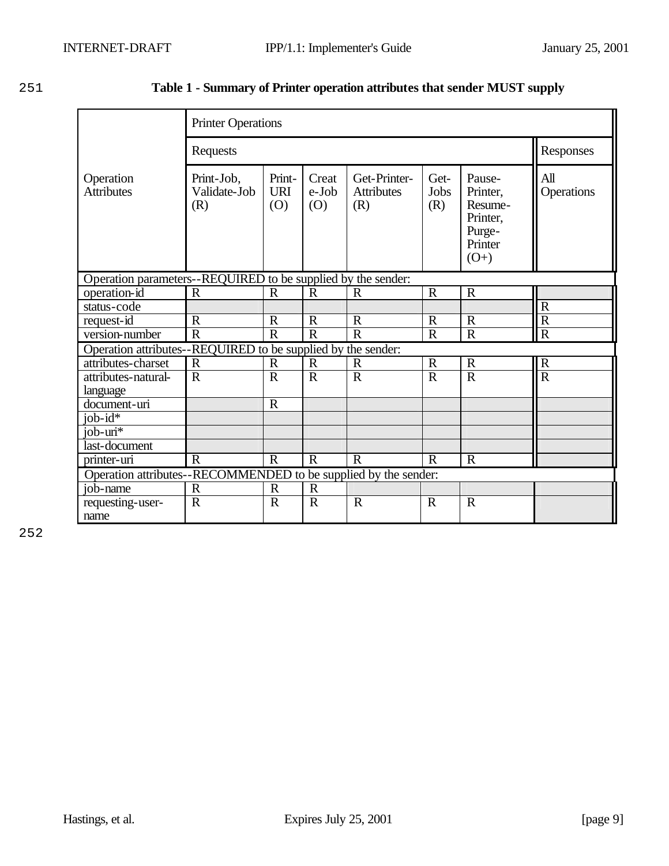Responses

All

|                                | <b>Printer Operations</b>         |                        |                       |                                          |                     |                                                                   |  |  |  |
|--------------------------------|-----------------------------------|------------------------|-----------------------|------------------------------------------|---------------------|-------------------------------------------------------------------|--|--|--|
|                                | Requests                          |                        |                       |                                          |                     |                                                                   |  |  |  |
| Operation<br><b>Attributes</b> | Print-Job,<br>Validate-Job<br>(R) | Print-<br>  URI<br>(O) | Creat<br>e-Job<br>(0) | Get-Printer-<br><b>Attributes</b><br>(R) | Get-<br>Jobs<br>(R) | Pause-<br>Printer<br>Resum<br>Printer<br>Purge-<br>$\mathbf{r}$ . |  |  |  |

# 251 **Table 1 - Summary of Printer operation attributes that sender MUST supply**

| <b>Attributes</b>                                               | Validate-Job<br>(R) | <b>URI</b><br>(0) | e-Job<br>(0) | <b>Attributes</b><br>(R) | Jobs<br>(R)  | Printer,<br>Resume-<br>Printer,<br>Purge-<br>Printer<br>$(O+)$ | Operations              |
|-----------------------------------------------------------------|---------------------|-------------------|--------------|--------------------------|--------------|----------------------------------------------------------------|-------------------------|
| Operation parameters--REQUIRED to be supplied by the sender:    |                     |                   |              |                          |              |                                                                |                         |
| operation-id                                                    | $\mathbf R$         | $\mathbf R$       | $\mathbb{R}$ | $\mathbf R$              | $\mathbf R$  | $\mathbf R$                                                    |                         |
| status-code                                                     |                     |                   |              |                          |              |                                                                | R                       |
| request-id                                                      | $\mathbf R$         | $\mathbf R$       | $\mathbf R$  | $\mathbf R$              | $\mathbb{R}$ | $\mathbf R$                                                    | $\overline{\text{R}}$   |
| version-number                                                  | $\mathbf R$         | $\mathbf R$       | $\mathbf R$  | $\mathbf R$              | $\mathbf R$  | $\mathbf R$                                                    | $\overline{\mathrm{R}}$ |
| Operation attributes--REQUIRED to be supplied by the sender:    |                     |                   |              |                          |              |                                                                |                         |
| attributes-charset                                              | $\mathbf R$         | $\mathbf R$       | $\mathbb{R}$ | $\mathbf R$              | $\mathbb{R}$ | $\mathbf R$                                                    | $\mathbf R$             |
| attributes-natural-                                             | $\mathbf R$         | $\mathbf R$       | $\mathbf R$  | $\mathbf R$              | $\mathbf R$  | $\mathbf R$                                                    | $\overline{R}$          |
| language                                                        |                     |                   |              |                          |              |                                                                |                         |
| document-uri                                                    |                     | $\mathbf R$       |              |                          |              |                                                                |                         |
| job- $id^*$                                                     |                     |                   |              |                          |              |                                                                |                         |
| $job$ - $uri*$                                                  |                     |                   |              |                          |              |                                                                |                         |
| last-document                                                   |                     |                   |              |                          |              |                                                                |                         |
| printer-uri                                                     | $\mathbf R$         | $\mathbf R$       | $\mathbf R$  | $\mathbf R$              | $\mathbf R$  | $\mathbf R$                                                    |                         |
| Operation attributes--RECOMMENDED to be supplied by the sender: |                     |                   |              |                          |              |                                                                |                         |
| job-name                                                        | $\mathbf R$         | $\mathbf R$       | $\mathbf R$  |                          |              |                                                                |                         |
| requesting-user-                                                | $\mathbf R$         | $\mathbf R$       | $\mathbf R$  | $\mathbf R$              | $\mathbf R$  | $\mathbf R$                                                    |                         |
| name                                                            |                     |                   |              |                          |              |                                                                |                         |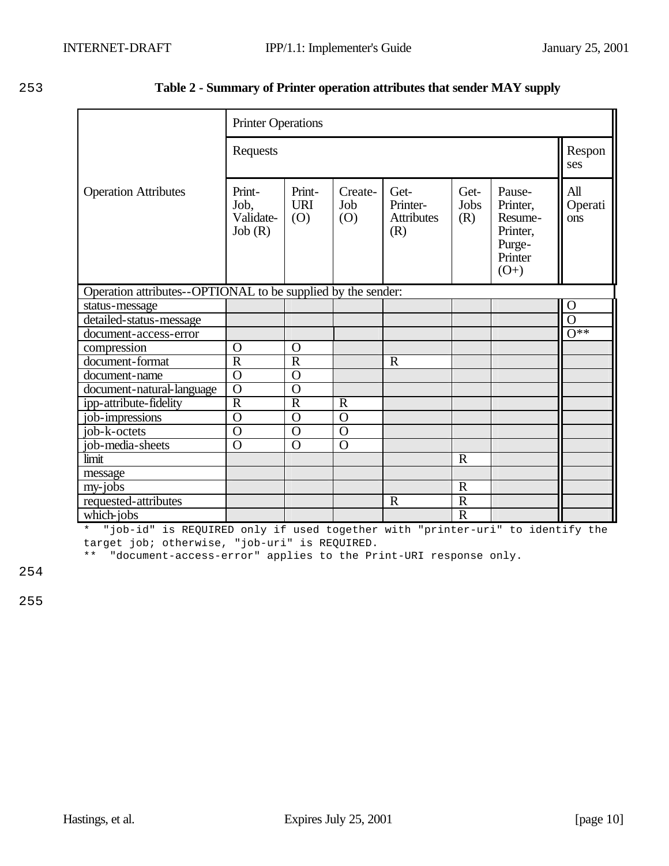| 253 | Table 2 - Summary of Printer operation attributes that sender MAY supply |  |  |
|-----|--------------------------------------------------------------------------|--|--|
|     |                                                                          |  |  |

|                                                              | <b>Printer Operations</b>             |                             |                       |                                              |                         |                                                                          |                       |  |
|--------------------------------------------------------------|---------------------------------------|-----------------------------|-----------------------|----------------------------------------------|-------------------------|--------------------------------------------------------------------------|-----------------------|--|
|                                                              | Requests                              |                             |                       |                                              |                         |                                                                          |                       |  |
| <b>Operation Attributes</b>                                  | Print-<br>Job,<br>Validate-<br>Job(R) | Print-<br><b>URI</b><br>(O) | Create-<br>Job<br>(O) | Get-<br>Printer-<br><b>Attributes</b><br>(R) | Get-<br>Jobs<br>(R)     | Pause-<br>Printer,<br>Resume-<br>Printer,<br>Purge-<br>Printer<br>$(O+)$ | All<br>Operati<br>ons |  |
| Operation attributes--OPTIONAL to be supplied by the sender: |                                       |                             |                       |                                              |                         |                                                                          |                       |  |
| status-message                                               |                                       |                             |                       |                                              |                         |                                                                          | $\mathbf O$           |  |
| detailed-status-message                                      |                                       |                             |                       |                                              |                         |                                                                          | $\overline{0}$        |  |
| document-access-error                                        |                                       |                             |                       |                                              |                         |                                                                          | $\overline{O^{**}}$   |  |
| compression                                                  | O                                     | O                           |                       |                                              |                         |                                                                          |                       |  |
| document-format                                              | $\overline{R}$                        | $\mathbf R$                 |                       | $\mathbf R$                                  |                         |                                                                          |                       |  |
| document-name                                                | $\overline{0}$                        | $\overline{O}$              |                       |                                              |                         |                                                                          |                       |  |
| document-natural-language                                    | $\overline{0}$                        | $\overline{O}$              |                       |                                              |                         |                                                                          |                       |  |
| ipp-attribute-fidelity                                       | $\mathbf R$                           | $\mathbf R$                 | $\mathbf R$           |                                              |                         |                                                                          |                       |  |
| job-impressions                                              | $\overline{0}$                        | $\Omega$                    | $\overline{0}$        |                                              |                         |                                                                          |                       |  |
| job-k-octets                                                 | $\overline{0}$                        | $\mathbf O$                 | $\overline{0}$        |                                              |                         |                                                                          |                       |  |
| job-media-sheets                                             | $\overline{0}$                        | $\overline{O}$              | $\overline{0}$        |                                              |                         |                                                                          |                       |  |
| limit                                                        |                                       |                             |                       |                                              | $\mathbf R$             |                                                                          |                       |  |
| message                                                      |                                       |                             |                       |                                              |                         |                                                                          |                       |  |
| my-jobs                                                      |                                       |                             |                       |                                              | $\mathbf R$             |                                                                          |                       |  |
| requested-attributes                                         |                                       |                             |                       | $\mathbf R$                                  | $\overline{R}$          |                                                                          |                       |  |
| which-jobs                                                   |                                       |                             |                       |                                              | $\overline{\mathrm{R}}$ |                                                                          |                       |  |

\* "job-id" is REQUIRED only if used together with "printer-uri" to identify the target job; otherwise, "job-uri" is REQUIRED.

\*\* "document-access-error" applies to the Print-URI response only.

254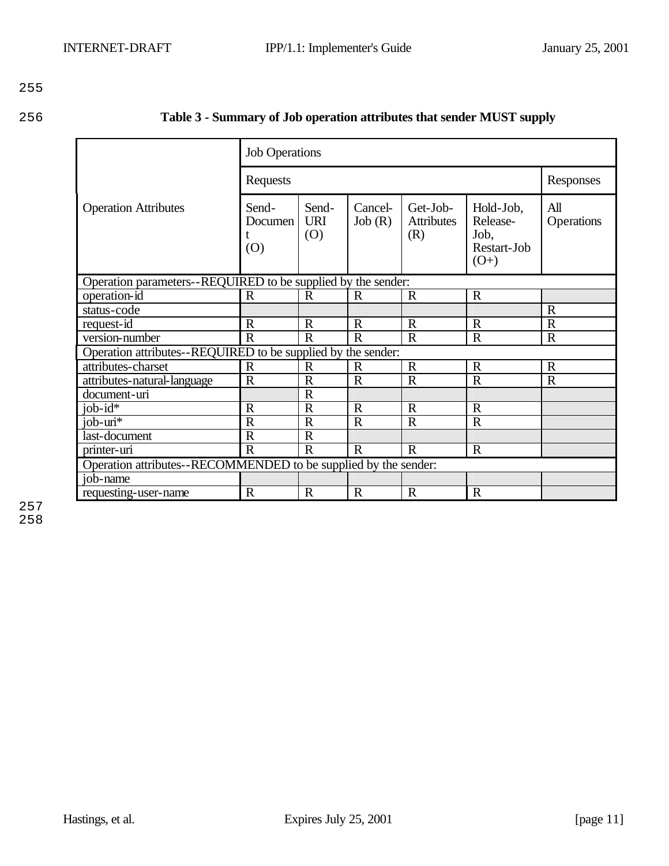| 256 | Table 3 - Summary of Job operation attributes that sender MUST supply |
|-----|-----------------------------------------------------------------------|
|-----|-----------------------------------------------------------------------|

|                                                                 | <b>Job Operations</b>   |                            |                   |                                      |                                                        |                   |  |  |
|-----------------------------------------------------------------|-------------------------|----------------------------|-------------------|--------------------------------------|--------------------------------------------------------|-------------------|--|--|
|                                                                 | Requests                | Responses                  |                   |                                      |                                                        |                   |  |  |
| <b>Operation Attributes</b>                                     | Send-<br>Documen<br>(0) | Send-<br><b>URI</b><br>(O) | Cancel-<br>Job(R) | Get-Job-<br><b>Attributes</b><br>(R) | Hold-Job,<br>Release-<br>Job,<br>Restart-Job<br>$(O+)$ | All<br>Operations |  |  |
| Operation parameters--REQUIRED to be supplied by the sender:    |                         |                            |                   |                                      |                                                        |                   |  |  |
| operation-id                                                    | $\mathbf R$             | $\mathbf R$                | $\mathbf R$       | $\mathbf R$                          | $\mathbf R$                                            |                   |  |  |
| status-code                                                     |                         |                            |                   |                                      |                                                        | $\mathbf R$       |  |  |
| request-id                                                      | $\mathbf R$             | $\mathbb{R}$               | $\mathbf R$       | $\mathbb{R}$                         | $\mathbf R$                                            | $\mathbf R$       |  |  |
| version-number                                                  | $\mathbf R$             | $\mathbf R$                | $\mathbf R$       | $\mathbf R$                          | $\mathbf R$                                            | $\mathbf R$       |  |  |
| Operation attributes--REQUIRED to be supplied by the sender:    |                         |                            |                   |                                      |                                                        |                   |  |  |
| attributes-charset                                              | $\mathbf R$             | R                          | R                 | $\mathbb{R}$                         | $\mathbb{R}$                                           | $\mathbf R$       |  |  |
| attributes-natural-language                                     | $\overline{R}$          | $\overline{R}$             | $\mathbf R$       | $\mathbf R$                          | $\overline{R}$                                         | $\overline{R}$    |  |  |
| document-uri                                                    |                         | $\mathbf R$                |                   |                                      |                                                        |                   |  |  |
| job- $id^{\overline{*}}$                                        | $\mathbf R$             | $\mathbf R$                | $\mathbf R$       | $\mathbf R$                          | $\mathbf R$                                            |                   |  |  |
| $job - uri*$                                                    | $\mathbf R$             | $\mathbf R$                | $\mathbf R$       | $\mathbf R$                          | $\mathbf R$                                            |                   |  |  |
| last-document                                                   | $\mathbf R$             | $\mathbf R$                |                   |                                      |                                                        |                   |  |  |
| printer-uri                                                     | $\mathbf R$             | $\mathbf R$                | $\mathbf R$       | $\mathbf R$                          | $\mathbf R$                                            |                   |  |  |
| Operation attributes--RECOMMENDED to be supplied by the sender: |                         |                            |                   |                                      |                                                        |                   |  |  |
| job-name                                                        |                         |                            |                   |                                      |                                                        |                   |  |  |
| requesting-user-name                                            | $\mathbf R$             | $\mathbf R$                | R                 | $\mathbf R$                          | $\mathbf R$                                            |                   |  |  |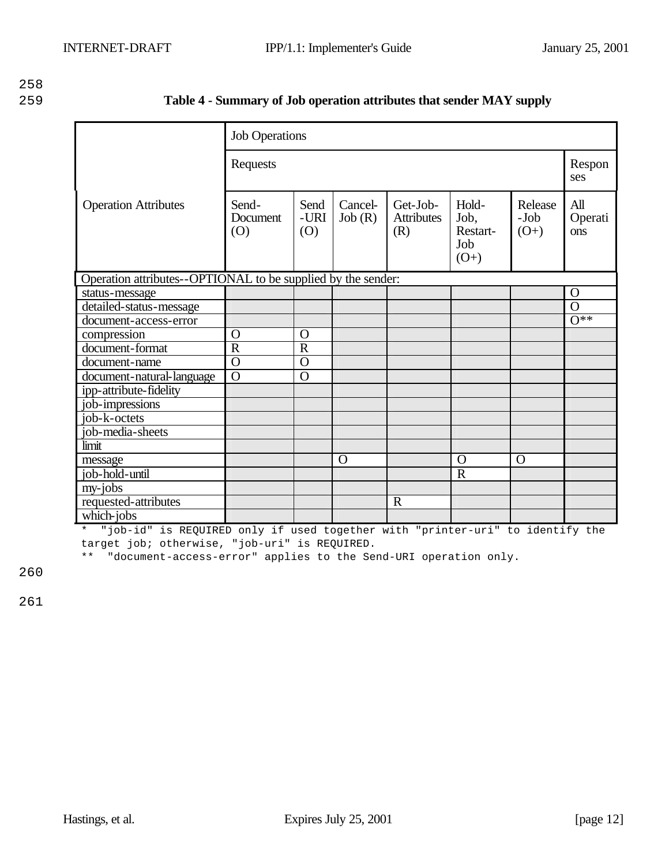| 259 | Table 4 - Summary of Job operation attributes that sender MAY supply |  |
|-----|----------------------------------------------------------------------|--|
|     |                                                                      |  |

|                                                              | <b>Job Operations</b>    |                     |                   |                                      |                                            |                           |                       |
|--------------------------------------------------------------|--------------------------|---------------------|-------------------|--------------------------------------|--------------------------------------------|---------------------------|-----------------------|
|                                                              | Requests                 |                     |                   |                                      |                                            |                           | Respon<br>ses         |
| <b>Operation Attributes</b>                                  | Send-<br>Document<br>(0) | Send<br>-URI<br>(O) | Cancel-<br>Job(R) | Get-Job-<br><b>Attributes</b><br>(R) | Hold-<br>Job,<br>Restart-<br>Job<br>$(O+)$ | Release<br>-Job<br>$(O+)$ | All<br>Operati<br>ons |
| Operation attributes--OPTIONAL to be supplied by the sender: |                          |                     |                   |                                      |                                            |                           |                       |
| status-message                                               |                          |                     |                   |                                      |                                            |                           | $\Omega$              |
| detailed-status-message                                      |                          |                     |                   |                                      |                                            |                           | $\overline{O}$        |
| document-access-error                                        |                          |                     |                   |                                      |                                            |                           | $\overline{O^{**}}$   |
| compression                                                  | O                        | $\mathbf O$         |                   |                                      |                                            |                           |                       |
| document-format                                              | $\overline{R}$           | $\overline{R}$      |                   |                                      |                                            |                           |                       |
| document-name                                                | $\overline{O}$           | $\overline{O}$      |                   |                                      |                                            |                           |                       |
| document-natural-language                                    | $\overline{O}$           | $\overline{O}$      |                   |                                      |                                            |                           |                       |
| ipp-attribute-fidelity                                       |                          |                     |                   |                                      |                                            |                           |                       |
| job-impressions                                              |                          |                     |                   |                                      |                                            |                           |                       |
| job-k-octets                                                 |                          |                     |                   |                                      |                                            |                           |                       |
| job-media-sheets                                             |                          |                     |                   |                                      |                                            |                           |                       |
| limit                                                        |                          |                     |                   |                                      |                                            |                           |                       |
| message                                                      |                          |                     | $\Omega$          |                                      | $\Omega$                                   | $\mathbf O$               |                       |
| job-hold-until                                               |                          |                     |                   |                                      | $\mathbf R$                                |                           |                       |
| my-jobs                                                      |                          |                     |                   |                                      |                                            |                           |                       |
| requested-attributes                                         |                          |                     |                   | $\mathbf R$                          |                                            |                           |                       |
| which-jobs                                                   |                          |                     |                   |                                      |                                            |                           |                       |

\* "job-id" is REQUIRED only if used together with "printer-uri" to identify the target job; otherwise, "job-uri" is REQUIRED.

\*\* "document-access-error" applies to the Send-URI operation only.

260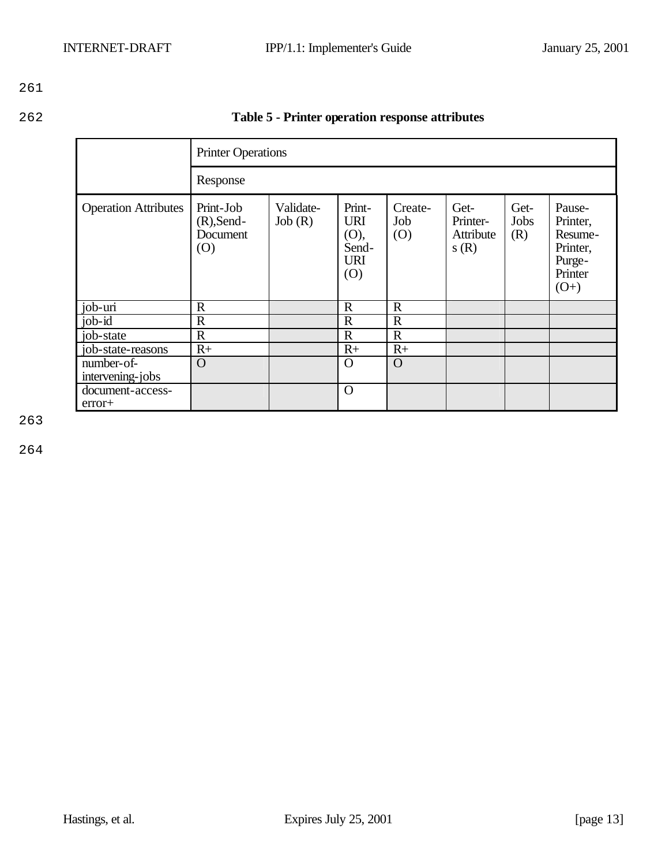| 262 | Table 5 - Printer operation response attributes |
|-----|-------------------------------------------------|
|     |                                                 |

|                                |                                               | <b>Printer Operations</b> |                                                            |                       |                                       |                            |                                                                          |
|--------------------------------|-----------------------------------------------|---------------------------|------------------------------------------------------------|-----------------------|---------------------------------------|----------------------------|--------------------------------------------------------------------------|
|                                | Response                                      |                           |                                                            |                       |                                       |                            |                                                                          |
| <b>Operation Attributes</b>    | Print-Job<br>$(R)$ , Send-<br>Document<br>(O) | Validate-<br>Job(R)       | Print-<br><b>URI</b><br>(O),<br>Send-<br><b>URI</b><br>(O) | Create-<br>Job<br>(O) | Get-<br>Printer-<br>Attribute<br>s(R) | Get-<br><b>Jobs</b><br>(R) | Pause-<br>Printer,<br>Resume-<br>Printer,<br>Purge-<br>Printer<br>$(O+)$ |
| job-uri                        | $\mathbf R$                                   |                           | $\mathbb{R}$                                               | $\mathbb{R}$          |                                       |                            |                                                                          |
| $job$ - $id$                   | $\mathbf R$                                   |                           | $\mathbf R$                                                | $\mathbb{R}$          |                                       |                            |                                                                          |
| job-state                      | $\mathbb{R}$                                  |                           | $\mathbf R$                                                | $\mathbf R$           |                                       |                            |                                                                          |
| job-state-reasons              | $R+$                                          |                           | $R+$                                                       | $R+$                  |                                       |                            |                                                                          |
| number-of-<br>intervening-jobs | $\Omega$                                      |                           | $\Omega$                                                   | $\Omega$              |                                       |                            |                                                                          |
| document-access-<br>$error+$   |                                               |                           | $\mathbf O$                                                |                       |                                       |                            |                                                                          |

263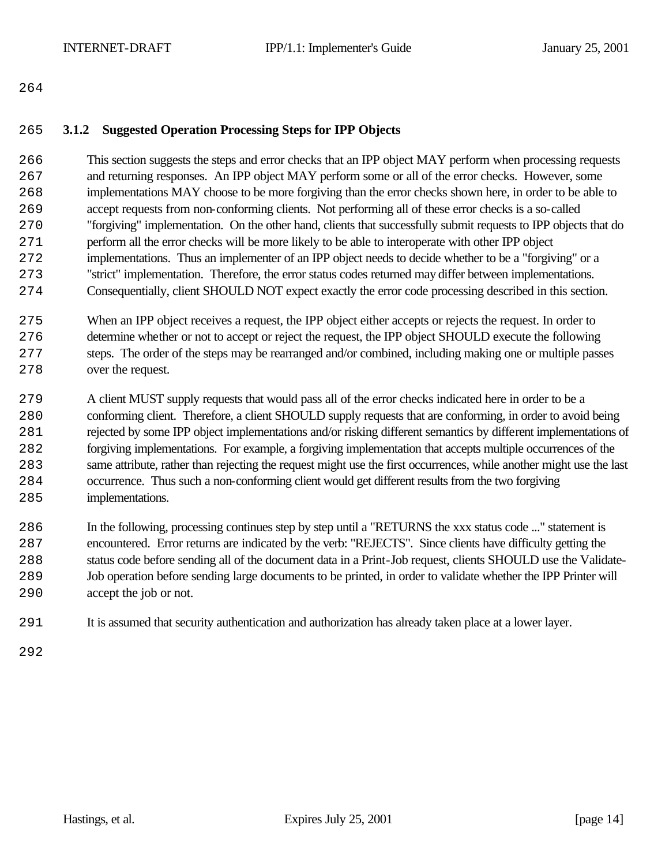#### **3.1.2 Suggested Operation Processing Steps for IPP Objects**

 This section suggests the steps and error checks that an IPP object MAY perform when processing requests and returning responses. An IPP object MAY perform some or all of the error checks. However, some implementations MAY choose to be more forgiving than the error checks shown here, in order to be able to accept requests from non-conforming clients. Not performing all of these error checks is a so-called "forgiving" implementation. On the other hand, clients that successfully submit requests to IPP objects that do perform all the error checks will be more likely to be able to interoperate with other IPP object implementations. Thus an implementer of an IPP object needs to decide whether to be a "forgiving" or a "strict" implementation. Therefore, the error status codes returned may differ between implementations. Consequentially, client SHOULD NOT expect exactly the error code processing described in this section.

- When an IPP object receives a request, the IPP object either accepts or rejects the request. In order to determine whether or not to accept or reject the request, the IPP object SHOULD execute the following steps. The order of the steps may be rearranged and/or combined, including making one or multiple passes over the request.
- A client MUST supply requests that would pass all of the error checks indicated here in order to be a conforming client. Therefore, a client SHOULD supply requests that are conforming, in order to avoid being rejected by some IPP object implementations and/or risking different semantics by different implementations of forgiving implementations. For example, a forgiving implementation that accepts multiple occurrences of the same attribute, rather than rejecting the request might use the first occurrences, while another might use the last occurrence. Thus such a non-conforming client would get different results from the two forgiving implementations.
- In the following, processing continues step by step until a "RETURNS the xxx status code ..." statement is encountered. Error returns are indicated by the verb: "REJECTS". Since clients have difficulty getting the status code before sending all of the document data in a Print-Job request, clients SHOULD use the Validate- Job operation before sending large documents to be printed, in order to validate whether the IPP Printer will accept the job or not.
- It is assumed that security authentication and authorization has already taken place at a lower layer.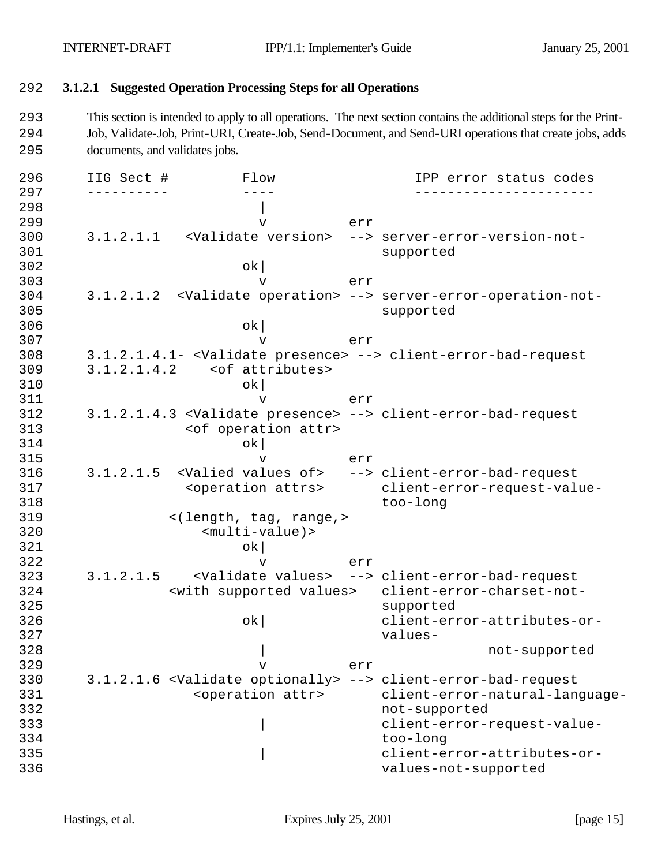# 292 **3.1.2.1 Suggested Operation Processing Steps for all Operations**

293 This section is intended to apply to all operations. The next section contains the additional steps for the Print-294 Job, Validate-Job, Print-URI, Create-Job, Send-Document, and Send-URI operations that create jobs, adds 295 documents, and validates jobs.

| 296 | IIG Sect # | Flow                                       |     | IPP error status codes                                                          |
|-----|------------|--------------------------------------------|-----|---------------------------------------------------------------------------------|
| 297 |            |                                            |     |                                                                                 |
| 298 |            |                                            |     |                                                                                 |
| 299 |            | $\mathbf v$                                | err |                                                                                 |
| 300 |            | 3.1.2.1.1 <validate version=""></validate> |     | --> server-error-version-not-                                                   |
| 301 |            |                                            |     | supported                                                                       |
| 302 |            | $\mathsf{ok}$                              |     |                                                                                 |
| 303 |            | $\mathbf v$                                | err |                                                                                 |
| 304 |            |                                            |     | 3.1.2.1.2 <validate operation=""> --&gt; server-error-operation-not-</validate> |
| 305 |            |                                            |     | supported                                                                       |
| 306 |            | ok                                         |     |                                                                                 |
| 307 |            | $\mathbf v$                                | err |                                                                                 |
| 308 |            |                                            |     | 3.1.2.1.4.1- <validate presence=""> --&gt; client-error-bad-request</validate>  |
| 309 |            | $3.1.2.1.4.2$ < of attributes>             |     |                                                                                 |
| 310 |            | ok                                         |     |                                                                                 |
| 311 |            | $\mathbf v$                                | err |                                                                                 |
| 312 |            |                                            |     | 3.1.2.1.4.3 <validate presence=""> --&gt; client-error-bad-request</validate>   |
| 313 |            | <of attr="" operation=""></of>             |     |                                                                                 |
| 314 |            | ok                                         |     |                                                                                 |
| 315 |            | $\mathbf v$                                | err |                                                                                 |
| 316 |            |                                            |     | 3.1.2.1.5 <valied of="" values=""> --&gt; client-error-bad-request</valied>     |
| 317 |            | <operation attrs=""></operation>           |     | client-error-request-value-                                                     |
| 318 |            |                                            |     | too-long                                                                        |
| 319 |            | <(length, tag, range,>                     |     |                                                                                 |
| 320 |            | $multi-value) >$                           |     |                                                                                 |
| 321 |            | ok                                         |     |                                                                                 |
| 322 |            | $\mathbf v$                                | err |                                                                                 |
| 323 |            |                                            |     | 3.1.2.1.5 <validate values=""> --&gt; client-error-bad-request</validate>       |
| 324 |            | <with supported="" values=""></with>       |     | client-error-charset-not-                                                       |
| 325 |            |                                            |     | supported                                                                       |
| 326 |            | ok                                         |     | client-error-attributes-or-                                                     |
| 327 |            |                                            |     | values-                                                                         |
| 328 |            |                                            |     | not-supported                                                                   |
| 329 |            | $\mathbf v$                                | err |                                                                                 |
| 330 |            |                                            |     | 3.1.2.1.6 <validate optionally=""> --&gt; client-error-bad-request</validate>   |
| 331 |            | <operation attr=""></operation>            |     | client-error-natural-language-                                                  |
| 332 |            |                                            |     | not-supported                                                                   |
| 333 |            |                                            |     | client-error-request-value-                                                     |
| 334 |            |                                            |     | too-long                                                                        |
| 335 |            |                                            |     | client-error-attributes-or-                                                     |
| 336 |            |                                            |     | values-not-supported                                                            |
|     |            |                                            |     |                                                                                 |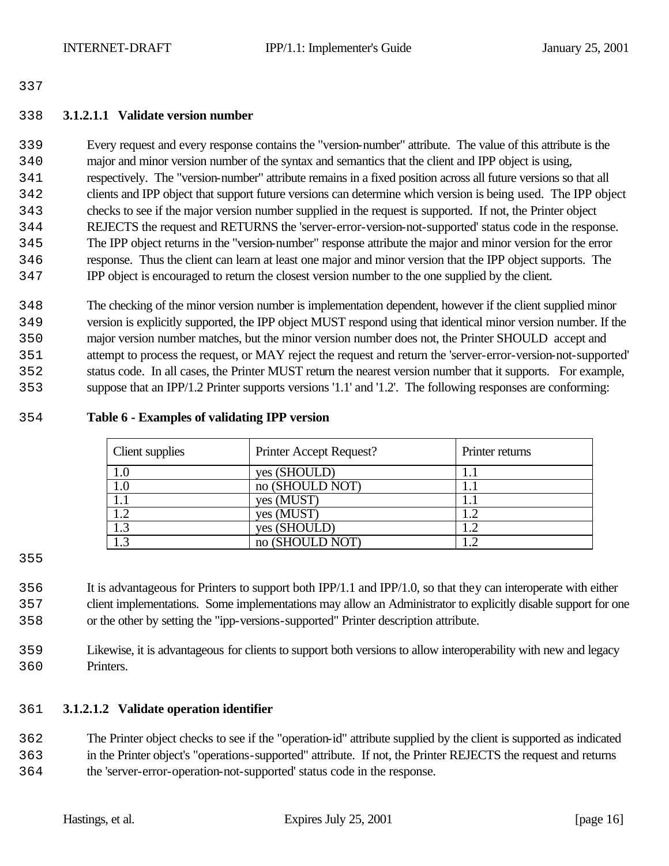#### **3.1.2.1.1 Validate version number**

 Every request and every response contains the "version-number" attribute. The value of this attribute is the major and minor version number of the syntax and semantics that the client and IPP object is using, respectively. The "version-number" attribute remains in a fixed position across all future versions so that all clients and IPP object that support future versions can determine which version is being used. The IPP object checks to see if the major version number supplied in the request is supported. If not, the Printer object REJECTS the request and RETURNS the 'server-error-version-not-supported' status code in the response. The IPP object returns in the "version-number" response attribute the major and minor version for the error response. Thus the client can learn at least one major and minor version that the IPP object supports. The IPP object is encouraged to return the closest version number to the one supplied by the client.

 The checking of the minor version number is implementation dependent, however if the client supplied minor version is explicitly supported, the IPP object MUST respond using that identical minor version number. If the major version number matches, but the minor version number does not, the Printer SHOULD accept and attempt to process the request, or MAY reject the request and return the 'server-error-version-not-supported' status code. In all cases, the Printer MUST return the nearest version number that it supports. For example, suppose that an IPP/1.2 Printer supports versions '1.1' and '1.2'. The following responses are conforming:

#### **Table 6 - Examples of validating IPP version**

| <b>Client</b> supplies | Printer Accept Request? | Printer returns |
|------------------------|-------------------------|-----------------|
| 1.0                    | yes (SHOULD)            |                 |
| 1.0                    | no (SHOULD NOT)         |                 |
|                        | yes (MUST)              |                 |
| $\overline{1.2}$       | yes (MUST)              | 1.2             |
| $\overline{1.3}$       | yes (SHOULD)            |                 |
| 1.3                    | no (SHOULD NOT)         |                 |

 It is advantageous for Printers to support both IPP/1.1 and IPP/1.0, so that they can interoperate with either client implementations. Some implementations may allow an Administrator to explicitly disable support for one or the other by setting the "ipp-versions-supported" Printer description attribute.

 Likewise, it is advantageous for clients to support both versions to allow interoperability with new and legacy Printers.

## **3.1.2.1.2 Validate operation identifier**

 The Printer object checks to see if the "operation-id" attribute supplied by the client is supported as indicated in the Printer object's "operations-supported" attribute. If not, the Printer REJECTS the request and returns the 'server-error-operation-not-supported' status code in the response.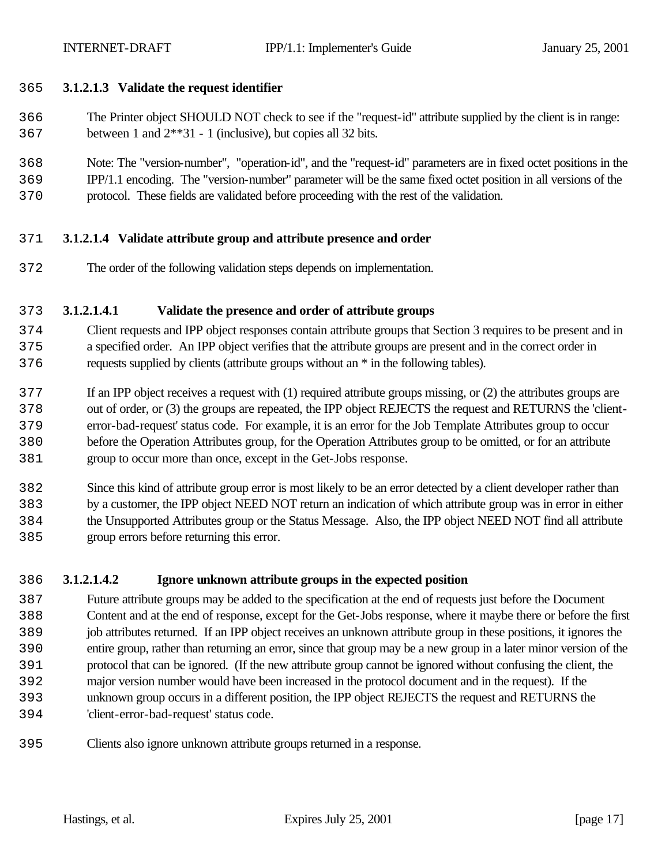- **3.1.2.1.3 Validate the request identifier**
- The Printer object SHOULD NOT check to see if the "request-id" attribute supplied by the client is in range: between 1 and 2\*\*31 - 1 (inclusive), but copies all 32 bits.
- Note: The "version-number", "operation-id", and the "request-id" parameters are in fixed octet positions in the IPP/1.1 encoding. The "version-number" parameter will be the same fixed octet position in all versions of the
- protocol. These fields are validated before proceeding with the rest of the validation.

#### **3.1.2.1.4 Validate attribute group and attribute presence and order**

The order of the following validation steps depends on implementation.

#### **3.1.2.1.4.1 Validate the presence and order of attribute groups**

- Client requests and IPP object responses contain attribute groups that Section 3 requires to be present and in a specified order. An IPP object verifies that the attribute groups are present and in the correct order in requests supplied by clients (attribute groups without an \* in the following tables).
- If an IPP object receives a request with (1) required attribute groups missing, or (2) the attributes groups are out of order, or (3) the groups are repeated, the IPP object REJECTS the request and RETURNS the 'client- error-bad-request' status code. For example, it is an error for the Job Template Attributes group to occur before the Operation Attributes group, for the Operation Attributes group to be omitted, or for an attribute group to occur more than once, except in the Get-Jobs response.
- Since this kind of attribute group error is most likely to be an error detected by a client developer rather than by a customer, the IPP object NEED NOT return an indication of which attribute group was in error in either the Unsupported Attributes group or the Status Message. Also, the IPP object NEED NOT find all attribute group errors before returning this error.

## **3.1.2.1.4.2 Ignore unknown attribute groups in the expected position**

- Future attribute groups may be added to the specification at the end of requests just before the Document Content and at the end of response, except for the Get-Jobs response, where it maybe there or before the first job attributes returned. If an IPP object receives an unknown attribute group in these positions, it ignores the entire group, rather than returning an error, since that group may be a new group in a later minor version of the protocol that can be ignored. (If the new attribute group cannot be ignored without confusing the client, the major version number would have been increased in the protocol document and in the request). If the unknown group occurs in a different position, the IPP object REJECTS the request and RETURNS the 'client-error-bad-request' status code.
- Clients also ignore unknown attribute groups returned in a response.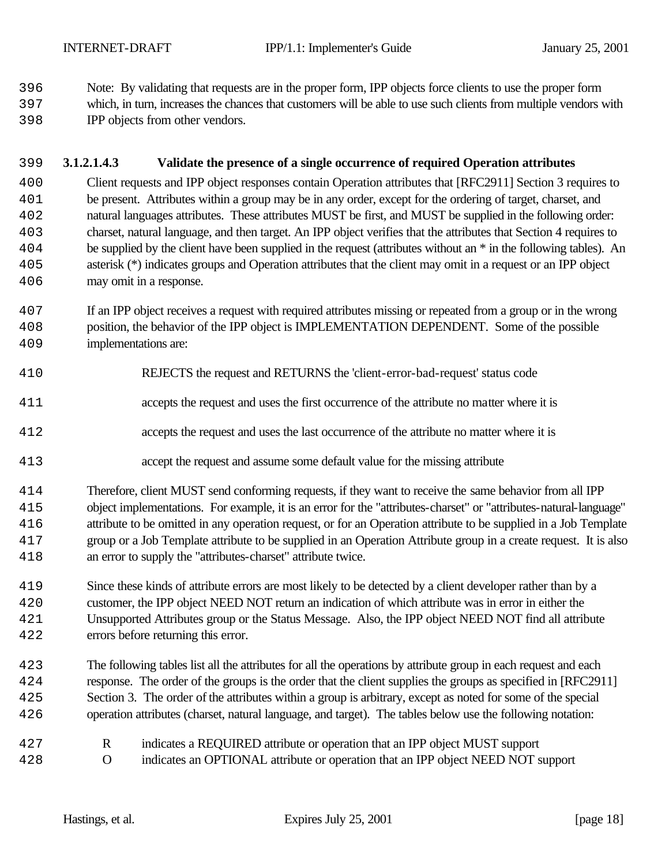Note: By validating that requests are in the proper form, IPP objects force clients to use the proper form

- which, in turn, increases the chances that customers will be able to use such clients from multiple vendors with IPP objects from other vendors.
- **3.1.2.1.4.3 Validate the presence of a single occurrence of required Operation attributes**

 Client requests and IPP object responses contain Operation attributes that [RFC2911] Section 3 requires to be present. Attributes within a group may be in any order, except for the ordering of target, charset, and natural languages attributes. These attributes MUST be first, and MUST be supplied in the following order: charset, natural language, and then target. An IPP object verifies that the attributes that Section 4 requires to be supplied by the client have been supplied in the request (attributes without an \* in the following tables). An asterisk (\*) indicates groups and Operation attributes that the client may omit in a request or an IPP object may omit in a response.

- If an IPP object receives a request with required attributes missing or repeated from a group or in the wrong position, the behavior of the IPP object is IMPLEMENTATION DEPENDENT. Some of the possible implementations are:
- REJECTS the request and RETURNS the 'client-error-bad-request' status code
- accepts the request and uses the first occurrence of the attribute no matter where it is
- accepts the request and uses the last occurrence of the attribute no matter where it is
- accept the request and assume some default value for the missing attribute
- Therefore, client MUST send conforming requests, if they want to receive the same behavior from all IPP object implementations. For example, it is an error for the "attributes-charset" or "attributes-natural-language" attribute to be omitted in any operation request, or for an Operation attribute to be supplied in a Job Template group or a Job Template attribute to be supplied in an Operation Attribute group in a create request. It is also an error to supply the "attributes-charset" attribute twice.
- Since these kinds of attribute errors are most likely to be detected by a client developer rather than by a customer, the IPP object NEED NOT return an indication of which attribute was in error in either the Unsupported Attributes group or the Status Message. Also, the IPP object NEED NOT find all attribute errors before returning this error.
- The following tables list all the attributes for all the operations by attribute group in each request and each response. The order of the groups is the order that the client supplies the groups as specified in [RFC2911] Section 3. The order of the attributes within a group is arbitrary, except as noted for some of the special operation attributes (charset, natural language, and target). The tables below use the following notation:
- R indicates a REQUIRED attribute or operation that an IPP object MUST support O indicates an OPTIONAL attribute or operation that an IPP object NEED NOT support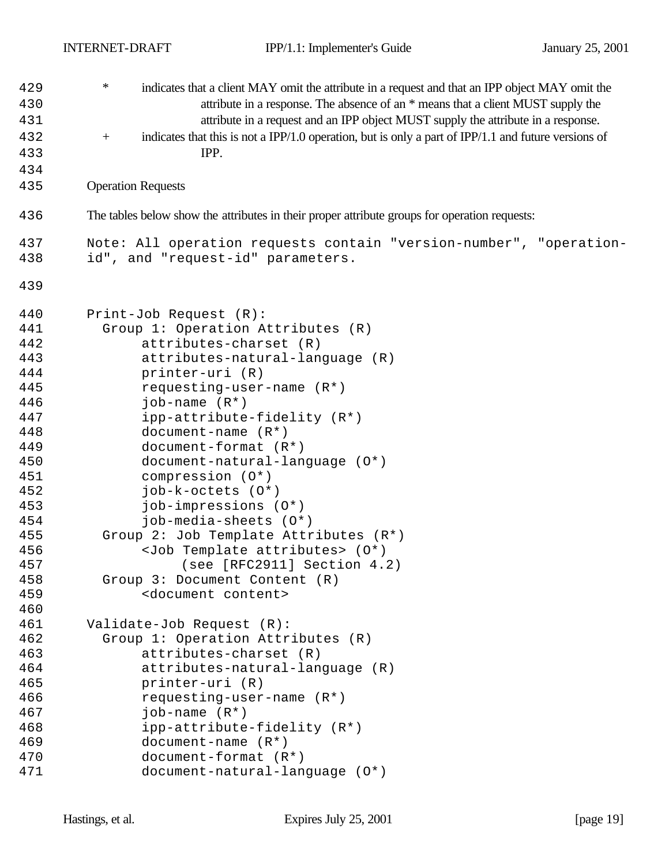| 429 | $\ast$<br>indicates that a client MAY omit the attribute in a request and that an IPP object MAY omit the                |
|-----|--------------------------------------------------------------------------------------------------------------------------|
| 430 | attribute in a response. The absence of an * means that a client MUST supply the                                         |
| 431 | attribute in a request and an IPP object MUST supply the attribute in a response.                                        |
| 432 | indicates that this is not a IPP/1.0 operation, but is only a part of IPP/1.1 and future versions of<br>$\boldsymbol{+}$ |
| 433 | IPP.                                                                                                                     |
| 434 |                                                                                                                          |
| 435 | <b>Operation Requests</b>                                                                                                |
| 436 | The tables below show the attributes in their proper attribute groups for operation requests:                            |
| 437 | Note: All operation requests contain "version-number", "operation-                                                       |
| 438 | id", and "request-id" parameters.                                                                                        |
| 439 |                                                                                                                          |
| 440 | Print-Job Request (R):                                                                                                   |
| 441 | Group 1: Operation Attributes (R)                                                                                        |
| 442 | attributes-charset (R)                                                                                                   |
| 443 | attributes-natural-language (R)                                                                                          |
| 444 | printer-uri (R)                                                                                                          |
| 445 | requesting-user-name $(R^*)$                                                                                             |
| 446 | $job$ -name $(R^*)$                                                                                                      |
| 447 | ipp-attribute-fidelity (R*)                                                                                              |
| 448 | document-name $(R^*)$                                                                                                    |
| 449 | document-format $(R^*)$                                                                                                  |
| 450 | document-natural-language (0*)                                                                                           |
| 451 | compression $(0^*)$                                                                                                      |
| 452 | job-k-octets (0*)                                                                                                        |
| 453 | job-impressions (0*)                                                                                                     |
| 454 | job-media-sheets (0*)                                                                                                    |
| 455 | Group 2: Job Template Attributes (R*)                                                                                    |
| 456 | <job attributes="" template=""> (0*)</job>                                                                               |
| 457 | (see [RFC2911] Section 4.2)                                                                                              |
| 458 | Group 3: Document Content (R)                                                                                            |
| 459 | <document content=""></document>                                                                                         |
| 460 |                                                                                                                          |
| 461 | Validate-Job Request (R):                                                                                                |
| 462 | Group 1: Operation Attributes (R)                                                                                        |
| 463 | attributes-charset (R)                                                                                                   |
| 464 | attributes-natural-language (R)                                                                                          |
| 465 | printer-uri (R)                                                                                                          |
| 466 | requesting-user-name (R*)                                                                                                |
| 467 | job-name $(R^*)$                                                                                                         |
| 468 | ipp-attribute-fidelity (R*)                                                                                              |
| 469 | $document-name (R*)$                                                                                                     |
| 470 | document-format $(R^*)$                                                                                                  |
| 471 | document-natural-language (0*)                                                                                           |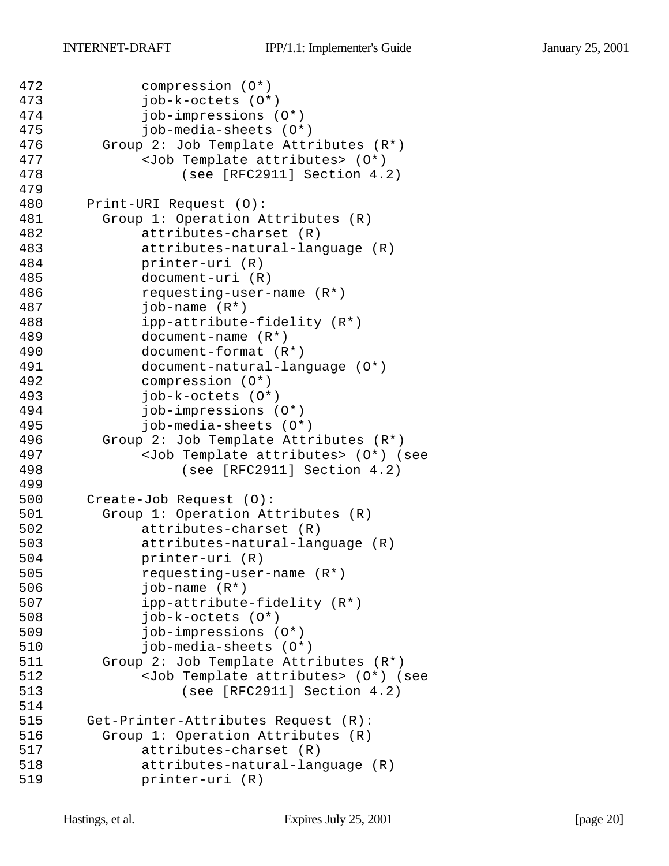```
472 compression (O*)
473 job-k-octets (O*)
474 job-impressions (O*)
475 job-media-sheets (O*)
476 Group 2: Job Template Attributes (R*)
477 <Job Template attributes> (O*) 
478 (see [RFC2911] Section 4.2)
479
480 Print-URI Request (O):
481 Group 1: Operation Attributes (R)
482 attributes-charset (R)
483 attributes-natural-language (R)
484 printer-uri (R)
485 document-uri (R)
486 requesting-user-name (R*)
487 job-name (R*)
488 ipp-attribute-fidelity (R*)
489 document-name (R*)
490 document-format (R*)
491 document-natural-language (O*)
492 compression (O*)
493 job-k-octets (O*)
494 job-impressions (O*)
495 job-media-sheets (O*)
496 Group 2: Job Template Attributes (R*)
497 <Job Template attributes> (O*) (see 
498 (see [RFC2911] Section 4.2)
499
500 Create-Job Request (O):
501 Group 1: Operation Attributes (R)
502 attributes-charset (R)
503 attributes-natural-language (R)
504 printer-uri (R)
505 requesting-user-name (R*)
506 job-name (R*)
507 ipp-attribute-fidelity (R*)
508 job-k-octets (O*)
509 job-impressions (O*)
510 job-media-sheets (O*)
511 Group 2: Job Template Attributes (R*)
512 <Job Template attributes> (O*) (see 
513 (see [RFC2911] Section 4.2)
514
515 Get-Printer-Attributes Request (R):
516 Group 1: Operation Attributes (R)
517 attributes-charset (R)
518 attributes-natural-language (R)
519 printer-uri (R)
```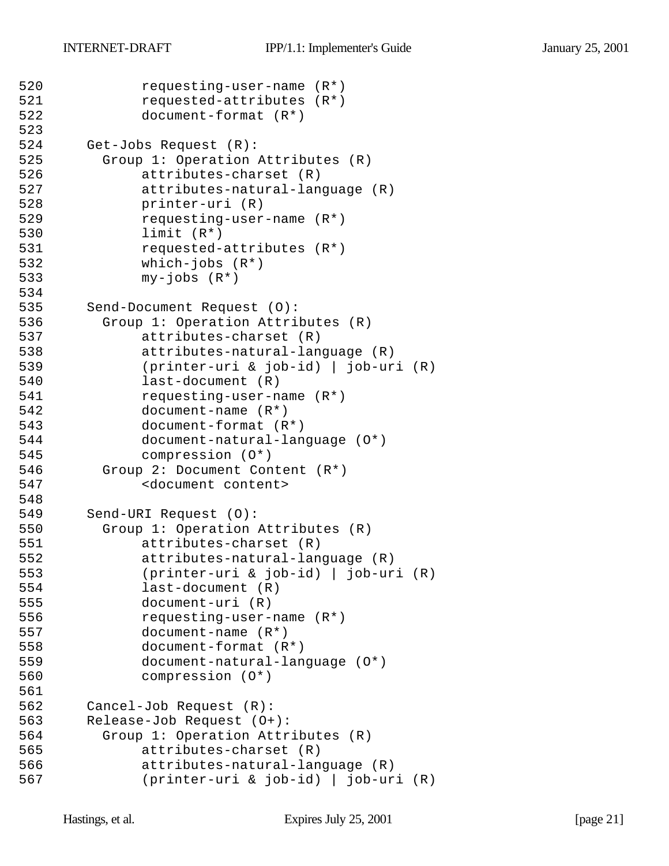```
520 requesting-user-name (R*)
521 requested-attributes (R*)
522 document-format (R*)
523
524 Get-Jobs Request (R):
525 Group 1: Operation Attributes (R)
526 attributes-charset (R)
527 attributes-natural-language (R)
528 printer-uri (R)
529 requesting-user-name (R*)
530 limit (R*)
531 requested-attributes (R*)
532 which-jobs (R*)
533 my-jobs (R*)
534
535 Send-Document Request (O):
536 Group 1: Operation Attributes (R)
537 attributes-charset (R)
538 attributes-natural-language (R)
539 (printer-uri & job-id) | job-uri (R)
540 last-document (R)
541 requesting-user-name (R*)
542 document-name (R*)
543 document-format (R*)
544 document-natural-language (O*)
545 compression (O*)
546 Group 2: Document Content (R*)
547 <document content>
548
549 Send-URI Request (O):
550 Group 1: Operation Attributes (R)
551 attributes-charset (R)
552 attributes-natural-language (R)
553 (printer-uri & job-id) | job-uri (R)
554 last-document (R)
555 document-uri (R)
556 requesting-user-name (R*)
557 document-name (R*)
558 document-format (R*)
559 document-natural-language (O*)
560 compression (O*)
561
562 Cancel-Job Request (R):
563 Release-Job Request (O+):
564 Group 1: Operation Attributes (R)
565 attributes-charset (R)
566 attributes-natural-language (R)
567 (printer-uri & job-id) | job-uri (R)
```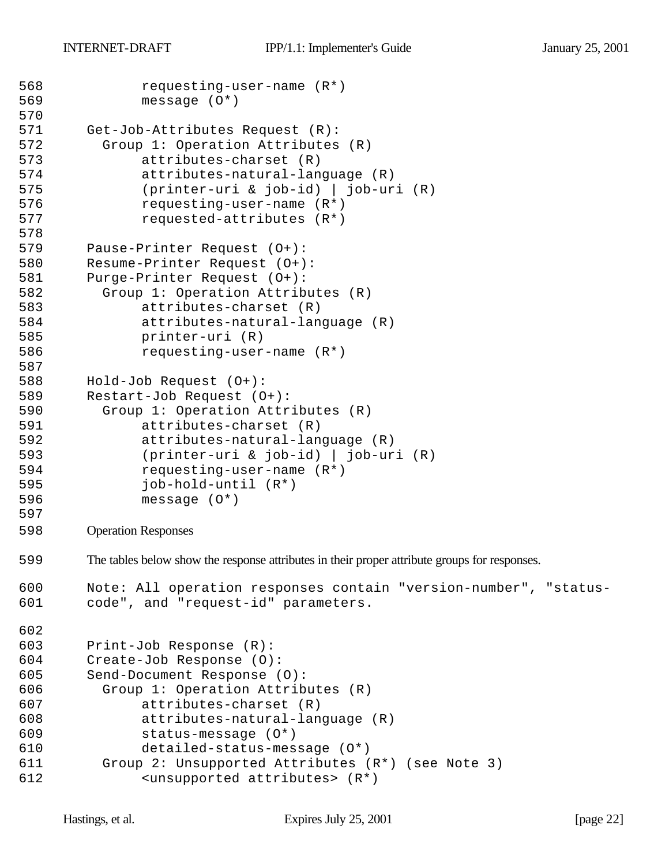```
568 requesting-user-name (R*)
569 message (O*)
570
571 Get-Job-Attributes Request (R):
572 Group 1: Operation Attributes (R)
573 attributes-charset (R)
574 attributes-natural-language (R)
575 (printer-uri & job-id) | job-uri (R)
576 requesting-user-name (R*)
577 requested-attributes (R*)
578
579 Pause-Printer Request (O+):
580 Resume-Printer Request (O+):
581 Purge-Printer Request (O+):
582 Group 1: Operation Attributes (R)
583 attributes-charset (R)
584 attributes-natural-language (R)
585 printer-uri (R)
586 requesting-user-name (R*)
587
588 Hold-Job Request (O+):
589 Restart-Job Request (O+):
590 Group 1: Operation Attributes (R)
591 attributes-charset (R)
592 attributes-natural-language (R)
593 (printer-uri & job-id) | job-uri (R)
594 requesting-user-name (R*)
595 job-hold-until (R*)
596 message (O*)
597
598 Operation Responses
599 The tables below show the response attributes in their proper attribute groups for responses.
600 Note: All operation responses contain "version-number", "status-
601 code", and "request-id" parameters.
602
603 Print-Job Response (R):
604 Create-Job Response (O):
605 Send-Document Response (O):
606 Group 1: Operation Attributes (R)
607 attributes-charset (R)
608 attributes-natural-language (R)
609 status-message (O*)
610 detailed-status-message (O*)
611 Group 2: Unsupported Attributes (R*) (see Note 3)
612 <unsupported attributes> (R*)
```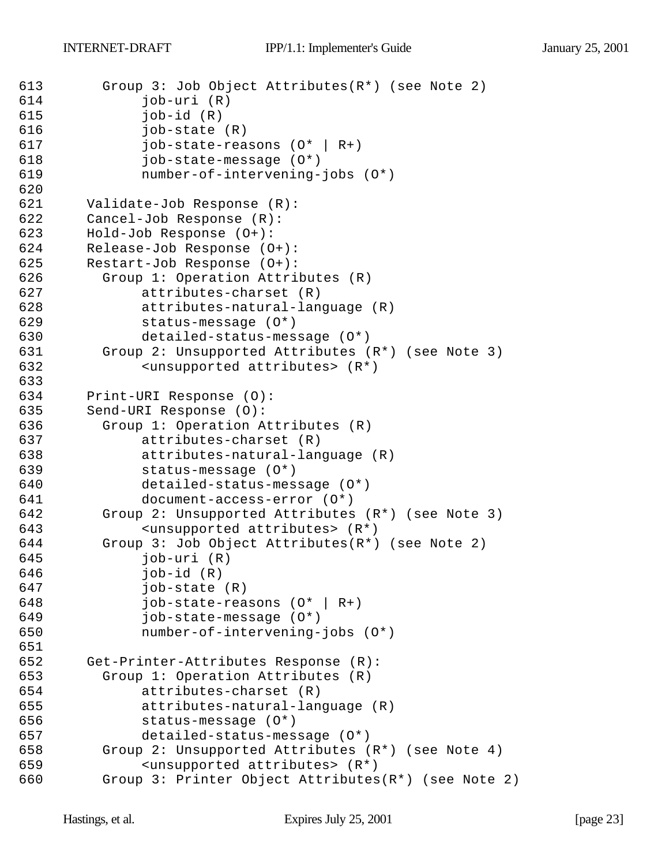```
613 Group 3: Job Object Attributes(R*) (see Note 2)
614 job-uri (R)
615 job-id (R)
616 job-state (R)
617 job-state-reasons (O* | R+)
618 job-state-message (O*)
619 number-of-intervening-jobs (O*)
620
621 Validate-Job Response (R):
622 Cancel-Job Response (R):
623 Hold-Job Response (O+):
624 Release-Job Response (O+):
625 Restart-Job Response (O+):
626 Group 1: Operation Attributes (R)
627 attributes-charset (R)
628 attributes-natural-language (R)
629 status-message (O*)
630 detailed-status-message (O*)
631 Group 2: Unsupported Attributes (R*) (see Note 3)
632 <unsupported attributes> (R*)
633
634 Print-URI Response (O):
635 Send-URI Response (O):
636 Group 1: Operation Attributes (R)
637 attributes-charset (R)
638 attributes-natural-language (R)
639 status-message (O*)
640 detailed-status-message (O*)
641 document-access-error (O*)
642 Group 2: Unsupported Attributes (R*) (see Note 3)
643 <unsupported attributes> (R*)
644 Group 3: Job Object Attributes(R*) (see Note 2)
645 job-uri (R)
646 job-id (R)
647 job-state (R)
648 job-state-reasons (O* | R+)
649 job-state-message (O*)
650 number-of-intervening-jobs (O*)
651
652 Get-Printer-Attributes Response (R):
653 Group 1: Operation Attributes (R)
654 attributes-charset (R)
655 attributes-natural-language (R)
656 status-message (O*)
657 detailed-status-message (O*)
658 Group 2: Unsupported Attributes (R*) (see Note 4)
659 <unsupported attributes> (R*)
660 Group 3: Printer Object Attributes(R*) (see Note 2)
```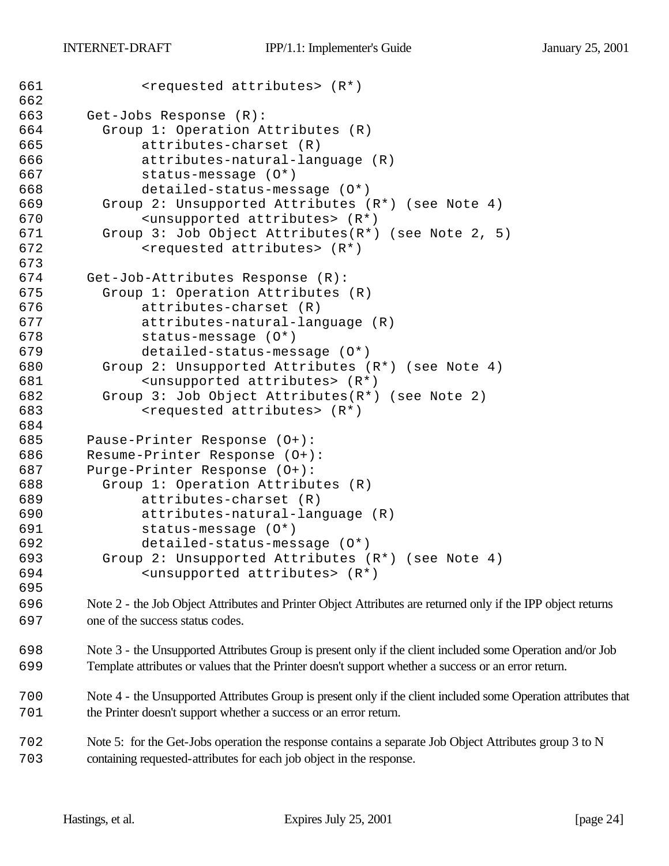```
661 <requested attributes> (R*)
662
663 Get-Jobs Response (R):
664 Group 1: Operation Attributes (R)
665 attributes-charset (R)
666 attributes-natural-language (R)
667 status-message (O*)
668 detailed-status-message (O*)
669 Group 2: Unsupported Attributes (R*) (see Note 4)
670 <unsupported attributes> (R*)
671 Group 3: Job Object Attributes(R*) (see Note 2, 5)
672 <requested attributes> (R*)
673
674 Get-Job-Attributes Response (R):
675 Group 1: Operation Attributes (R)
676 attributes-charset (R)
677 attributes-natural-language (R)
678 status-message (O*)
679 detailed-status-message (O*)
680 Group 2: Unsupported Attributes (R*) (see Note 4)
681 <unsupported attributes> (R*)
682 Group 3: Job Object Attributes(R*) (see Note 2)
683 <requested attributes> (R*)
684
685 Pause-Printer Response (O+):
686 Resume-Printer Response (O+):
687 Purge-Printer Response (O+):
688 Group 1: Operation Attributes (R)
689 attributes-charset (R)
690 attributes-natural-language (R)
691 status-message (O*)
692 detailed-status-message (O*)
693 Group 2: Unsupported Attributes (R*) (see Note 4)
694 <unsupported attributes> (R*)
695
696 Note 2 - the Job Object Attributes and Printer Object Attributes are returned only if the IPP object returns 
697 one of the success status codes.
```
 Note 3 - the Unsupported Attributes Group is present only if the client included some Operation and/or Job Template attributes or values that the Printer doesn't support whether a success or an error return.

 Note 4 - the Unsupported Attributes Group is present only if the client included some Operation attributes that the Printer doesn't support whether a success or an error return.

 Note 5: for the Get-Jobs operation the response contains a separate Job Object Attributes group 3 to N containing requested-attributes for each job object in the response.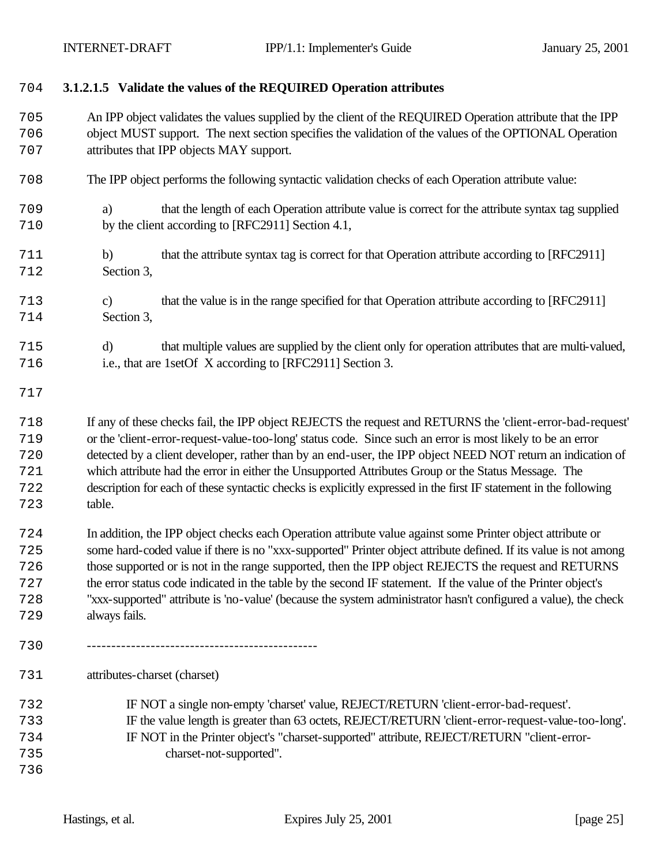- **3.1.2.1.5 Validate the values of the REQUIRED Operation attributes**
- An IPP object validates the values supplied by the client of the REQUIRED Operation attribute that the IPP object MUST support. The next section specifies the validation of the values of the OPTIONAL Operation attributes that IPP objects MAY support.
- The IPP object performs the following syntactic validation checks of each Operation attribute value:
- a) that the length of each Operation attribute value is correct for the attribute syntax tag supplied by the client according to [RFC2911] Section 4.1,
- b) that the attribute syntax tag is correct for that Operation attribute according to [RFC2911] Section 3,
- c) that the value is in the range specified for that Operation attribute according to [RFC2911] Section 3,
- d) that multiple values are supplied by the client only for operation attributes that are multi-valued, i.e., that are 1setOf X according to [RFC2911] Section 3.
- 

 If any of these checks fail, the IPP object REJECTS the request and RETURNS the 'client-error-bad-request' or the 'client-error-request-value-too-long' status code. Since such an error is most likely to be an error detected by a client developer, rather than by an end-user, the IPP object NEED NOT return an indication of which attribute had the error in either the Unsupported Attributes Group or the Status Message. The description for each of these syntactic checks is explicitly expressed in the first IF statement in the following table.

- In addition, the IPP object checks each Operation attribute value against some Printer object attribute or some hard-coded value if there is no "xxx-supported" Printer object attribute defined. If its value is not among those supported or is not in the range supported, then the IPP object REJECTS the request and RETURNS the error status code indicated in the table by the second IF statement. If the value of the Printer object's "xxx-supported" attribute is 'no-value' (because the system administrator hasn't configured a value), the check always fails.
- -----------------------------------------------

attributes-charset (charset)

 IF NOT a single non-empty 'charset' value, REJECT/RETURN 'client-error-bad-request'. IF the value length is greater than 63 octets, REJECT/RETURN 'client-error-request-value-too-long'. IF NOT in the Printer object's "charset-supported" attribute, REJECT/RETURN "client-error- charset-not-supported".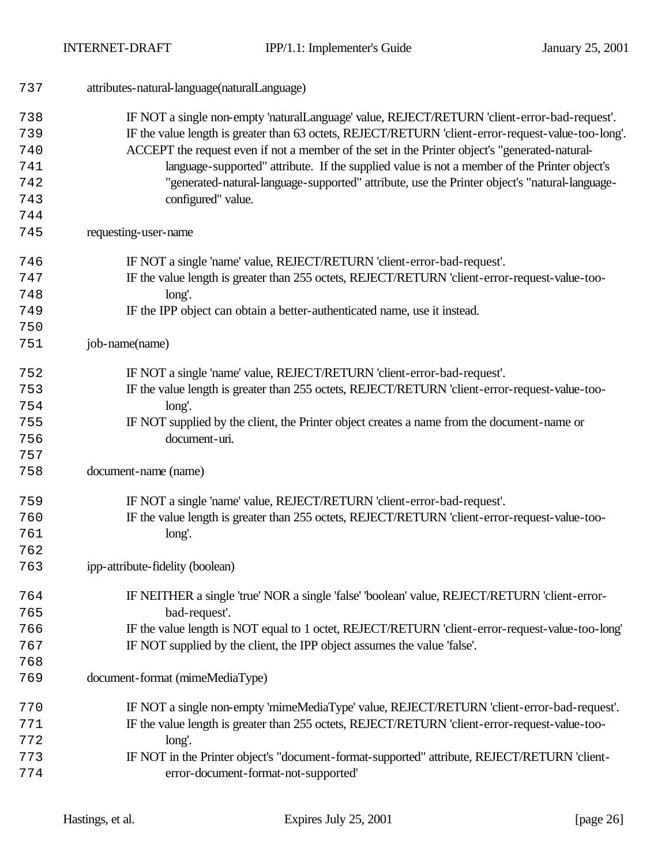| 737 | attributes-natural-language(naturalLanguage)                                                        |
|-----|-----------------------------------------------------------------------------------------------------|
| 738 | IF NOT a single non-empty 'naturalLanguage' value, REJECT/RETURN 'client-error-bad-request'.        |
| 739 | IF the value length is greater than 63 octets, REJECT/RETURN 'client-error-request-value-too-long'. |
| 740 | ACCEPT the request even if not a member of the set in the Printer object's "generated-natural-      |
| 741 | language-supported" attribute. If the supplied value is not a member of the Printer object's        |
| 742 | "generated-natural-language-supported" attribute, use the Printer object's "natural-language-       |
| 743 | configured" value.                                                                                  |
| 744 |                                                                                                     |
| 745 | requesting-user-name                                                                                |
| 746 | IF NOT a single 'name' value, REJECT/RETURN 'client-error-bad-request'.                             |
| 747 | IF the value length is greater than 255 octets, REJECT/RETURN 'client-error-request-value-too-      |
| 748 | long'.                                                                                              |
| 749 | IF the IPP object can obtain a better-authenticated name, use it instead.                           |
| 750 |                                                                                                     |
| 751 | job-name(name)                                                                                      |
| 752 | IF NOT a single 'name' value, REJECT/RETURN 'client-error-bad-request'.                             |
| 753 | IF the value length is greater than 255 octets, REJECT/RETURN 'client-error-request-value-too-      |
| 754 | long'.                                                                                              |
| 755 | IF NOT supplied by the client, the Printer object creates a name from the document-name or          |
| 756 | document-uri.                                                                                       |
| 757 |                                                                                                     |
| 758 | document-name (name)                                                                                |
| 759 | IF NOT a single 'name' value, REJECT/RETURN 'client-error-bad-request'.                             |
| 760 | IF the value length is greater than 255 octets, REJECT/RETURN 'client-error-request-value-too-      |
| 761 | long'.                                                                                              |
| 762 |                                                                                                     |
| 763 | ipp-attribute-fidelity (boolean)                                                                    |
| 764 | IF NEITHER a single 'true' NOR a single 'false' 'boolean' value, REJECT/RETURN 'client-error-       |
| 765 | bad-request'.                                                                                       |
| 766 | IF the value length is NOT equal to 1 octet, REJECT/RETURN 'client-error-request-value-too-long'    |
| 767 | IF NOT supplied by the client, the IPP object assumes the value 'false'.                            |
| 768 |                                                                                                     |
| 769 | document-format (mimeMediaType)                                                                     |
| 770 | IF NOT a single non-empty 'mimeMediaType' value, REJECT/RETURN 'client-error-bad-request'.          |
| 771 | IF the value length is greater than 255 octets, REJECT/RETURN 'client-error-request-value-too-      |
| 772 | long'.                                                                                              |
| 773 | IF NOT in the Printer object's "document-format-supported" attribute, REJECT/RETURN 'client-        |
| 774 | error-document-format-not-supported'                                                                |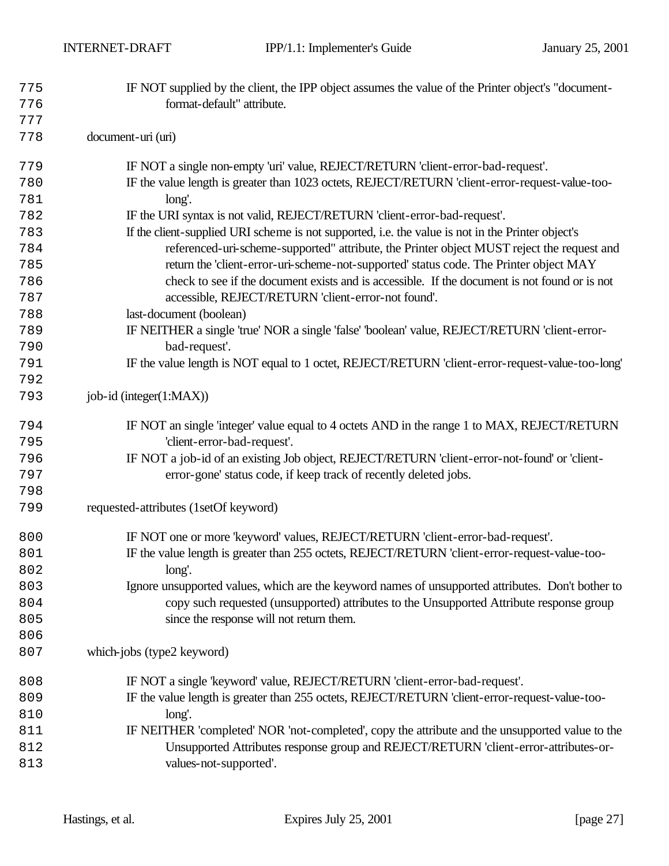| 775 | IF NOT supplied by the client, the IPP object assumes the value of the Printer object's "document- |
|-----|----------------------------------------------------------------------------------------------------|
| 776 | format-default" attribute.                                                                         |
| 777 |                                                                                                    |
| 778 | document-uri (uri)                                                                                 |
| 779 | IF NOT a single non-empty 'uri' value, REJECT/RETURN 'client-error-bad-request'.                   |
| 780 | IF the value length is greater than 1023 octets, REJECT/RETURN 'client-error-request-value-too-    |
| 781 | long'.                                                                                             |
| 782 | IF the URI syntax is not valid, REJECT/RETURN 'client-error-bad-request'.                          |
| 783 | If the client-supplied URI scheme is not supported, i.e. the value is not in the Printer object's  |
| 784 | referenced-uri-scheme-supported" attribute, the Printer object MUST reject the request and         |
| 785 | return the 'client-error-uri-scheme-not-supported' status code. The Printer object MAY             |
| 786 | check to see if the document exists and is accessible. If the document is not found or is not      |
| 787 | accessible, REJECT/RETURN 'client-error-not found'.                                                |
| 788 | last-document (boolean)                                                                            |
| 789 | IF NEITHER a single 'true' NOR a single 'false' 'boolean' value, REJECT/RETURN 'client-error-      |
| 790 | bad-request'.                                                                                      |
| 791 | IF the value length is NOT equal to 1 octet, REJECT/RETURN 'client-error-request-value-too-long'   |
| 792 |                                                                                                    |
| 793 | job-id (integer(1:MAX))                                                                            |
| 794 | IF NOT an single 'integer' value equal to 4 octets AND in the range 1 to MAX, REJECT/RETURN        |
| 795 | 'client-error-bad-request'.                                                                        |
| 796 | IF NOT a job-id of an existing Job object, REJECT/RETURN 'client-error-not-found' or 'client-      |
| 797 | error-gone' status code, if keep track of recently deleted jobs.                                   |
| 798 |                                                                                                    |
| 799 | requested-attributes (1setOf keyword)                                                              |
| 800 | IF NOT one or more 'keyword' values, REJECT/RETURN 'client-error-bad-request'.                     |
| 801 | IF the value length is greater than 255 octets, REJECT/RETURN 'client-error-request-value-too-     |
| 802 | $long'$ .                                                                                          |
| 803 | Ignore unsupported values, which are the keyword names of unsupported attributes. Don't bother to  |
| 804 | copy such requested (unsupported) attributes to the Unsupported Attribute response group           |
| 805 | since the response will not return them.                                                           |
| 806 |                                                                                                    |
| 807 | which-jobs (type2 keyword)                                                                         |
| 808 | IF NOT a single 'keyword' value, REJECT/RETURN 'client-error-bad-request'.                         |
| 809 | IF the value length is greater than 255 octets, REJECT/RETURN 'client-error-request-value-too-     |
| 810 | long'.                                                                                             |
| 811 | IF NEITHER 'completed' NOR 'not-completed', copy the attribute and the unsupported value to the    |
| 812 | Unsupported Attributes response group and REJECT/RETURN 'client-error-attributes-or-               |
| 813 | values-not-supported'.                                                                             |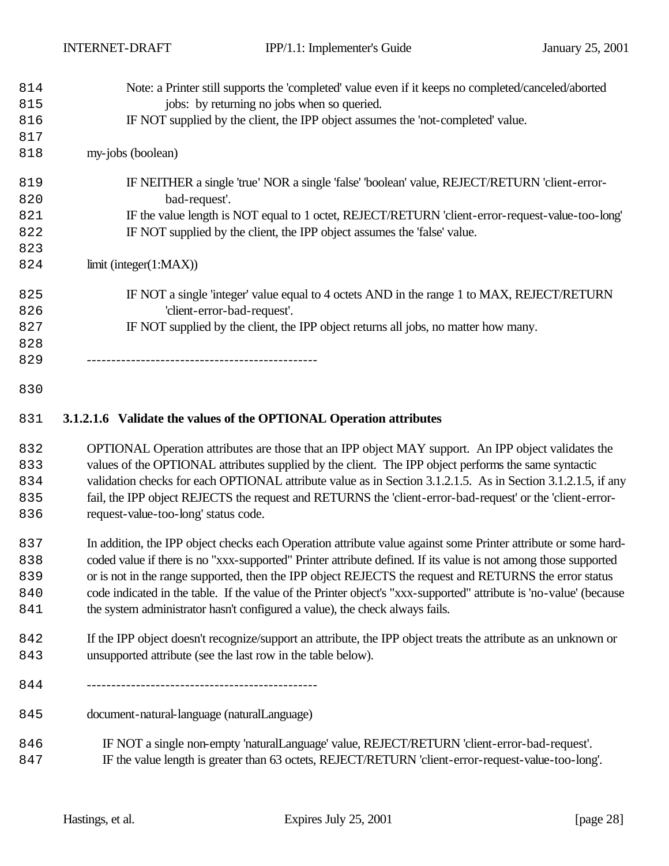| 814 | Note: a Printer still supports the 'completed' value even if it keeps no completed/canceled/aborted |
|-----|-----------------------------------------------------------------------------------------------------|
| 815 | jobs: by returning no jobs when so queried.                                                         |
| 816 | IF NOT supplied by the client, the IPP object assumes the 'not-completed' value.                    |
| 817 |                                                                                                     |
| 818 | my-jobs (boolean)                                                                                   |
| 819 | IF NEITHER a single 'true' NOR a single 'false' 'boolean' value, REJECT/RETURN 'client-error-       |
| 820 | bad-request'.                                                                                       |
| 821 | IF the value length is NOT equal to 1 octet, REJECT/RETURN 'client-error-request-value-too-long'    |
| 822 | IF NOT supplied by the client, the IPP object assumes the 'false' value.                            |
| 823 |                                                                                                     |
| 824 | limit (integer(1:MAX))                                                                              |
| 825 | IF NOT a single 'integer' value equal to 4 octets AND in the range 1 to MAX, REJECT/RETURN          |
| 826 | 'client-error-bad-request'.                                                                         |
| 827 | IF NOT supplied by the client, the IPP object returns all jobs, no matter how many.                 |
| 828 |                                                                                                     |
| 829 |                                                                                                     |
| 830 |                                                                                                     |

## **3.1.2.1.6 Validate the values of the OPTIONAL Operation attributes**

 OPTIONAL Operation attributes are those that an IPP object MAY support. An IPP object validates the values of the OPTIONAL attributes supplied by the client. The IPP object performs the same syntactic 834 validation checks for each OPTIONAL attribute value as in Section 3.1.2.1.5. As in Section 3.1.2.1.5, if any fail, the IPP object REJECTS the request and RETURNS the 'client-error-bad-request' or the 'client-error-request-value-too-long' status code.

 In addition, the IPP object checks each Operation attribute value against some Printer attribute or some hard- coded value if there is no "xxx-supported" Printer attribute defined. If its value is not among those supported 839 or is not in the range supported, then the IPP object REJECTS the request and RETURNS the error status code indicated in the table. If the value of the Printer object's "xxx-supported" attribute is 'no-value' (because the system administrator hasn't configured a value), the check always fails.

- If the IPP object doesn't recognize/support an attribute, the IPP object treats the attribute as an unknown or unsupported attribute (see the last row in the table below).
- -----------------------------------------------
- document-natural-language (naturalLanguage)
- IF NOT a single non-empty 'naturalLanguage' value, REJECT/RETURN 'client-error-bad-request'. IF the value length is greater than 63 octets, REJECT/RETURN 'client-error-request-value-too-long'.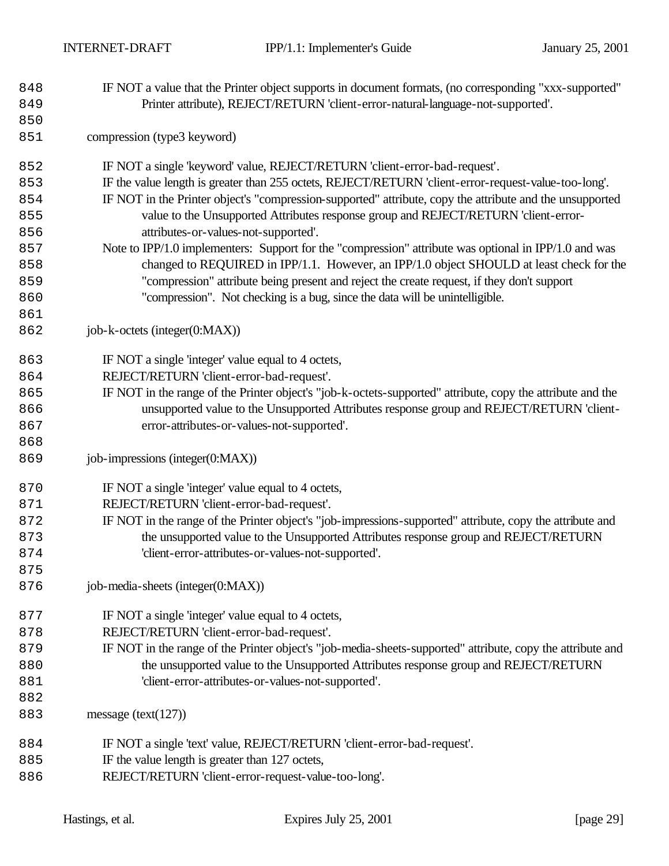- IF NOT a value that the Printer object supports in document formats, (no corresponding "xxx-supported" Printer attribute), REJECT/RETURN 'client-error-natural-language-not-supported'.
- compression (type3 keyword)
- IF NOT a single 'keyword' value, REJECT/RETURN 'client-error-bad-request'.
- IF the value length is greater than 255 octets, REJECT/RETURN 'client-error-request-value-too-long'.
- IF NOT in the Printer object's "compression-supported" attribute, copy the attribute and the unsupported value to the Unsupported Attributes response group and REJECT/RETURN 'client-error-attributes-or-values-not-supported'.
- Note to IPP/1.0 implementers: Support for the "compression" attribute was optional in IPP/1.0 and was 858 changed to REQUIRED in IPP/1.1. However, an IPP/1.0 object SHOULD at least check for the "compression" attribute being present and reject the create request, if they don't support "compression". Not checking is a bug, since the data will be unintelligible.
- job-k-octets (integer(0:MAX))

- 863 IF NOT a single 'integer' value equal to 4 octets,
- REJECT/RETURN 'client-error-bad-request'.
- IF NOT in the range of the Printer object's "job-k-octets-supported" attribute, copy the attribute and the unsupported value to the Unsupported Attributes response group and REJECT/RETURN 'client-error-attributes-or-values-not-supported'.
- job-impressions (integer(0:MAX))
- **IF NOT** a single 'integer' value equal to 4 octets,
- REJECT/RETURN 'client-error-bad-request'.
- IF NOT in the range of the Printer object's "job-impressions-supported" attribute, copy the attribute and the unsupported value to the Unsupported Attributes response group and REJECT/RETURN 'client-error-attributes-or-values-not-supported'.
- job-media-sheets (integer(0:MAX))
- **IF NOT** a single 'integer' value equal to 4 octets,
- REJECT/RETURN 'client-error-bad-request'.
- IF NOT in the range of the Printer object's "job-media-sheets-supported" attribute, copy the attribute and 880 the unsupported value to the Unsupported Attributes response group and REJECT/RETURN 'client-error-attributes-or-values-not-supported'.
- message (text(127))
- IF NOT a single 'text' value, REJECT/RETURN 'client-error-bad-request'.
- 885 IF the value length is greater than 127 octets,
- REJECT/RETURN 'client-error-request-value-too-long'.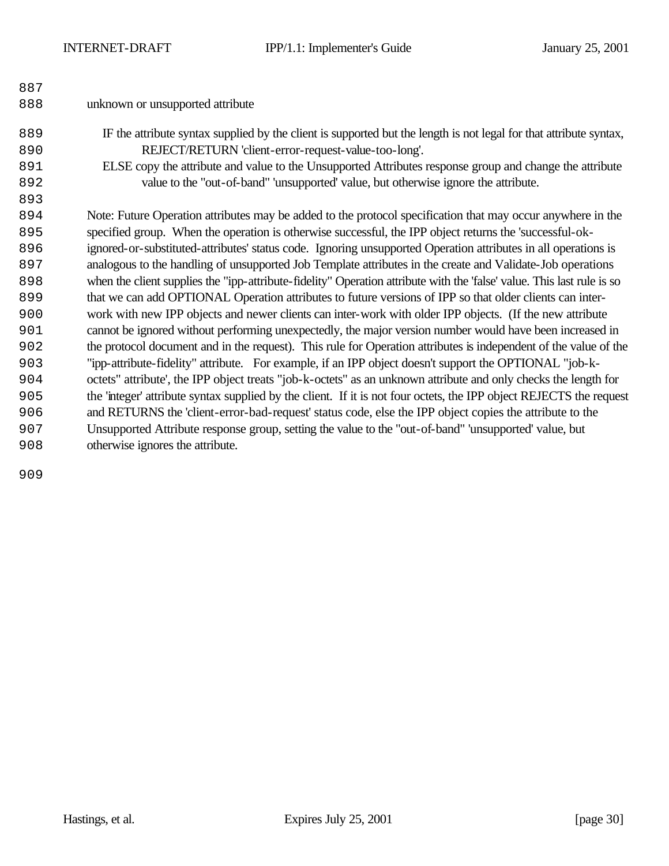| 887 |                                                                                                                        |
|-----|------------------------------------------------------------------------------------------------------------------------|
| 888 | unknown or unsupported attribute                                                                                       |
| 889 | IF the attribute syntax supplied by the client is supported but the length is not legal for that attribute syntax,     |
| 890 | REJECT/RETURN 'client-error-request-value-too-long'.                                                                   |
| 891 | ELSE copy the attribute and value to the Unsupported Attributes response group and change the attribute                |
| 892 | value to the "out-of-band" 'unsupported' value, but otherwise ignore the attribute.                                    |
| 893 |                                                                                                                        |
| 894 | Note: Future Operation attributes may be added to the protocol specification that may occur anywhere in the            |
| 895 | specified group. When the operation is otherwise successful, the IPP object returns the 'successful-ok-                |
| 896 | ignored-or-substituted-attributes' status code. Ignoring unsupported Operation attributes in all operations is         |
| 897 | analogous to the handling of unsupported Job Template attributes in the create and Validate-Job operations             |
| 898 | when the client supplies the "ipp-attribute-fidelity" Operation attribute with the 'false' value. This last rule is so |
| 899 | that we can add OPTIONAL Operation attributes to future versions of IPP so that older clients can inter-               |
| 900 | work with new IPP objects and newer clients can inter-work with older IPP objects. (If the new attribute               |
| 901 | cannot be ignored without performing unexpectedly, the major version number would have been increased in               |
| 902 | the protocol document and in the request). This rule for Operation attributes is independent of the value of the       |
| 903 | "ipp-attribute-fidelity" attribute. For example, if an IPP object doesn't support the OPTIONAL "job-k-                 |
| 904 | octets" attribute', the IPP object treats "job-k-octets" as an unknown attribute and only checks the length for        |
| 905 | the 'integer' attribute syntax supplied by the client. If it is not four octets, the IPP object REJECTS the request    |
| 906 | and RETURNS the 'client-error-bad-request' status code, else the IPP object copies the attribute to the                |
| 907 | Unsupported Attribute response group, setting the value to the "out-of-band" 'unsupported' value, but                  |
| 908 | otherwise ignores the attribute.                                                                                       |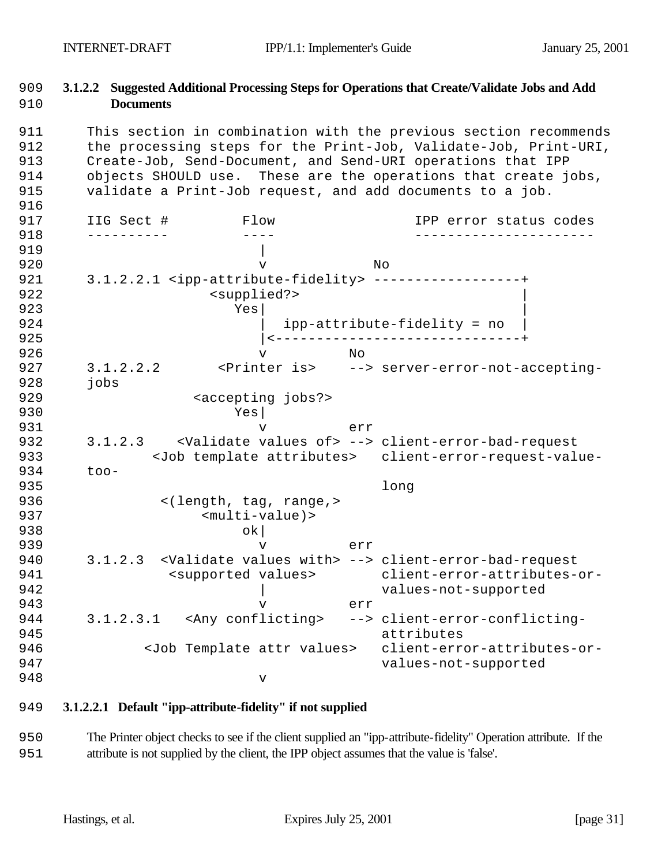## 909 **3.1.2.2 Suggested Additional Processing Steps for Operations that Create/Validate Jobs and Add**  910 **Documents**

911 This section in combination with the previous section recommends

912 the processing steps for the Print-Job, Validate-Job, Print-URI, 913 Create-Job, Send-Document, and Send-URI operations that IPP 914 objects SHOULD use. These are the operations that create jobs, 915 validate a Print-Job request, and add documents to a job. 916 917 IIG Sect # Flow IPP error status codes 918 ---------- ---- ----------------------  $919$  | 920 v No 921 3.1.2.2.1 <ipp-attribute-fidelity> ------------------+ 922 <supplied?> example of the state of the state  $\mathbf{Y}\mathbf{e}\mathbf{s}$  and  $\mathbf{Y}\mathbf{e}\mathbf{s}$  and  $\mathbf{Y}\mathbf{e}\mathbf{s}$  and  $\mathbf{Y}\mathbf{e}\mathbf{s}$  and  $\mathbf{Y}\mathbf{e}\mathbf{s}$  and  $\mathbf{Y}\mathbf{e}\mathbf{s}$  and  $\mathbf{Y}\mathbf{e}\mathbf{s}$  and  $\mathbf{Y}\mathbf{e}\mathbf{s}$  and  $\mathbf{Y}\mathbf{e}\$ 924 | ipp-attribute-fidelity = no 925 |<------------------------------+ 926 v No 927 3.1.2.2.2 <Printer is> --> server-error-not-accepting-928 jobs 929 <accepting jobs?> 930 Yes| 931 v err 932 3.1.2.3 <Validate values of> --> client-error-bad-request 933 <Job template attributes> client-error-request-value-934 too-935 long 936 <(length, tag, range,> 937 <multi-value)> 938 ok 939 v err 940 3.1.2.3 <Validate values with> --> client-error-bad-request 941 <supported values> client-error-attributes-or-942 | values-not-supported 943 v err 944 3.1.2.3.1 <Any conflicting> --> client-error-conflicting-945 attributes 946 <Job Template attr values> client-error-attributes-or-947 values-not-supported 948 v

## 949 **3.1.2.2.1 Default "ipp-attribute-fidelity" if not supplied**

950 The Printer object checks to see if the client supplied an "ipp-attribute-fidelity" Operation attribute. If the 951 attribute is not supplied by the client, the IPP object assumes that the value is 'false'.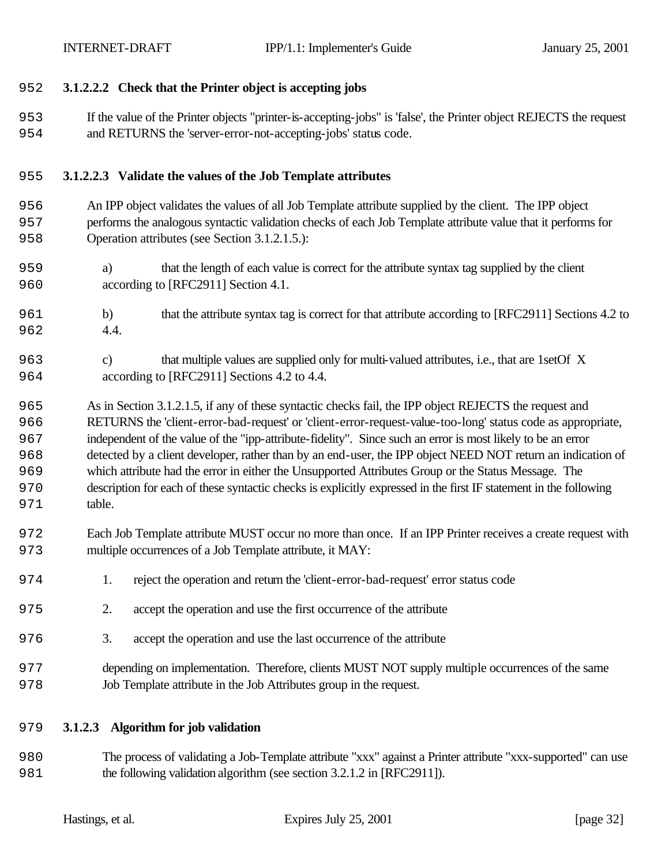#### **3.1.2.2.2 Check that the Printer object is accepting jobs**

 If the value of the Printer objects "printer-is-accepting-jobs" is 'false', the Printer object REJECTS the request and RETURNS the 'server-error-not-accepting-jobs' status code.

#### **3.1.2.2.3 Validate the values of the Job Template attributes**

- An IPP object validates the values of all Job Template attribute supplied by the client. The IPP object performs the analogous syntactic validation checks of each Job Template attribute value that it performs for Operation attributes (see Section 3.1.2.1.5.):
- a) that the length of each value is correct for the attribute syntax tag supplied by the client according to [RFC2911] Section 4.1.
- b) that the attribute syntax tag is correct for that attribute according to [RFC2911] Sections 4.2 to 4.4.
- c) that multiple values are supplied only for multi-valued attributes, i.e., that are 1setOf X according to [RFC2911] Sections 4.2 to 4.4.

 As in Section 3.1.2.1.5, if any of these syntactic checks fail, the IPP object REJECTS the request and RETURNS the 'client-error-bad-request' or 'client-error-request-value-too-long' status code as appropriate, independent of the value of the "ipp-attribute-fidelity". Since such an error is most likely to be an error detected by a client developer, rather than by an end-user, the IPP object NEED NOT return an indication of which attribute had the error in either the Unsupported Attributes Group or the Status Message. The description for each of these syntactic checks is explicitly expressed in the first IF statement in the following table.

- Each Job Template attribute MUST occur no more than once. If an IPP Printer receives a create request with multiple occurrences of a Job Template attribute, it MAY:
- 1. reject the operation and return the 'client-error-bad-request' error status code
- 2. accept the operation and use the first occurrence of the attribute
- 3. accept the operation and use the last occurrence of the attribute
- depending on implementation. Therefore, clients MUST NOT supply multiple occurrences of the same Job Template attribute in the Job Attributes group in the request.

#### **3.1.2.3 Algorithm for job validation**

 The process of validating a Job-Template attribute "xxx" against a Printer attribute "xxx-supported" can use the following validation algorithm (see section 3.2.1.2 in [RFC2911]).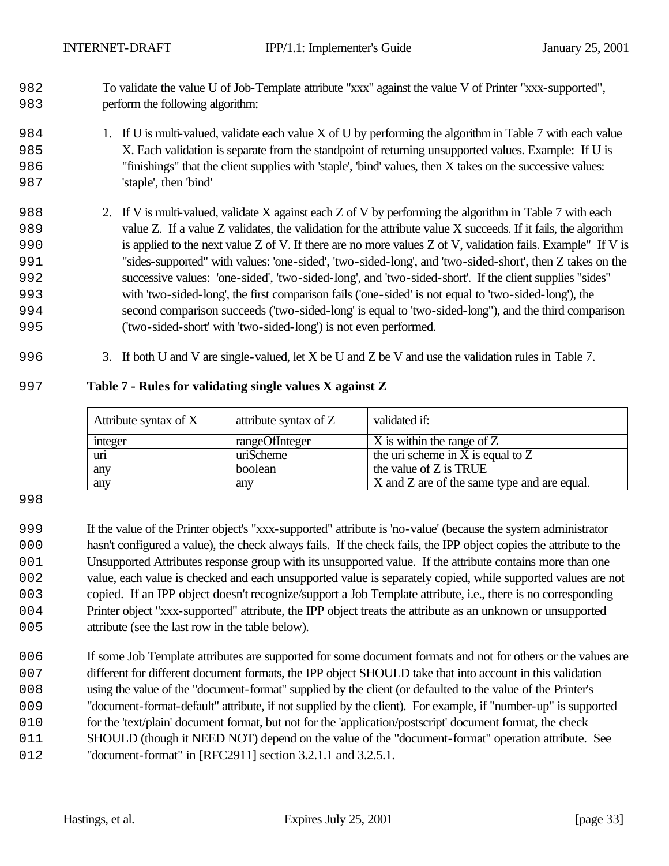- To validate the value U of Job-Template attribute "xxx" against the value V of Printer "xxx-supported", perform the following algorithm:
- 1. If U is multi-valued, validate each value X of U by performing the algorithm in Table 7 with each value X. Each validation is separate from the standpoint of returning unsupported values. Example: If U is "finishings" that the client supplies with 'staple', 'bind' values, then X takes on the successive values: 'staple', then 'bind'
- 2. If V is multi-valued, validate X against each Z of V by performing the algorithm in Table 7 with each value Z. If a value Z validates, the validation for the attribute value X succeeds. If it fails, the algorithm is applied to the next value Z of V. If there are no more values Z of V, validation fails. Example" If V is "sides-supported" with values: 'one-sided', 'two-sided-long', and 'two-sided-short', then Z takes on the successive values: 'one-sided', 'two-sided-long', and 'two-sided-short'. If the client supplies "sides" with 'two-sided-long', the first comparison fails ('one-sided' is not equal to 'two-sided-long'), the second comparison succeeds ('two-sided-long' is equal to 'two-sided-long"), and the third comparison ('two-sided-short' with 'two-sided-long') is not even performed.
- 3. If both U and V are single-valued, let X be U and Z be V and use the validation rules in Table 7.

#### **Table 7 - Rules for validating single values X against Z**

| Attribute syntax of X | attribute syntax of Z | validated if:                               |
|-----------------------|-----------------------|---------------------------------------------|
| integer               | rangeOfInteger        | X is within the range of Z                  |
| uri                   | uriScheme             | the uri scheme in X is equal to $Z$         |
| any                   | boolean               | the value of Z is TRUE                      |
| any                   | any                   | X and Z are of the same type and are equal. |

#### 

 If the value of the Printer object's "xxx-supported" attribute is 'no-value' (because the system administrator hasn't configured a value), the check always fails. If the check fails, the IPP object copies the attribute to the Unsupported Attributes response group with its unsupported value. If the attribute contains more than one value, each value is checked and each unsupported value is separately copied, while supported values are not copied. If an IPP object doesn't recognize/support a Job Template attribute, i.e., there is no corresponding Printer object "xxx-supported" attribute, the IPP object treats the attribute as an unknown or unsupported 005 attribute (see the last row in the table below).

006 If some Job Template attributes are supported for some document formats and not for others or the values are different for different document formats, the IPP object SHOULD take that into account in this validation using the value of the "document-format" supplied by the client (or defaulted to the value of the Printer's "document-format-default" attribute, if not supplied by the client). For example, if "number-up" is supported for the 'text/plain' document format, but not for the 'application/postscript' document format, the check 011 SHOULD (though it NEED NOT) depend on the value of the "document-format" operation attribute. See "document-format" in [RFC2911] section 3.2.1.1 and 3.2.5.1.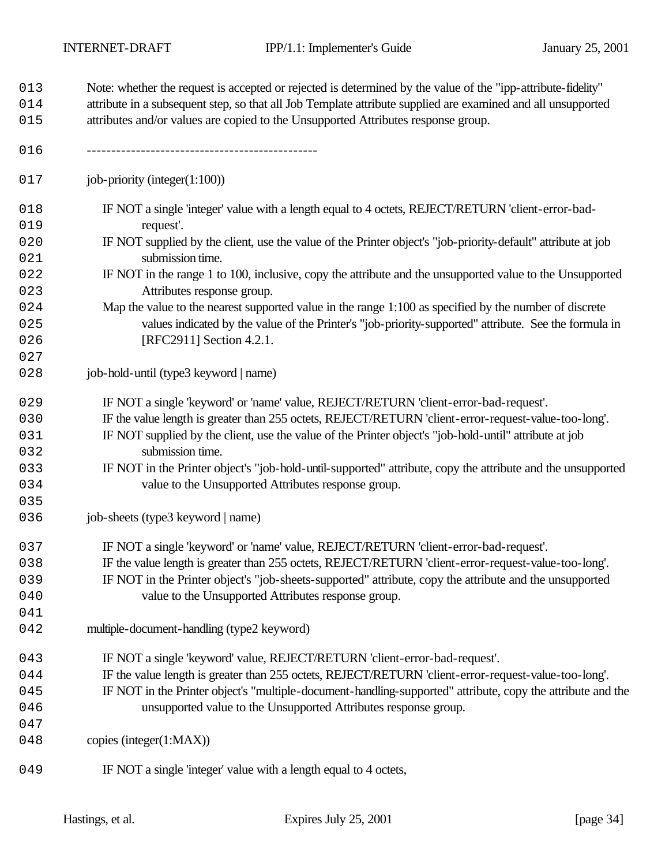| 013<br>014<br>015 | Note: whether the request is accepted or rejected is determined by the value of the "ipp-attribute-fidelity"<br>attribute in a subsequent step, so that all Job Template attribute supplied are examined and all unsupported<br>attributes and/or values are copied to the Unsupported Attributes response group. |  |  |  |  |  |
|-------------------|-------------------------------------------------------------------------------------------------------------------------------------------------------------------------------------------------------------------------------------------------------------------------------------------------------------------|--|--|--|--|--|
| 016               |                                                                                                                                                                                                                                                                                                                   |  |  |  |  |  |
| 017               | job-priority (integer $(1:100)$ )                                                                                                                                                                                                                                                                                 |  |  |  |  |  |
| 018               | IF NOT a single 'integer' value with a length equal to 4 octets, REJECT/RETURN 'client-error-bad-                                                                                                                                                                                                                 |  |  |  |  |  |
| 019               | request'.                                                                                                                                                                                                                                                                                                         |  |  |  |  |  |
| 020<br>021        | IF NOT supplied by the client, use the value of the Printer object's "job-priority-default" attribute at job<br>submission time.                                                                                                                                                                                  |  |  |  |  |  |
| 022               | IF NOT in the range 1 to 100, inclusive, copy the attribute and the unsupported value to the Unsupported                                                                                                                                                                                                          |  |  |  |  |  |
| 023               | Attributes response group.                                                                                                                                                                                                                                                                                        |  |  |  |  |  |
| 024               | Map the value to the nearest supported value in the range 1:100 as specified by the number of discrete<br>values indicated by the value of the Printer's "job-priority-supported" attribute. See the formula in                                                                                                   |  |  |  |  |  |
| 025<br>026        | [RFC2911] Section 4.2.1.                                                                                                                                                                                                                                                                                          |  |  |  |  |  |
| 027               |                                                                                                                                                                                                                                                                                                                   |  |  |  |  |  |
| 028               | job-hold-until (type3 keyword   name)                                                                                                                                                                                                                                                                             |  |  |  |  |  |
|                   |                                                                                                                                                                                                                                                                                                                   |  |  |  |  |  |
| 029               | IF NOT a single 'keyword' or 'name' value, REJECT/RETURN 'client-error-bad-request'.                                                                                                                                                                                                                              |  |  |  |  |  |
| 030               | IF the value length is greater than 255 octets, REJECT/RETURN 'client-error-request-value-too-long'.                                                                                                                                                                                                              |  |  |  |  |  |
| 031               | IF NOT supplied by the client, use the value of the Printer object's "job-hold-until" attribute at job                                                                                                                                                                                                            |  |  |  |  |  |
| 032               | submission time.                                                                                                                                                                                                                                                                                                  |  |  |  |  |  |
| 033               | IF NOT in the Printer object's "job-hold-until-supported" attribute, copy the attribute and the unsupported                                                                                                                                                                                                       |  |  |  |  |  |
| 034               | value to the Unsupported Attributes response group.                                                                                                                                                                                                                                                               |  |  |  |  |  |
| 035               |                                                                                                                                                                                                                                                                                                                   |  |  |  |  |  |
| 036               | job-sheets (type3 keyword   name)                                                                                                                                                                                                                                                                                 |  |  |  |  |  |
| 037               | IF NOT a single 'keyword' or 'name' value, REJECT/RETURN 'client-error-bad-request'.                                                                                                                                                                                                                              |  |  |  |  |  |
| 038               | IF the value length is greater than 255 octets, REJECT/RETURN 'client-error-request-value-too-long'                                                                                                                                                                                                               |  |  |  |  |  |
| 039               | IF NOT in the Printer object's "job-sheets-supported" attribute, copy the attribute and the unsupported                                                                                                                                                                                                           |  |  |  |  |  |
| 040               | value to the Unsupported Attributes response group.                                                                                                                                                                                                                                                               |  |  |  |  |  |
| 041               |                                                                                                                                                                                                                                                                                                                   |  |  |  |  |  |
| 042               | multiple-document-handling (type2 keyword)                                                                                                                                                                                                                                                                        |  |  |  |  |  |
| 043               | IF NOT a single 'keyword' value, REJECT/RETURN 'client-error-bad-request'.                                                                                                                                                                                                                                        |  |  |  |  |  |
| 044               | IF the value length is greater than 255 octets, REJECT/RETURN 'client-error-request-value-too-long'.                                                                                                                                                                                                              |  |  |  |  |  |
| 045               | IF NOT in the Printer object's "multiple-document-handling-supported" attribute, copy the attribute and the                                                                                                                                                                                                       |  |  |  |  |  |
| 046               | unsupported value to the Unsupported Attributes response group.                                                                                                                                                                                                                                                   |  |  |  |  |  |
| 047               |                                                                                                                                                                                                                                                                                                                   |  |  |  |  |  |
| 048               | copies (integer(1:MAX))                                                                                                                                                                                                                                                                                           |  |  |  |  |  |
| 049               | IF NOT a single 'integer' value with a length equal to 4 octets,                                                                                                                                                                                                                                                  |  |  |  |  |  |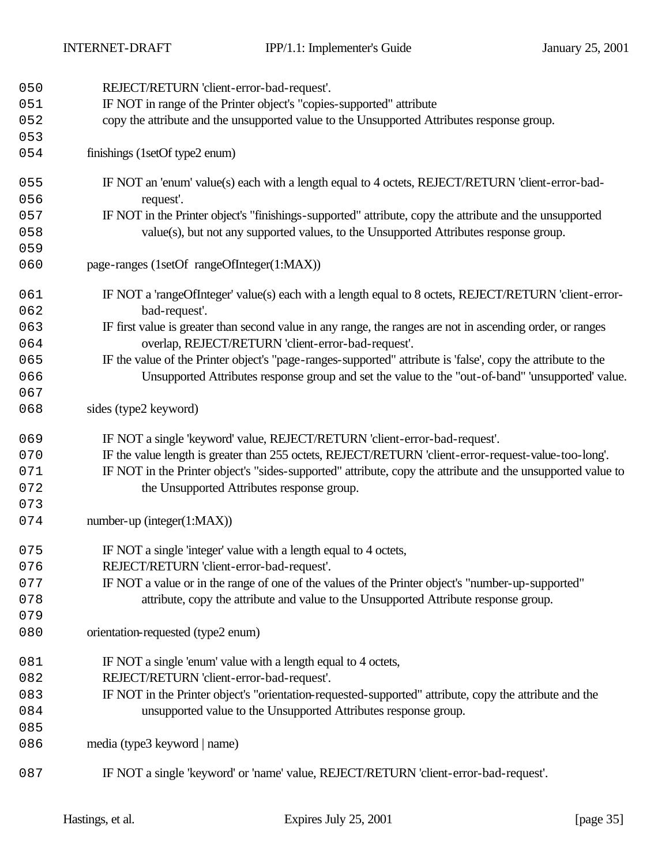| 050        | REJECT/RETURN 'client-error-bad-request'.                                                                                                                        |
|------------|------------------------------------------------------------------------------------------------------------------------------------------------------------------|
| 051        | IF NOT in range of the Printer object's "copies-supported" attribute                                                                                             |
| 052        | copy the attribute and the unsupported value to the Unsupported Attributes response group.                                                                       |
| 053        |                                                                                                                                                                  |
| 054        | finishings (1setOf type2 enum)                                                                                                                                   |
| 055        | IF NOT an 'enum' value(s) each with a length equal to 4 octets, REJECT/RETURN 'client-error-bad-                                                                 |
| 056        | request'.                                                                                                                                                        |
| 057        | IF NOT in the Printer object's "finishings-supported" attribute, copy the attribute and the unsupported                                                          |
| 058        | value(s), but not any supported values, to the Unsupported Attributes response group.                                                                            |
| 059        |                                                                                                                                                                  |
| 060        | page-ranges (1setOf rangeOfInteger(1:MAX))                                                                                                                       |
| 061        | IF NOT a 'rangeOfInteger' value(s) each with a length equal to 8 octets, REJECT/RETURN 'client-error-                                                            |
| 062        | bad-request'.                                                                                                                                                    |
| 063<br>064 | IF first value is greater than second value in any range, the ranges are not in ascending order, or ranges<br>overlap, REJECT/RETURN 'client-error-bad-request'. |
| 065        | IF the value of the Printer object's "page-ranges-supported" attribute is 'false', copy the attribute to the                                                     |
| 066        | Unsupported Attributes response group and set the value to the "out-of-band" 'unsupported' value.                                                                |
| 067        |                                                                                                                                                                  |
| 068        | sides (type2 keyword)                                                                                                                                            |
| 069        | IF NOT a single 'keyword' value, REJECT/RETURN 'client-error-bad-request'.                                                                                       |
| 070        | IF the value length is greater than 255 octets, REJECT/RETURN 'client-error-request-value-too-long'.                                                             |
| 071        | IF NOT in the Printer object's "sides-supported" attribute, copy the attribute and the unsupported value to                                                      |
| 072        | the Unsupported Attributes response group.                                                                                                                       |
| 073        |                                                                                                                                                                  |
| 074        | $number-up (integer(1:MAX))$                                                                                                                                     |
| 075        | IF NOT a single 'integer' value with a length equal to 4 octets,                                                                                                 |
| 076        | REJECT/RETURN 'client-error-bad-request'.                                                                                                                        |
| 077        | IF NOT a value or in the range of one of the values of the Printer object's "number-up-supported"                                                                |
| 078        | attribute, copy the attribute and value to the Unsupported Attribute response group.                                                                             |
| 079        |                                                                                                                                                                  |
| 080        | orientation-requested (type2 enum)                                                                                                                               |
| 081        | IF NOT a single 'enum' value with a length equal to 4 octets,                                                                                                    |
| 082        | REJECT/RETURN 'client-error-bad-request'.                                                                                                                        |
| 083        | IF NOT in the Printer object's "orientation-requested-supported" attribute, copy the attribute and the                                                           |
| 084        | unsupported value to the Unsupported Attributes response group.                                                                                                  |
| 085        |                                                                                                                                                                  |
| 086        | media (type3 keyword   name)                                                                                                                                     |
| 087        | IF NOT a single 'keyword' or 'name' value, REJECT/RETURN 'client-error-bad-request'.                                                                             |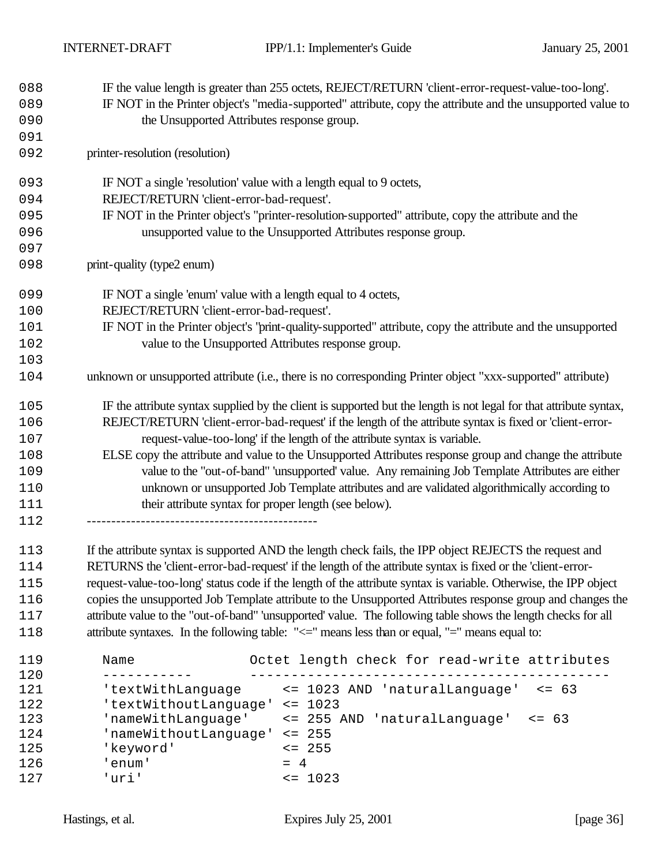| 088 | IF the value length is greater than 255 octets, REJECT/RETURN 'client-error-request-value-too-long'.               |
|-----|--------------------------------------------------------------------------------------------------------------------|
| 089 | IF NOT in the Printer object's "media-supported" attribute, copy the attribute and the unsupported value to        |
| 090 | the Unsupported Attributes response group.                                                                         |
| 091 |                                                                                                                    |
| 092 | printer-resolution (resolution)                                                                                    |
| 093 | IF NOT a single 'resolution' value with a length equal to 9 octets,                                                |
| 094 | REJECT/RETURN 'client-error-bad-request'.                                                                          |
| 095 | IF NOT in the Printer object's "printer-resolution-supported" attribute, copy the attribute and the                |
| 096 | unsupported value to the Unsupported Attributes response group.                                                    |
| 097 |                                                                                                                    |
| 098 | print-quality (type2 enum)                                                                                         |
| 099 | IF NOT a single 'enum' value with a length equal to 4 octets,                                                      |
| 100 | REJECT/RETURN 'client-error-bad-request'.                                                                          |
| 101 | IF NOT in the Printer object's "print-quality-supported" attribute, copy the attribute and the unsupported         |
| 102 | value to the Unsupported Attributes response group.                                                                |
| 103 |                                                                                                                    |
| 104 | unknown or unsupported attribute (i.e., there is no corresponding Printer object "xxx-supported" attribute)        |
| 105 | IF the attribute syntax supplied by the client is supported but the length is not legal for that attribute syntax, |
| 106 | REJECT/RETURN 'client-error-bad-request' if the length of the attribute syntax is fixed or 'client-error-          |
| 107 | request-value-too-long' if the length of the attribute syntax is variable.                                         |
| 108 | ELSE copy the attribute and value to the Unsupported Attributes response group and change the attribute            |
| 109 | value to the "out-of-band" 'unsupported' value. Any remaining Job Template Attributes are either                   |
| 110 | unknown or unsupported Job Template attributes and are validated algorithmically according to                      |
| 111 | their attribute syntax for proper length (see below).                                                              |
| 112 |                                                                                                                    |
| 112 | If the attribute syntax is supported AND the length check fails the IPP object REIECTS the request and             |

 If the attribute syntax is supported AND the length check fails, the IPP object REJECTS the request and RETURNS the 'client-error-bad-request' if the length of the attribute syntax is fixed or the 'client-error- request-value-too-long' status code if the length of the attribute syntax is variable. Otherwise, the IPP object 116 copies the unsupported Job Template attribute to the Unsupported Attributes response group and changes the attribute value to the "out-of-band" 'unsupported' value. The following table shows the length checks for all 118 attribute syntaxes. In the following table: " $\leq$  means less than or equal, "=" means equal to:

| 119 | Name                  | Octet length check for read-write attributes |
|-----|-----------------------|----------------------------------------------|
| 120 |                       |                                              |
| 121 | 'textWithLanguage     | <= 1023 AND 'naturalLanguage'<br>$\leq$ 63   |
| 122 | 'textWithoutLanguage' | $\leq$ 1023                                  |
| 123 | 'nameWithLanguage'    | <= 255 AND 'naturalLanguage'<br>$\leq$ 63    |
| 124 | 'nameWithoutLanguage' | $\leq$ 255                                   |
| 125 | 'keyword'             | $\leq$ 255                                   |
| 126 | enum'                 | $= 4$                                        |
| 127 | י דמנו                | $\leq 1023$                                  |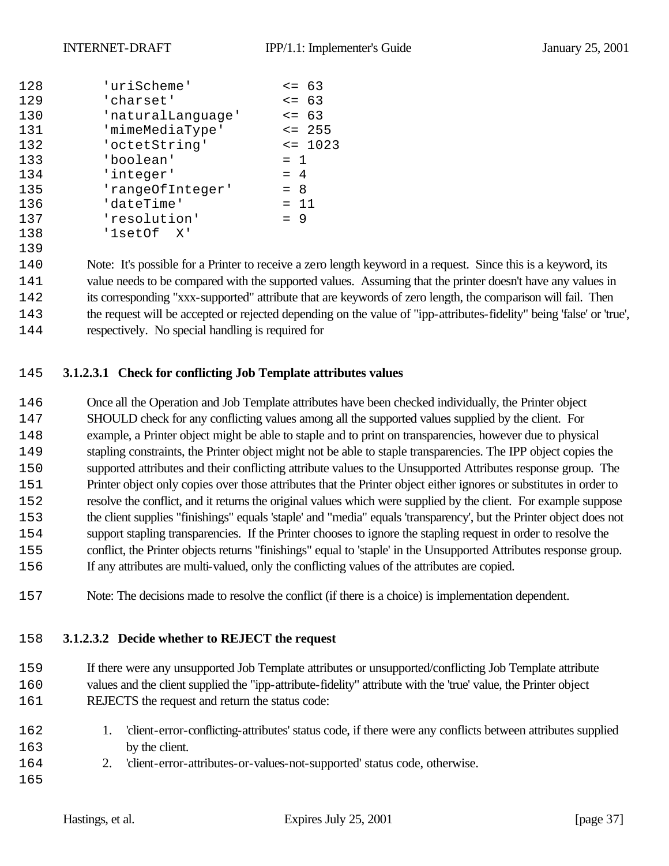| 128 | 'uriScheme'       | $\leq$ 63  |
|-----|-------------------|------------|
| 129 | 'charset'         | $\leq$ 63  |
| 130 | 'naturalLanguage' | $\leq$ 63  |
| 131 | 'mimeMediaType'   | $\leq$ 255 |
| 132 | 'octetString'     | $= 1023$   |
| 133 | 'boolean'         | $= 1$      |
| 134 | 'integer'         | $= 4$      |
| 135 | 'rangeOfInteger'  | $= 8$      |
| 136 | 'dateTime'        | $= 11$     |
| 137 | 'resolution'      | $= 9$      |
| 138 | '1setOf X'        |            |
|     |                   |            |

 Note: It's possible for a Printer to receive a zero length keyword in a request. Since this is a keyword, its value needs to be compared with the supported values. Assuming that the printer doesn't have any values in its corresponding "xxx-supported" attribute that are keywords of zero length, the comparison will fail. Then the request will be accepted or rejected depending on the value of "ipp-attributes-fidelity" being 'false' or 'true', respectively. No special handling is required for

# **3.1.2.3.1 Check for conflicting Job Template attributes values**

 Once all the Operation and Job Template attributes have been checked individually, the Printer object SHOULD check for any conflicting values among all the supported values supplied by the client. For example, a Printer object might be able to staple and to print on transparencies, however due to physical stapling constraints, the Printer object might not be able to staple transparencies. The IPP object copies the supported attributes and their conflicting attribute values to the Unsupported Attributes response group. The Printer object only copies over those attributes that the Printer object either ignores or substitutes in order to resolve the conflict, and it returns the original values which were supplied by the client. For example suppose the client supplies "finishings" equals 'staple' and "media" equals 'transparency', but the Printer object does not support stapling transparencies. If the Printer chooses to ignore the stapling request in order to resolve the conflict, the Printer objects returns "finishings" equal to 'staple' in the Unsupported Attributes response group. If any attributes are multi-valued, only the conflicting values of the attributes are copied.

Note: The decisions made to resolve the conflict (if there is a choice) is implementation dependent.

#### **3.1.2.3.2 Decide whether to REJECT the request**

If there were any unsupported Job Template attributes or unsupported/conflicting Job Template attribute

- values and the client supplied the "ipp-attribute-fidelity" attribute with the 'true' value, the Printer object 161 REJECTS the request and return the status code:
- 1. 'client-error-conflicting-attributes' status code, if there were any conflicts between attributes supplied 163 by the client.
- 2. 'client-error-attributes-or-values-not-supported' status code, otherwise.
-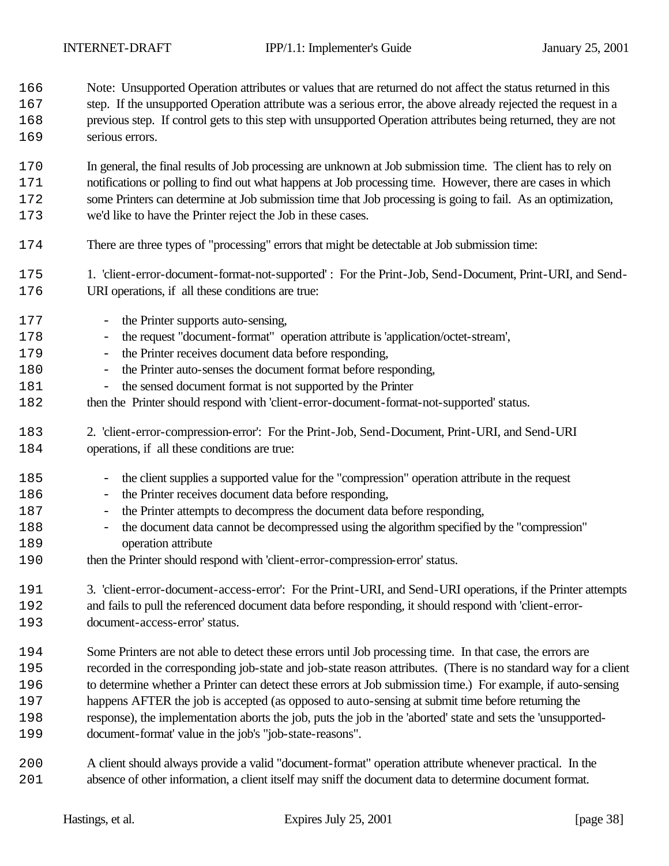Note: Unsupported Operation attributes or values that are returned do not affect the status returned in this 167 step. If the unsupported Operation attribute was a serious error, the above already rejected the request in a

 previous step. If control gets to this step with unsupported Operation attributes being returned, they are not 169 serious errors.

 In general, the final results of Job processing are unknown at Job submission time. The client has to rely on notifications or polling to find out what happens at Job processing time. However, there are cases in which some Printers can determine at Job submission time that Job processing is going to fail. As an optimization, we'd like to have the Printer reject the Job in these cases.

- There are three types of "processing" errors that might be detectable at Job submission time:
- 1. 'client-error-document-format-not-supported' : For the Print-Job, Send-Document, Print-URI, and Send-URI operations, if all these conditions are true:
- 177 the Printer supports auto-sensing, - the request "document-format" operation attribute is 'application/octet-stream',
- 179 the Printer receives document data before responding,
- 180 the Printer auto-senses the document format before responding,
- the sensed document format is not supported by the Printer
- 182 then the Printer should respond with 'client-error-document-format-not-supported' status.
- 2. 'client-error-compression-error': For the Print-Job, Send-Document, Print-URI, and Send-URI 184 operations, if all these conditions are true:
- the client supplies a supported value for the "compression" operation attribute in the request
- 186 the Printer receives document data before responding,
- 187 the Printer attempts to decompress the document data before responding,
- the document data cannot be decompressed using the algorithm specified by the "compression" 189 operation attribute
- then the Printer should respond with 'client-error-compression-error' status.
- 3. 'client-error-document-access-error': For the Print-URI, and Send-URI operations, if the Printer attempts
- and fails to pull the referenced document data before responding, it should respond with 'client-error-document-access-error' status.
- Some Printers are not able to detect these errors until Job processing time. In that case, the errors are recorded in the corresponding job-state and job-state reason attributes. (There is no standard way for a client
- to determine whether a Printer can detect these errors at Job submission time.) For example, if auto-sensing
- happens AFTER the job is accepted (as opposed to auto-sensing at submit time before returning the
- response), the implementation aborts the job, puts the job in the 'aborted' state and sets the 'unsupported-document-format' value in the job's "job-state-reasons".
- A client should always provide a valid "document-format" operation attribute whenever practical. In the absence of other information, a client itself may sniff the document data to determine document format.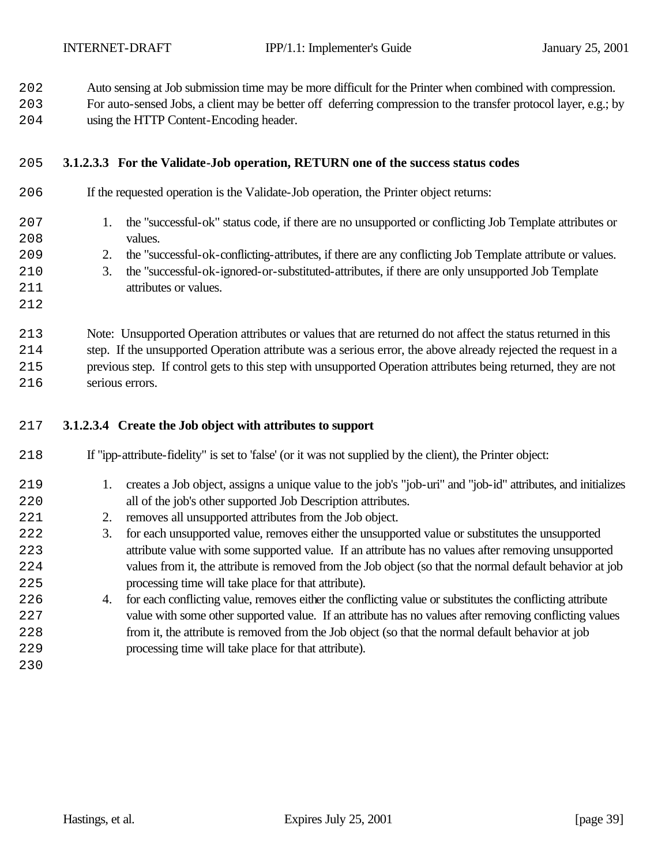Auto sensing at Job submission time may be more difficult for the Printer when combined with compression.

 For auto-sensed Jobs, a client may be better off deferring compression to the transfer protocol layer, e.g.; by using the HTTP Content-Encoding header.

## **3.1.2.3.3 For the Validate-Job operation, RETURN one of the success status codes**

| 206 | If the requested operation is the Validate-Job operation, the Printer object returns:                           |
|-----|-----------------------------------------------------------------------------------------------------------------|
| 207 | the "successful-ok" status code, if there are no unsupported or conflicting Job Template attributes or<br>1.    |
| 208 | values.                                                                                                         |
| 209 | the "successful-ok-conflicting-attributes, if there are any conflicting Job Template attribute or values.<br>2. |
| 210 | the "successful-ok-ignored-or-substituted-attributes, if there are only unsupported Job Template<br>3.          |
| 211 | attributes or values.                                                                                           |
| 212 |                                                                                                                 |
| 213 | Note: Unsupported Operation attributes or values that are returned do not affect the status returned in this    |
| 214 | step. If the unsupported Operation attribute was a serious error, the above already rejected the request in a   |
| 215 | previous step. If control gets to this step with unsupported Operation attributes being returned, they are not  |
| 216 | serious errors.                                                                                                 |

#### **3.1.2.3.4 Create the Job object with attributes to support**

- 1. creates a Job object, assigns a unique value to the job's "job-uri" and "job-id" attributes, and initializes 220 all of the job's other supported Job Description attributes.
- 221 2. removes all unsupported attributes from the Job object.
- 3. for each unsupported value, removes either the unsupported value or substitutes the unsupported attribute value with some supported value. If an attribute has no values after removing unsupported values from it, the attribute is removed from the Job object (so that the normal default behavior at job processing time will take place for that attribute).
- 4. for each conflicting value, removes either the conflicting value or substitutes the conflicting attribute value with some other supported value. If an attribute has no values after removing conflicting values from it, the attribute is removed from the Job object (so that the normal default behavior at job processing time will take place for that attribute).
-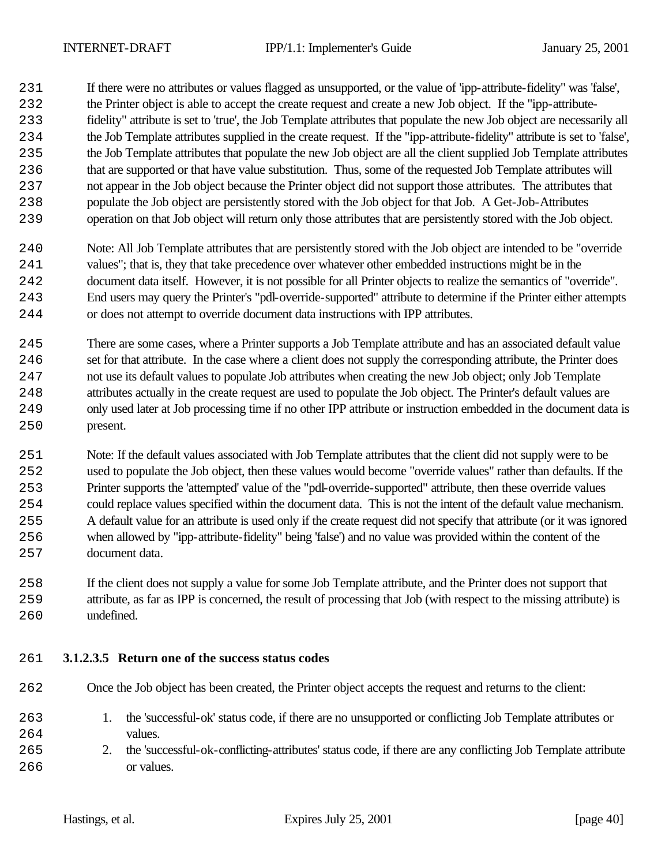If there were no attributes or values flagged as unsupported, or the value of 'ipp-attribute-fidelity" was 'false',

- 232 the Printer object is able to accept the create request and create a new Job object. If the "ipp-attribute-
- fidelity" attribute is set to 'true', the Job Template attributes that populate the new Job object are necessarily all
- the Job Template attributes supplied in the create request. If the "ipp-attribute-fidelity" attribute is set to 'false',
- the Job Template attributes that populate the new Job object are all the client supplied Job Template attributes that are supported or that have value substitution. Thus, some of the requested Job Template attributes will not appear in the Job object because the Printer object did not support those attributes. The attributes that
	- populate the Job object are persistently stored with the Job object for that Job. A Get-Job-Attributes operation on that Job object will return only those attributes that are persistently stored with the Job object.
	- Note: All Job Template attributes that are persistently stored with the Job object are intended to be "override values"; that is, they that take precedence over whatever other embedded instructions might be in the document data itself. However, it is not possible for all Printer objects to realize the semantics of "override". End users may query the Printer's "pdl-override-supported" attribute to determine if the Printer either attempts or does not attempt to override document data instructions with IPP attributes.
	- There are some cases, where a Printer supports a Job Template attribute and has an associated default value set for that attribute. In the case where a client does not supply the corresponding attribute, the Printer does not use its default values to populate Job attributes when creating the new Job object; only Job Template attributes actually in the create request are used to populate the Job object. The Printer's default values are only used later at Job processing time if no other IPP attribute or instruction embedded in the document data is present.
	- Note: If the default values associated with Job Template attributes that the client did not supply were to be used to populate the Job object, then these values would become "override values" rather than defaults. If the Printer supports the 'attempted' value of the "pdl-override-supported" attribute, then these override values could replace values specified within the document data. This is not the intent of the default value mechanism. A default value for an attribute is used only if the create request did not specify that attribute (or it was ignored when allowed by "ipp-attribute-fidelity" being 'false') and no value was provided within the content of the document data.
	- If the client does not supply a value for some Job Template attribute, and the Printer does not support that attribute, as far as IPP is concerned, the result of processing that Job (with respect to the missing attribute) is undefined.

## **3.1.2.3.5 Return one of the success status codes**

- Once the Job object has been created, the Printer object accepts the request and returns to the client:
- 1. the 'successful-ok' status code, if there are no unsupported or conflicting Job Template attributes or 264 values.
- 2. the 'successful-ok-conflicting-attributes' status code, if there are any conflicting Job Template attribute or values.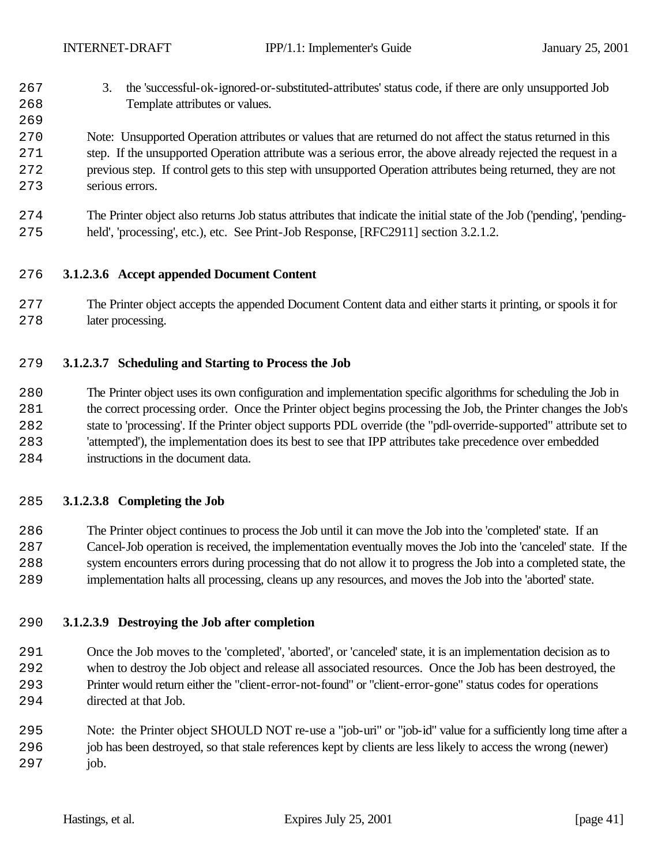- 3. the 'successful-ok-ignored-or-substituted-attributes' status code, if there are only unsupported Job 268 Template attributes or values.
- Note: Unsupported Operation attributes or values that are returned do not affect the status returned in this step. If the unsupported Operation attribute was a serious error, the above already rejected the request in a previous step. If control gets to this step with unsupported Operation attributes being returned, they are not serious errors.
- The Printer object also returns Job status attributes that indicate the initial state of the Job ('pending', 'pending-held', 'processing', etc.), etc. See Print-Job Response, [RFC2911] section 3.2.1.2.

#### **3.1.2.3.6 Accept appended Document Content**

 The Printer object accepts the appended Document Content data and either starts it printing, or spools it for 278 later processing.

#### **3.1.2.3.7 Scheduling and Starting to Process the Job**

 The Printer object uses its own configuration and implementation specific algorithms for scheduling the Job in the correct processing order. Once the Printer object begins processing the Job, the Printer changes the Job's state to 'processing'. If the Printer object supports PDL override (the "pdl-override-supported" attribute set to 'attempted'), the implementation does its best to see that IPP attributes take precedence over embedded instructions in the document data.

#### **3.1.2.3.8 Completing the Job**

 The Printer object continues to process the Job until it can move the Job into the 'completed' state. If an Cancel-Job operation is received, the implementation eventually moves the Job into the 'canceled' state. If the system encounters errors during processing that do not allow it to progress the Job into a completed state, the implementation halts all processing, cleans up any resources, and moves the Job into the 'aborted' state.

## **3.1.2.3.9 Destroying the Job after completion**

 Once the Job moves to the 'completed', 'aborted', or 'canceled' state, it is an implementation decision as to when to destroy the Job object and release all associated resources. Once the Job has been destroyed, the Printer would return either the "client-error-not-found" or "client-error-gone" status codes for operations directed at that Job.

 Note: the Printer object SHOULD NOT re-use a "job-uri" or "job-id" value for a sufficiently long time after a job has been destroyed, so that stale references kept by clients are less likely to access the wrong (newer) 297 job.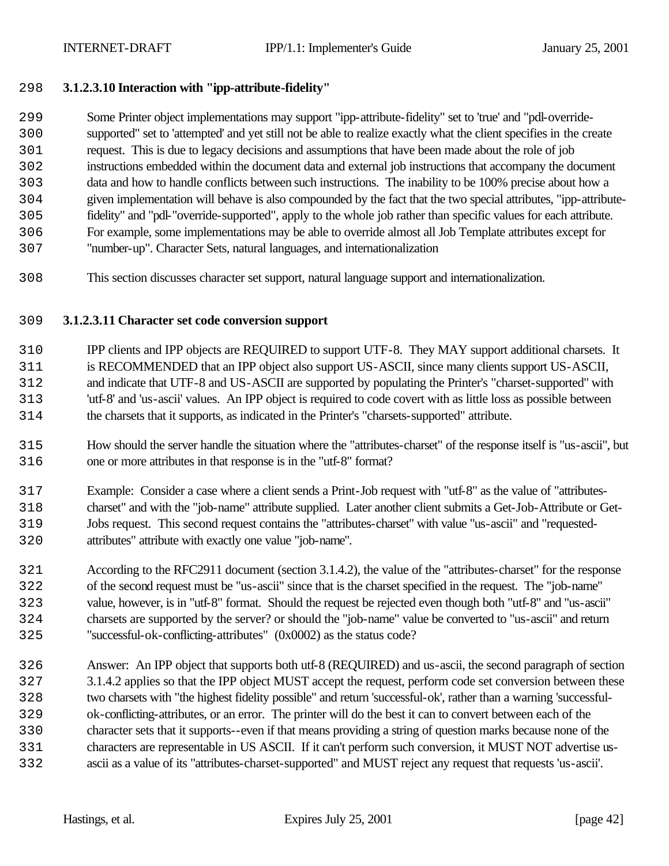#### **3.1.2.3.10 Interaction with "ipp-attribute-fidelity"**

- Some Printer object implementations may support "ipp-attribute-fidelity" set to 'true' and "pdl-override- supported" set to 'attempted' and yet still not be able to realize exactly what the client specifies in the create request. This is due to legacy decisions and assumptions that have been made about the role of job instructions embedded within the document data and external job instructions that accompany the document data and how to handle conflicts between such instructions. The inability to be 100% precise about how a given implementation will behave is also compounded by the fact that the two special attributes, "ipp-attribute- fidelity" and "pdl-"override-supported", apply to the whole job rather than specific values for each attribute. For example, some implementations may be able to override almost all Job Template attributes except for
- "number-up". Character Sets, natural languages, and internationalization
- This section discusses character set support, natural language support and internationalization.

#### **3.1.2.3.11 Character set code conversion support**

- IPP clients and IPP objects are REQUIRED to support UTF-8. They MAY support additional charsets. It is RECOMMENDED that an IPP object also support US-ASCII, since many clients support US-ASCII, and indicate that UTF-8 and US-ASCII are supported by populating the Printer's "charset-supported" with 'utf-8' and 'us-ascii' values. An IPP object is required to code covert with as little loss as possible between the charsets that it supports, as indicated in the Printer's "charsets-supported" attribute.
- How should the server handle the situation where the "attributes-charset" of the response itself is "us-ascii", but one or more attributes in that response is in the "utf-8" format?
- Example: Consider a case where a client sends a Print-Job request with "utf-8" as the value of "attributes- charset" and with the "job-name" attribute supplied. Later another client submits a Get-Job-Attribute or Get- Jobs request. This second request contains the "attributes-charset" with value "us-ascii" and "requested-attributes" attribute with exactly one value "job-name".
- According to the RFC2911 document (section 3.1.4.2), the value of the "attributes-charset" for the response of the second request must be "us-ascii" since that is the charset specified in the request. The "job-name" value, however, is in "utf-8" format. Should the request be rejected even though both "utf-8" and "us-ascii" charsets are supported by the server? or should the "job-name" value be converted to "us-ascii" and return "successful-ok-conflicting-attributes" (0x0002) as the status code?
- Answer: An IPP object that supports both utf-8 (REQUIRED) and us-ascii, the second paragraph of section 3.1.4.2 applies so that the IPP object MUST accept the request, perform code set conversion between these two charsets with "the highest fidelity possible" and return 'successful-ok', rather than a warning 'successful- ok-conflicting-attributes, or an error. The printer will do the best it can to convert between each of the character sets that it supports--even if that means providing a string of question marks because none of the characters are representable in US ASCII. If it can't perform such conversion, it MUST NOT advertise us-ascii as a value of its "attributes-charset-supported" and MUST reject any request that requests 'us-ascii'.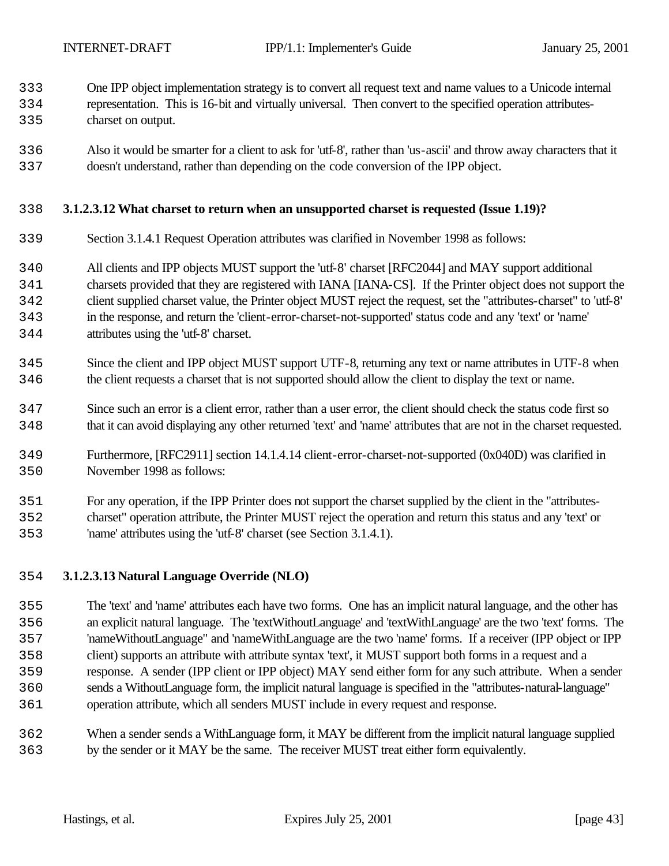One IPP object implementation strategy is to convert all request text and name values to a Unicode internal

- representation. This is 16-bit and virtually universal. Then convert to the specified operation attributes-charset on output.
- Also it would be smarter for a client to ask for 'utf-8', rather than 'us-ascii' and throw away characters that it doesn't understand, rather than depending on the code conversion of the IPP object.

#### **3.1.2.3.12 What charset to return when an unsupported charset is requested (Issue 1.19)?**

- Section 3.1.4.1 Request Operation attributes was clarified in November 1998 as follows:
- All clients and IPP objects MUST support the 'utf-8' charset [RFC2044] and MAY support additional
- charsets provided that they are registered with IANA [IANA-CS]. If the Printer object does not support the
- client supplied charset value, the Printer object MUST reject the request, set the "attributes-charset" to 'utf-8'
- in the response, and return the 'client-error-charset-not-supported' status code and any 'text' or 'name' attributes using the 'utf-8' charset.
- Since the client and IPP object MUST support UTF-8, returning any text or name attributes in UTF-8 when the client requests a charset that is not supported should allow the client to display the text or name.
- Since such an error is a client error, rather than a user error, the client should check the status code first so that it can avoid displaying any other returned 'text' and 'name' attributes that are not in the charset requested.
- Furthermore, [RFC2911] section 14.1.4.14 client-error-charset-not-supported (0x040D) was clarified in November 1998 as follows:
- For any operation, if the IPP Printer does not support the charset supplied by the client in the "attributes- charset" operation attribute, the Printer MUST reject the operation and return this status and any 'text' or 'name' attributes using the 'utf-8' charset (see Section 3.1.4.1).

# **3.1.2.3.13 Natural Language Override (NLO)**

- The 'text' and 'name' attributes each have two forms. One has an implicit natural language, and the other has an explicit natural language. The 'textWithoutLanguage' and 'textWithLanguage' are the two 'text' forms. The 'nameWithoutLanguage" and 'nameWithLanguage are the two 'name' forms. If a receiver (IPP object or IPP client) supports an attribute with attribute syntax 'text', it MUST support both forms in a request and a response. A sender (IPP client or IPP object) MAY send either form for any such attribute. When a sender sends a WithoutLanguage form, the implicit natural language is specified in the "attributes-natural-language" operation attribute, which all senders MUST include in every request and response.
- When a sender sends a WithLanguage form, it MAY be different from the implicit natural language supplied by the sender or it MAY be the same. The receiver MUST treat either form equivalently.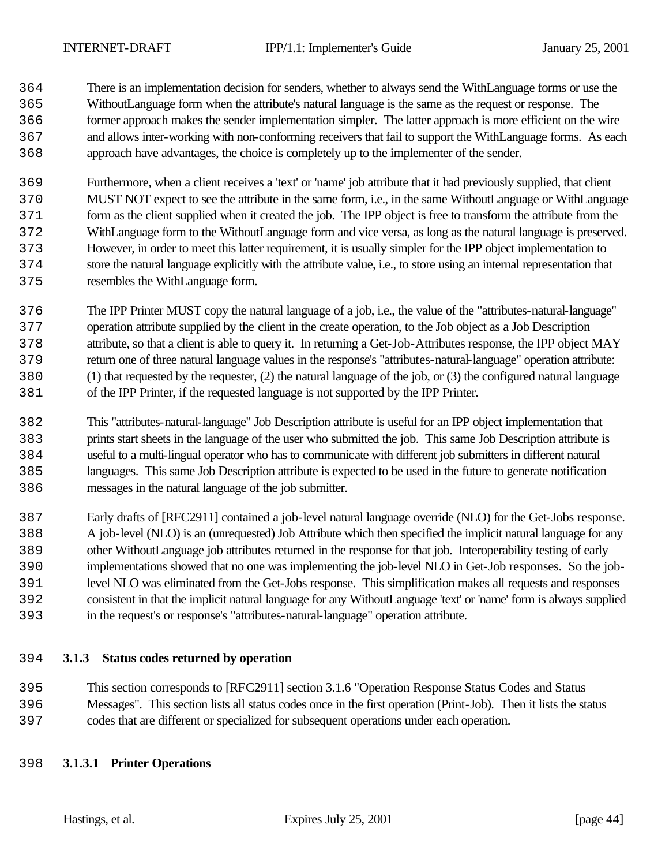There is an implementation decision for senders, whether to always send the WithLanguage forms or use the WithoutLanguage form when the attribute's natural language is the same as the request or response. The former approach makes the sender implementation simpler. The latter approach is more efficient on the wire and allows inter-working with non-conforming receivers that fail to support the WithLanguage forms. As each approach have advantages, the choice is completely up to the implementer of the sender.

 Furthermore, when a client receives a 'text' or 'name' job attribute that it had previously supplied, that client MUST NOT expect to see the attribute in the same form, i.e., in the same WithoutLanguage or WithLanguage form as the client supplied when it created the job. The IPP object is free to transform the attribute from the WithLanguage form to the WithoutLanguage form and vice versa, as long as the natural language is preserved. However, in order to meet this latter requirement, it is usually simpler for the IPP object implementation to store the natural language explicitly with the attribute value, i.e., to store using an internal representation that resembles the WithLanguage form.

 The IPP Printer MUST copy the natural language of a job, i.e., the value of the "attributes-natural-language" operation attribute supplied by the client in the create operation, to the Job object as a Job Description attribute, so that a client is able to query it. In returning a Get-Job-Attributes response, the IPP object MAY return one of three natural language values in the response's "attributes-natural-language" operation attribute: (1) that requested by the requester, (2) the natural language of the job, or (3) the configured natural language of the IPP Printer, if the requested language is not supported by the IPP Printer.

 This "attributes-natural-language" Job Description attribute is useful for an IPP object implementation that prints start sheets in the language of the user who submitted the job. This same Job Description attribute is useful to a multi-lingual operator who has to communicate with different job submitters in different natural languages. This same Job Description attribute is expected to be used in the future to generate notification messages in the natural language of the job submitter.

 Early drafts of [RFC2911] contained a job-level natural language override (NLO) for the Get-Jobs response. A job-level (NLO) is an (unrequested) Job Attribute which then specified the implicit natural language for any other WithoutLanguage job attributes returned in the response for that job. Interoperability testing of early implementations showed that no one was implementing the job-level NLO in Get-Job responses. So the job- level NLO was eliminated from the Get-Jobs response. This simplification makes all requests and responses consistent in that the implicit natural language for any WithoutLanguage 'text' or 'name' form is always supplied in the request's or response's "attributes-natural-language" operation attribute.

## **3.1.3 Status codes returned by operation**

 This section corresponds to [RFC2911] section 3.1.6 "Operation Response Status Codes and Status Messages". This section lists all status codes once in the first operation (Print-Job). Then it lists the status codes that are different or specialized for subsequent operations under each operation.

## **3.1.3.1 Printer Operations**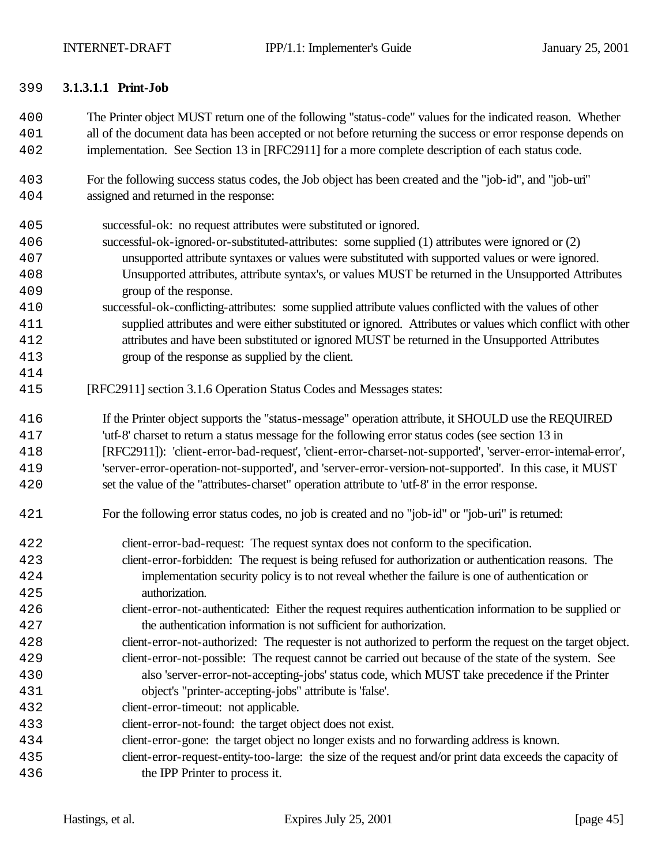#### **3.1.3.1.1 Print-Job**

- The Printer object MUST return one of the following "status-code" values for the indicated reason. Whether all of the document data has been accepted or not before returning the success or error response depends on implementation. See Section 13 in [RFC2911] for a more complete description of each status code.
- For the following success status codes, the Job object has been created and the "job-id", and "job-uri" assigned and returned in the response:
- successful-ok: no request attributes were substituted or ignored.
- successful-ok-ignored-or-substituted-attributes: some supplied (1) attributes were ignored or (2) unsupported attribute syntaxes or values were substituted with supported values or were ignored. Unsupported attributes, attribute syntax's, or values MUST be returned in the Unsupported Attributes group of the response.
- successful-ok-conflicting-attributes: some supplied attribute values conflicted with the values of other supplied attributes and were either substituted or ignored. Attributes or values which conflict with other attributes and have been substituted or ignored MUST be returned in the Unsupported Attributes group of the response as supplied by the client.
- [RFC2911] section 3.1.6 Operation Status Codes and Messages states:

 If the Printer object supports the "status-message" operation attribute, it SHOULD use the REQUIRED 'utf-8' charset to return a status message for the following error status codes (see section 13 in [RFC2911]): 'client-error-bad-request', 'client-error-charset-not-supported', 'server-error-internal-error', 'server-error-operation-not-supported', and 'server-error-version-not-supported'. In this case, it MUST set the value of the "attributes-charset" operation attribute to 'utf-8' in the error response.

- For the following error status codes, no job is created and no "job-id" or "job-uri" is returned:
- client-error-bad-request: The request syntax does not conform to the specification. client-error-forbidden: The request is being refused for authorization or authentication reasons. The
- implementation security policy is to not reveal whether the failure is one of authentication or authorization.
- client-error-not-authenticated: Either the request requires authentication information to be supplied or the authentication information is not sufficient for authorization.
- client-error-not-authorized: The requester is not authorized to perform the request on the target object.
- client-error-not-possible: The request cannot be carried out because of the state of the system. See also 'server-error-not-accepting-jobs' status code, which MUST take precedence if the Printer object's "printer-accepting-jobs" attribute is 'false'.
- client-error-timeout: not applicable.
- client-error-not-found: the target object does not exist.
- client-error-gone: the target object no longer exists and no forwarding address is known.
- client-error-request-entity-too-large: the size of the request and/or print data exceeds the capacity of the IPP Printer to process it.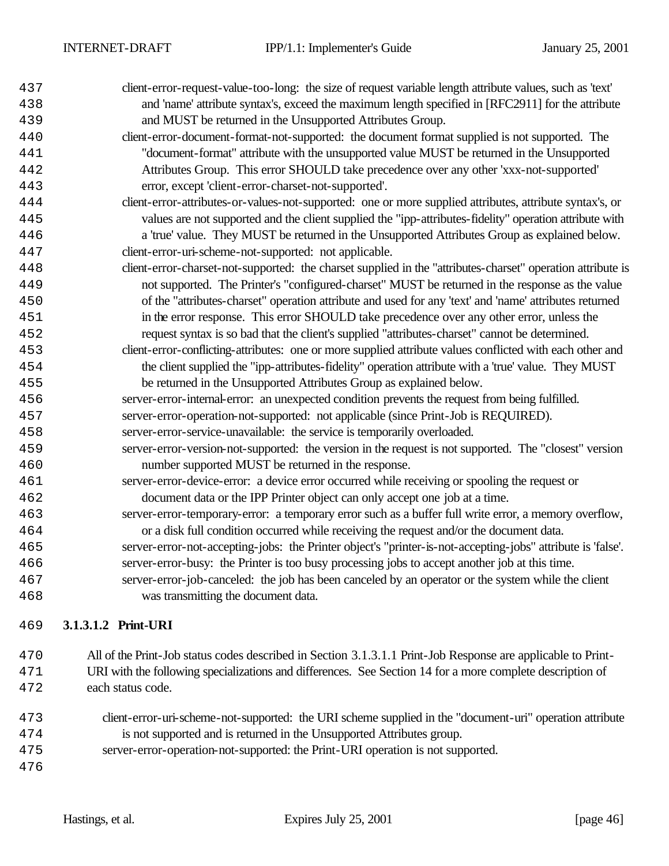| 437 | client-error-request-value-too-long: the size of request variable length attribute values, such as 'text'   |
|-----|-------------------------------------------------------------------------------------------------------------|
| 438 | and 'name' attribute syntax's, exceed the maximum length specified in [RFC2911] for the attribute           |
| 439 | and MUST be returned in the Unsupported Attributes Group.                                                   |
| 440 | client-error-document-format-not-supported: the document format supplied is not supported. The              |
| 441 | "document-format" attribute with the unsupported value MUST be returned in the Unsupported                  |
| 442 | Attributes Group. This error SHOULD take precedence over any other 'xxx-not-supported'                      |
| 443 | error, except 'client-error-charset-not-supported'.                                                         |
| 444 | client-error-attributes-or-values-not-supported: one or more supplied attributes, attribute syntax's, or    |
| 445 | values are not supported and the client supplied the "ipp-attributes-fidelity" operation attribute with     |
| 446 | a 'true' value. They MUST be returned in the Unsupported Attributes Group as explained below.               |
| 447 | client-error-uri-scheme-not-supported: not applicable.                                                      |
| 448 | client-error-charset-not-supported: the charset supplied in the "attributes-charset" operation attribute is |
| 449 | not supported. The Printer's "configured-charset" MUST be returned in the response as the value             |
| 450 | of the "attributes-charset" operation attribute and used for any 'text' and 'name' attributes returned      |
| 451 | in the error response. This error SHOULD take precedence over any other error, unless the                   |
| 452 | request syntax is so bad that the client's supplied "attributes-charset" cannot be determined.              |
| 453 | client-error-conflicting-attributes: one or more supplied attribute values conflicted with each other and   |
| 454 | the client supplied the "ipp-attributes-fidelity" operation attribute with a 'true' value. They MUST        |
| 455 | be returned in the Unsupported Attributes Group as explained below.                                         |
| 456 | server-error-internal-error: an unexpected condition prevents the request from being fulfilled.             |
| 457 | server-error-operation-not-supported: not applicable (since Print-Job is REQUIRED).                         |
| 458 | server-error-service-unavailable: the service is temporarily overloaded.                                    |
| 459 | server-error-version-not-supported: the version in the request is not supported. The "closest" version      |
| 460 | number supported MUST be returned in the response.                                                          |
| 461 | server-error-device-error: a device error occurred while receiving or spooling the request or               |
| 462 | document data or the IPP Printer object can only accept one job at a time.                                  |
| 463 | server-error-temporary-error: a temporary error such as a buffer full write error, a memory overflow,       |
| 464 | or a disk full condition occurred while receiving the request and/or the document data.                     |
| 465 | server-error-not-accepting-jobs: the Printer object's "printer-is-not-accepting-jobs" attribute is 'false'. |
| 466 | server-error-busy: the Printer is too busy processing jobs to accept another job at this time.              |
| 467 | server-error-job-canceled: the job has been canceled by an operator or the system while the client          |
| 468 | was transmitting the document data.                                                                         |
|     |                                                                                                             |

## **3.1.3.1.2 Print-URI**

 All of the Print-Job status codes described in Section 3.1.3.1.1 Print-Job Response are applicable to Print- URI with the following specializations and differences. See Section 14 for a more complete description of each status code.

- client-error-uri-scheme-not-supported: the URI scheme supplied in the "document-uri" operation attribute is not supported and is returned in the Unsupported Attributes group.
- server-error-operation-not-supported: the Print-URI operation is not supported.
-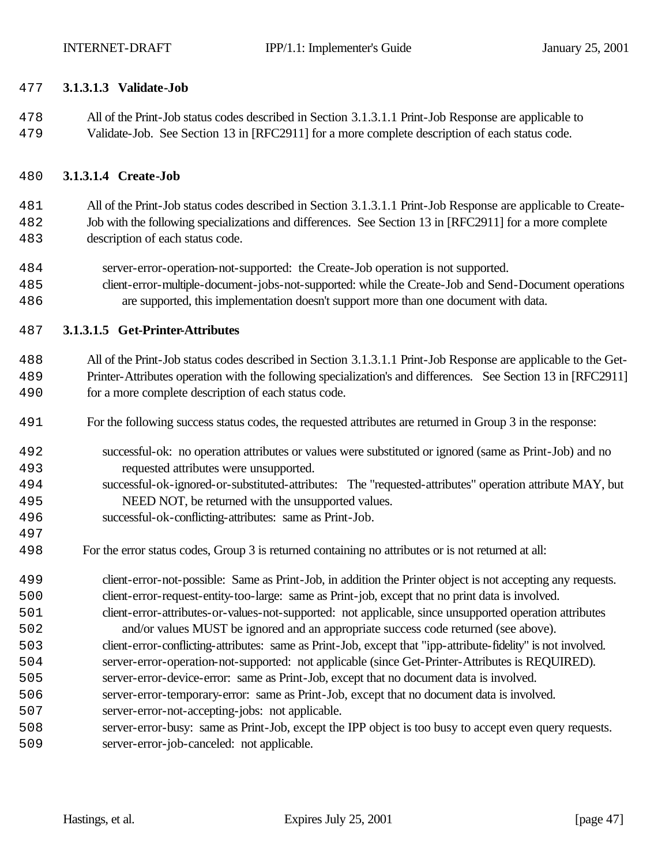#### **3.1.3.1.3 Validate-Job**

 All of the Print-Job status codes described in Section 3.1.3.1.1 Print-Job Response are applicable to Validate-Job. See Section 13 in [RFC2911] for a more complete description of each status code.

#### **3.1.3.1.4 Create-Job**

 All of the Print-Job status codes described in Section 3.1.3.1.1 Print-Job Response are applicable to Create- Job with the following specializations and differences. See Section 13 in [RFC2911] for a more complete description of each status code.

- server-error-operation-not-supported: the Create-Job operation is not supported.
- client-error-multiple-document-jobs-not-supported: while the Create-Job and Send-Document operations are supported, this implementation doesn't support more than one document with data.

#### **3.1.3.1.5 Get-Printer-Attributes**

 All of the Print-Job status codes described in Section 3.1.3.1.1 Print-Job Response are applicable to the Get- Printer-Attributes operation with the following specialization's and differences. See Section 13 in [RFC2911] for a more complete description of each status code.

- For the following success status codes, the requested attributes are returned in Group 3 in the response:
- successful-ok: no operation attributes or values were substituted or ignored (same as Print-Job) and no requested attributes were unsupported.
- successful-ok-ignored-or-substituted-attributes: The "requested-attributes" operation attribute MAY, but NEED NOT, be returned with the unsupported values.
- successful-ok-conflicting-attributes: same as Print-Job.
- For the error status codes, Group 3 is returned containing no attributes or is not returned at all:
- client-error-not-possible: Same as Print-Job, in addition the Printer object is not accepting any requests. client-error-request-entity-too-large: same as Print-job, except that no print data is involved.
- client-error-attributes-or-values-not-supported: not applicable, since unsupported operation attributes and/or values MUST be ignored and an appropriate success code returned (see above).
- client-error-conflicting-attributes: same as Print-Job, except that "ipp-attribute-fidelity" is not involved. server-error-operation-not-supported: not applicable (since Get-Printer-Attributes is REQUIRED).
- server-error-device-error: same as Print-Job, except that no document data is involved.
- server-error-temporary-error: same as Print-Job, except that no document data is involved.
- server-error-not-accepting-jobs: not applicable.
- server-error-busy: same as Print-Job, except the IPP object is too busy to accept even query requests. server-error-job-canceled: not applicable.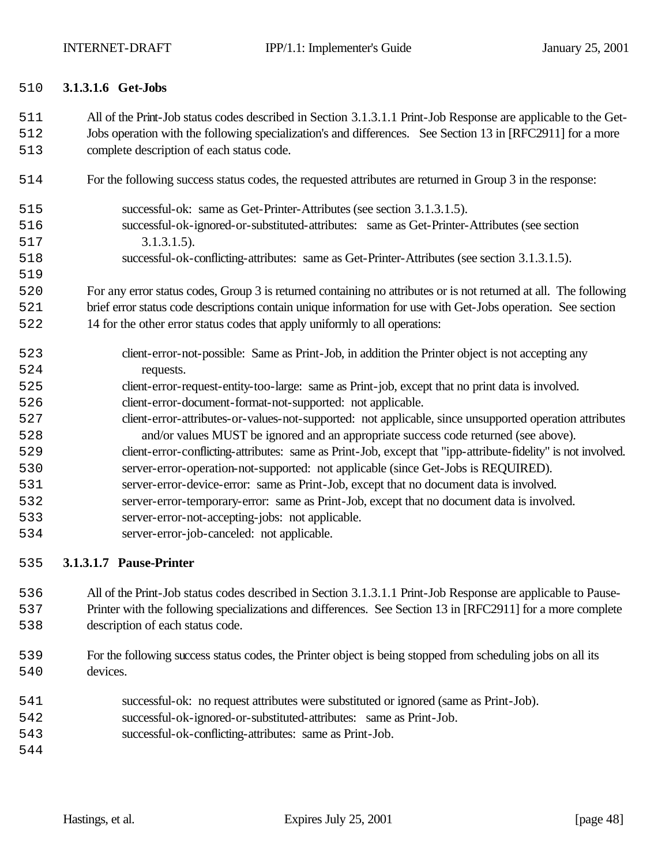#### **3.1.3.1.6 Get-Jobs**

- All of the Print-Job status codes described in Section 3.1.3.1.1 Print-Job Response are applicable to the Get- Jobs operation with the following specialization's and differences. See Section 13 in [RFC2911] for a more complete description of each status code.
- For the following success status codes, the requested attributes are returned in Group 3 in the response:
- successful-ok: same as Get-Printer-Attributes (see section 3.1.3.1.5). successful-ok-ignored-or-substituted-attributes: same as Get-Printer-Attributes (see section 3.1.3.1.5).
- successful-ok-conflicting-attributes: same as Get-Printer-Attributes (see section 3.1.3.1.5).
- For any error status codes, Group 3 is returned containing no attributes or is not returned at all. The following brief error status code descriptions contain unique information for use with Get-Jobs operation. See section
- 14 for the other error status codes that apply uniformly to all operations:
- client-error-not-possible: Same as Print-Job, in addition the Printer object is not accepting any requests. client-error-request-entity-too-large: same as Print-job, except that no print data is involved. client-error-document-format-not-supported: not applicable. client-error-attributes-or-values-not-supported: not applicable, since unsupported operation attributes and/or values MUST be ignored and an appropriate success code returned (see above). client-error-conflicting-attributes: same as Print-Job, except that "ipp-attribute-fidelity" is not involved. server-error-operation-not-supported: not applicable (since Get-Jobs is REQUIRED). server-error-device-error: same as Print-Job, except that no document data is involved. server-error-temporary-error: same as Print-Job, except that no document data is involved. server-error-not-accepting-jobs: not applicable. server-error-job-canceled: not applicable.

#### **3.1.3.1.7 Pause-Printer**

- All of the Print-Job status codes described in Section 3.1.3.1.1 Print-Job Response are applicable to Pause- Printer with the following specializations and differences. See Section 13 in [RFC2911] for a more complete description of each status code.
- For the following success status codes, the Printer object is being stopped from scheduling jobs on all its 540 devices.
- successful-ok: no request attributes were substituted or ignored (same as Print-Job).
- successful-ok-ignored-or-substituted-attributes: same as Print-Job.
- successful-ok-conflicting-attributes: same as Print-Job.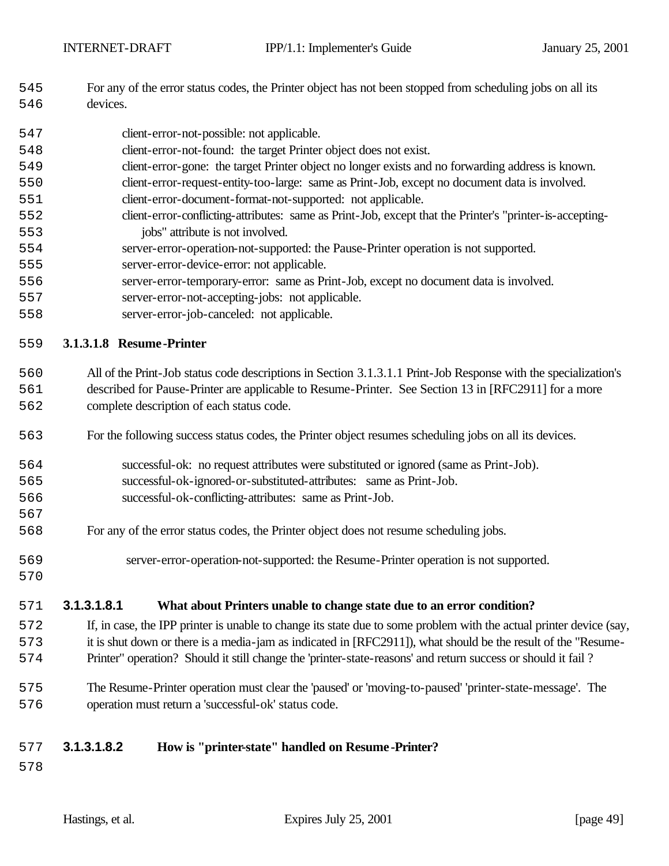- For any of the error status codes, the Printer object has not been stopped from scheduling jobs on all its devices.
- client-error-not-possible: not applicable.
- client-error-not-found: the target Printer object does not exist.
- client-error-gone: the target Printer object no longer exists and no forwarding address is known.
- client-error-request-entity-too-large: same as Print-Job, except no document data is involved.
- client-error-document-format-not-supported: not applicable.
- client-error-conflicting-attributes: same as Print-Job, except that the Printer's "printer-is-accepting-jobs" attribute is not involved.
- server-error-operation-not-supported: the Pause-Printer operation is not supported.
- server-error-device-error: not applicable.
- server-error-temporary-error: same as Print-Job, except no document data is involved.
- server-error-not-accepting-jobs: not applicable.
- server-error-job-canceled: not applicable.

#### **3.1.3.1.8 Resume -Printer**

 All of the Print-Job status code descriptions in Section 3.1.3.1.1 Print-Job Response with the specialization's described for Pause-Printer are applicable to Resume-Printer. See Section 13 in [RFC2911] for a more complete description of each status code.

- For the following success status codes, the Printer object resumes scheduling jobs on all its devices.
- successful-ok: no request attributes were substituted or ignored (same as Print-Job). successful-ok-ignored-or-substituted-attributes: same as Print-Job.
- successful-ok-conflicting-attributes: same as Print-Job.
- For any of the error status codes, the Printer object does not resume scheduling jobs.
- server-error-operation-not-supported: the Resume-Printer operation is not supported.
- 

#### **3.1.3.1.8.1 What about Printers unable to change state due to an error condition?**

- If, in case, the IPP printer is unable to change its state due to some problem with the actual printer device (say, it is shut down or there is a media-jam as indicated in [RFC2911]), what should be the result of the "Resume-Printer" operation? Should it still change the 'printer-state-reasons' and return success or should it fail ?
- The Resume-Printer operation must clear the 'paused' or 'moving-to-paused' 'printer-state-message'. The operation must return a 'successful-ok' status code.

## **3.1.3.1.8.2 How is "printer-state" handled on Resume -Printer?**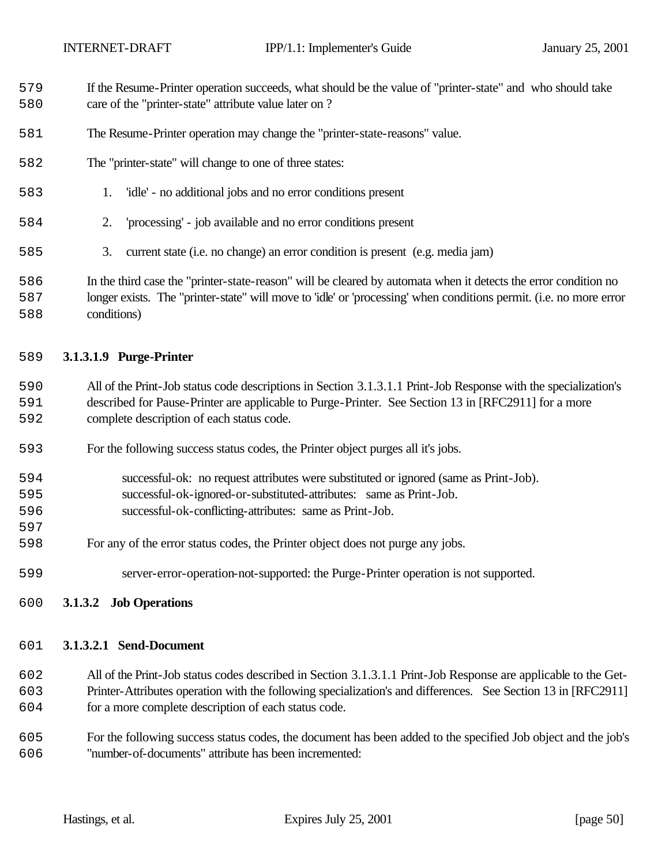- If the Resume-Printer operation succeeds, what should be the value of "printer-state" and who should take care of the "printer-state" attribute value later on ?
- The Resume-Printer operation may change the "printer-state-reasons" value.
- The "printer-state" will change to one of three states:
- 1. 'idle' no additional jobs and no error conditions present
- 2. 'processing' job available and no error conditions present
- 3. current state (i.e. no change) an error condition is present (e.g. media jam)
- In the third case the "printer-state-reason" will be cleared by automata when it detects the error condition no longer exists. The "printer-state" will move to 'idle' or 'processing' when conditions permit. (i.e. no more error conditions)

#### **3.1.3.1.9 Purge-Printer**

- All of the Print-Job status code descriptions in Section 3.1.3.1.1 Print-Job Response with the specialization's described for Pause-Printer are applicable to Purge-Printer. See Section 13 in [RFC2911] for a more complete description of each status code.
- For the following success status codes, the Printer object purges all it's jobs.
- successful-ok: no request attributes were substituted or ignored (same as Print-Job). successful-ok-ignored-or-substituted-attributes: same as Print-Job.
- successful-ok-conflicting-attributes: same as Print-Job.
- For any of the error status codes, the Printer object does not purge any jobs.
- server-error-operation-not-supported: the Purge-Printer operation is not supported.
- **3.1.3.2 Job Operations**

#### **3.1.3.2.1 Send-Document**

- All of the Print-Job status codes described in Section 3.1.3.1.1 Print-Job Response are applicable to the Get- Printer-Attributes operation with the following specialization's and differences. See Section 13 in [RFC2911] for a more complete description of each status code.
- For the following success status codes, the document has been added to the specified Job object and the job's "number-of-documents" attribute has been incremented: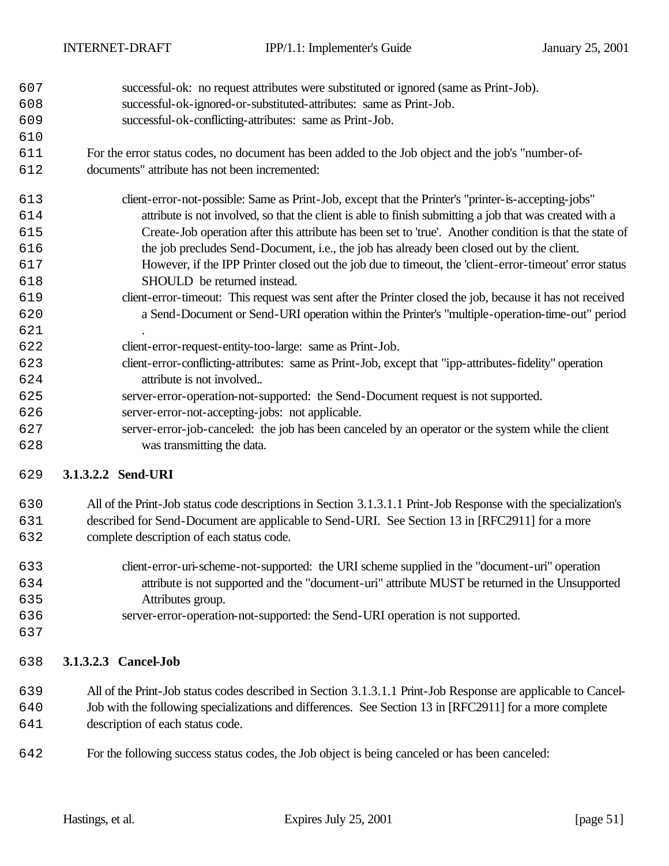- successful-ok: no request attributes were substituted or ignored (same as Print-Job).
- successful-ok-ignored-or-substituted-attributes: same as Print-Job.
- successful-ok-conflicting-attributes: same as Print-Job.
- For the error status codes, no document has been added to the Job object and the job's "number-of-documents" attribute has not been incremented:
- client-error-not-possible: Same as Print-Job, except that the Printer's "printer-is-accepting-jobs" attribute is not involved, so that the client is able to finish submitting a job that was created with a Create-Job operation after this attribute has been set to 'true'. Another condition is that the state of the job precludes Send-Document, i.e., the job has already been closed out by the client. However, if the IPP Printer closed out the job due to timeout, the 'client-error-timeout' error status SHOULD be returned instead. client-error-timeout: This request was sent after the Printer closed the job, because it has not received a Send-Document or Send-URI operation within the Printer's "multiple-operation-time-out" period client-error-request-entity-too-large: same as Print-Job. client-error-conflicting-attributes: same as Print-Job, except that "ipp-attributes-fidelity" operation attribute is not involved..
- server-error-operation-not-supported: the Send-Document request is not supported.
- server-error-not-accepting-jobs: not applicable.
- server-error-job-canceled: the job has been canceled by an operator or the system while the client was transmitting the data.

# **3.1.3.2.2 Send-URI**

- All of the Print-Job status code descriptions in Section 3.1.3.1.1 Print-Job Response with the specialization's described for Send-Document are applicable to Send-URI. See Section 13 in [RFC2911] for a more
- complete description of each status code.
- client-error-uri-scheme-not-supported: the URI scheme supplied in the "document-uri" operation attribute is not supported and the "document-uri" attribute MUST be returned in the Unsupported Attributes group.
- server-error-operation-not-supported: the Send-URI operation is not supported.
- 

# **3.1.3.2.3 Cancel-Job**

- All of the Print-Job status codes described in Section 3.1.3.1.1 Print-Job Response are applicable to Cancel-Job with the following specializations and differences. See Section 13 in [RFC2911] for a more complete
- description of each status code.
- For the following success status codes, the Job object is being canceled or has been canceled: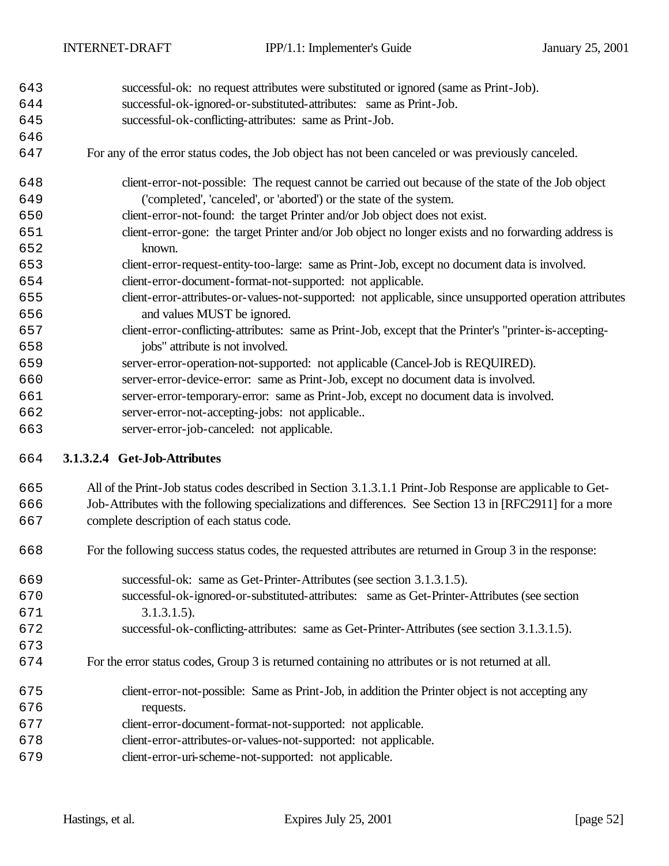- successful-ok: no request attributes were substituted or ignored (same as Print-Job). successful-ok-ignored-or-substituted-attributes: same as Print-Job. successful-ok-conflicting-attributes: same as Print-Job.
- For any of the error status codes, the Job object has not been canceled or was previously canceled.
- client-error-not-possible: The request cannot be carried out because of the state of the Job object ('completed', 'canceled', or 'aborted') or the state of the system.
- client-error-not-found: the target Printer and/or Job object does not exist.
- client-error-gone: the target Printer and/or Job object no longer exists and no forwarding address is known.
- client-error-request-entity-too-large: same as Print-Job, except no document data is involved. client-error-document-format-not-supported: not applicable.
- client-error-attributes-or-values-not-supported: not applicable, since unsupported operation attributes and values MUST be ignored.
- client-error-conflicting-attributes: same as Print-Job, except that the Printer's "printer-is-accepting-jobs" attribute is not involved.
- server-error-operation-not-supported: not applicable (Cancel-Job is REQUIRED).
- server-error-device-error: same as Print-Job, except no document data is involved.
- server-error-temporary-error: same as Print-Job, except no document data is involved.
- server-error-not-accepting-jobs: not applicable..
- server-error-job-canceled: not applicable.

## **3.1.3.2.4 Get-Job-Attributes**

# All of the Print-Job status codes described in Section 3.1.3.1.1 Print-Job Response are applicable to Get- Job-Attributes with the following specializations and differences. See Section 13 in [RFC2911] for a more complete description of each status code.

- For the following success status codes, the requested attributes are returned in Group 3 in the response:
- successful-ok: same as Get-Printer-Attributes (see section 3.1.3.1.5). successful-ok-ignored-or-substituted-attributes: same as Get-Printer-Attributes (see section 3.1.3.1.5). successful-ok-conflicting-attributes: same as Get-Printer-Attributes (see section 3.1.3.1.5). For the error status codes, Group 3 is returned containing no attributes or is not returned at all.
- client-error-not-possible: Same as Print-Job, in addition the Printer object is not accepting any requests. client-error-document-format-not-supported: not applicable. client-error-attributes-or-values-not-supported: not applicable.
- client-error-uri-scheme-not-supported: not applicable.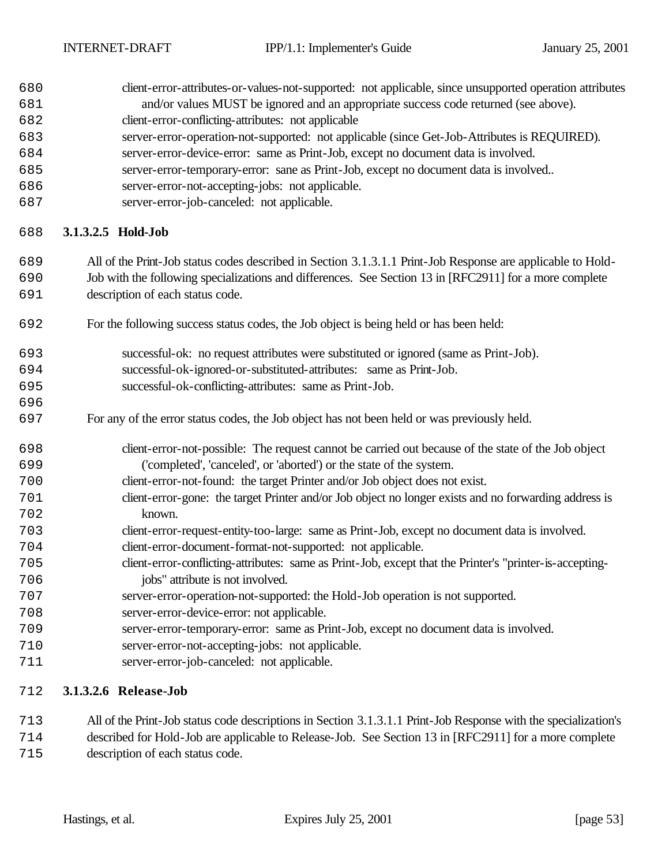| 680<br>681 | client-error-attributes-or-values-not-supported: not applicable, since unsupported operation attributes<br>and/or values MUST be ignored and an appropriate success code returned (see above). |  |  |  |  |  |  |
|------------|------------------------------------------------------------------------------------------------------------------------------------------------------------------------------------------------|--|--|--|--|--|--|
| 682        | client-error-conflicting-attributes: not applicable                                                                                                                                            |  |  |  |  |  |  |
| 683        | server-error-operation-not-supported: not applicable (since Get-Job-Attributes is REQUIRED).                                                                                                   |  |  |  |  |  |  |
| 684        | server-error-device-error: same as Print-Job, except no document data is involved.                                                                                                             |  |  |  |  |  |  |
| 685        | server-error-temporary-error: sane as Print-Job, except no document data is involved                                                                                                           |  |  |  |  |  |  |
| 686        | server-error-not-accepting-jobs: not applicable.                                                                                                                                               |  |  |  |  |  |  |
| 687        | server-error-job-canceled: not applicable.                                                                                                                                                     |  |  |  |  |  |  |
| 688        | 3.1.3.2.5 Hold-Job                                                                                                                                                                             |  |  |  |  |  |  |
| 689        | All of the Print-Job status codes described in Section 3.1.3.1.1 Print-Job Response are applicable to Hold-                                                                                    |  |  |  |  |  |  |
| 690        | Job with the following specializations and differences. See Section 13 in [RFC2911] for a more complete                                                                                        |  |  |  |  |  |  |
| 691        | description of each status code.                                                                                                                                                               |  |  |  |  |  |  |
| 692        | For the following success status codes, the Job object is being held or has been held:                                                                                                         |  |  |  |  |  |  |
| 693        | successful-ok: no request attributes were substituted or ignored (same as Print-Job).                                                                                                          |  |  |  |  |  |  |
| 694        | successful-ok-ignored-or-substituted-attributes: same as Print-Job.                                                                                                                            |  |  |  |  |  |  |
| 695        | successful-ok-conflicting-attributes: same as Print-Job.                                                                                                                                       |  |  |  |  |  |  |
| 696        |                                                                                                                                                                                                |  |  |  |  |  |  |
| 697        | For any of the error status codes, the Job object has not been held or was previously held.                                                                                                    |  |  |  |  |  |  |
| 698        | client-error-not-possible: The request cannot be carried out because of the state of the Job object                                                                                            |  |  |  |  |  |  |
| 699        | ('completed', 'canceled', or 'aborted') or the state of the system.                                                                                                                            |  |  |  |  |  |  |
| 700        | client-error-not-found: the target Printer and/or Job object does not exist.                                                                                                                   |  |  |  |  |  |  |
| 701        | client-error-gone: the target Printer and/or Job object no longer exists and no forwarding address is                                                                                          |  |  |  |  |  |  |
| 702        | known.                                                                                                                                                                                         |  |  |  |  |  |  |
| 703        | client-error-request-entity-too-large: same as Print-Job, except no document data is involved.                                                                                                 |  |  |  |  |  |  |
| 704        | client-error-document-format-not-supported: not applicable.                                                                                                                                    |  |  |  |  |  |  |
| 705        | client-error-conflicting-attributes: same as Print-Job, except that the Printer's "printer-is-accepting-                                                                                       |  |  |  |  |  |  |
| 706        | jobs" attribute is not involved.                                                                                                                                                               |  |  |  |  |  |  |
| 707        | server-error-operation-not-supported: the Hold-Job operation is not supported.                                                                                                                 |  |  |  |  |  |  |
| 708        | server-error-device-error: not applicable.                                                                                                                                                     |  |  |  |  |  |  |
| 709        | server-error-temporary-error: same as Print-Job, except no document data is involved.                                                                                                          |  |  |  |  |  |  |
| 710        | server-error-not-accepting-jobs: not applicable.                                                                                                                                               |  |  |  |  |  |  |
| 711        | server-error-job-canceled: not applicable.                                                                                                                                                     |  |  |  |  |  |  |
| 712        | 3.1.3.2.6 Release-Job                                                                                                                                                                          |  |  |  |  |  |  |
| 712        | All of the Print. Job status code descriptions in Section 3 1 3 1 1 Print. Job Response with the specialization's                                                                              |  |  |  |  |  |  |

 All of the Print-Job status code descriptions in Section 3.1.3.1.1 Print-Job Response with the specialization's described for Hold-Job are applicable to Release-Job. See Section 13 in [RFC2911] for a more complete description of each status code.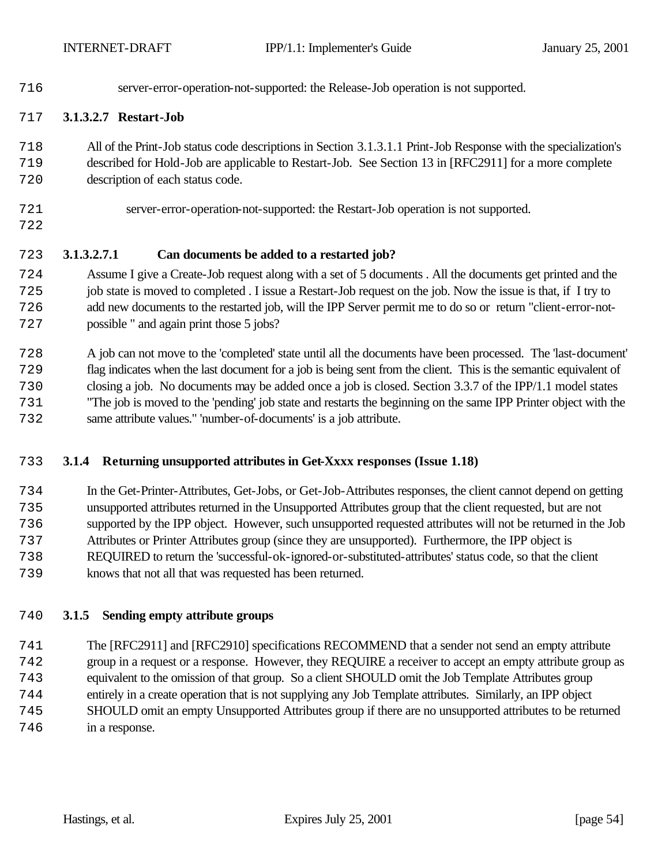server-error-operation-not-supported: the Release-Job operation is not supported.

#### **3.1.3.2.7 Restart-Job**

- All of the Print-Job status code descriptions in Section 3.1.3.1.1 Print-Job Response with the specialization's described for Hold-Job are applicable to Restart-Job. See Section 13 in [RFC2911] for a more complete
- description of each status code.
- server-error-operation-not-supported: the Restart-Job operation is not supported.
- 
- 

#### **3.1.3.2.7.1 Can documents be added to a restarted job?**

- Assume I give a Create-Job request along with a set of 5 documents . All the documents get printed and the job state is moved to completed . I issue a Restart-Job request on the job. Now the issue is that, if I try to add new documents to the restarted job, will the IPP Server permit me to do so or return "client-error-not-possible " and again print those 5 jobs?
- A job can not move to the 'completed' state until all the documents have been processed. The 'last-document' flag indicates when the last document for a job is being sent from the client. This is the semantic equivalent of closing a job. No documents may be added once a job is closed. Section 3.3.7 of the IPP/1.1 model states "The job is moved to the 'pending' job state and restarts the beginning on the same IPP Printer object with the same attribute values." 'number-of-documents' is a job attribute.

#### **3.1.4 Returning unsupported attributes in Get-Xxxx responses (Issue 1.18)**

- In the Get-Printer-Attributes, Get-Jobs, or Get-Job-Attributes responses, the client cannot depend on getting unsupported attributes returned in the Unsupported Attributes group that the client requested, but are not supported by the IPP object. However, such unsupported requested attributes will not be returned in the Job Attributes or Printer Attributes group (since they are unsupported). Furthermore, the IPP object is REQUIRED to return the 'successful-ok-ignored-or-substituted-attributes' status code, so that the client
- knows that not all that was requested has been returned.

#### **3.1.5 Sending empty attribute groups**

 The [RFC2911] and [RFC2910] specifications RECOMMEND that a sender not send an empty attribute group in a request or a response. However, they REQUIRE a receiver to accept an empty attribute group as equivalent to the omission of that group. So a client SHOULD omit the Job Template Attributes group entirely in a create operation that is not supplying any Job Template attributes. Similarly, an IPP object SHOULD omit an empty Unsupported Attributes group if there are no unsupported attributes to be returned in a response.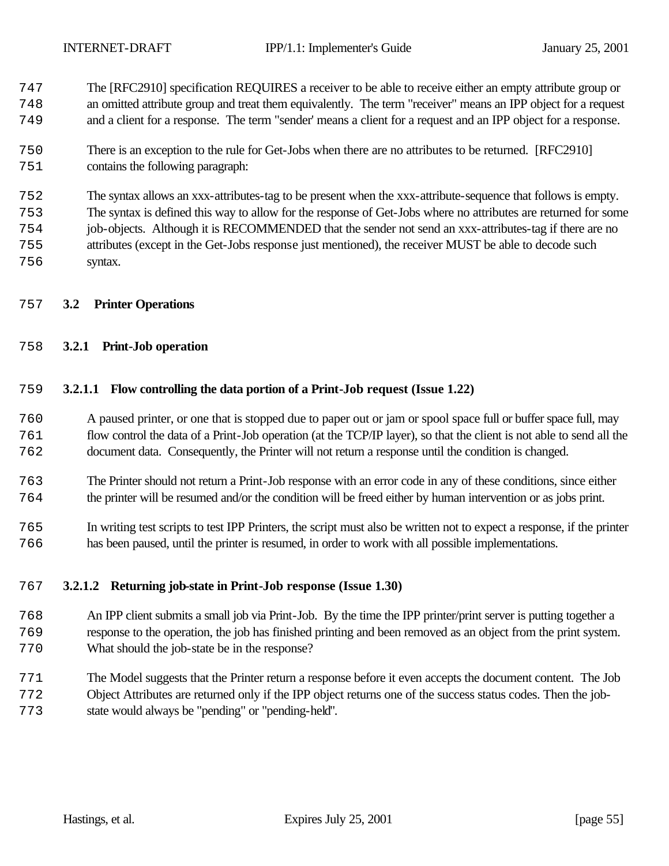The [RFC2910] specification REQUIRES a receiver to be able to receive either an empty attribute group or an omitted attribute group and treat them equivalently. The term "receiver" means an IPP object for a request and a client for a response. The term "sender' means a client for a request and an IPP object for a response.

 There is an exception to the rule for Get-Jobs when there are no attributes to be returned. [RFC2910] contains the following paragraph:

 The syntax allows an xxx-attributes-tag to be present when the xxx-attribute-sequence that follows is empty. The syntax is defined this way to allow for the response of Get-Jobs where no attributes are returned for some job-objects. Although it is RECOMMENDED that the sender not send an xxx-attributes-tag if there are no attributes (except in the Get-Jobs response just mentioned), the receiver MUST be able to decode such syntax.

#### **3.2 Printer Operations**

#### **3.2.1 Print-Job operation**

#### **3.2.1.1 Flow controlling the data portion of a Print-Job request (Issue 1.22)**

- A paused printer, or one that is stopped due to paper out or jam or spool space full or buffer space full, may flow control the data of a Print-Job operation (at the TCP/IP layer), so that the client is not able to send all the document data. Consequently, the Printer will not return a response until the condition is changed.
- The Printer should not return a Print-Job response with an error code in any of these conditions, since either the printer will be resumed and/or the condition will be freed either by human intervention or as jobs print.
- In writing test scripts to test IPP Printers, the script must also be written not to expect a response, if the printer has been paused, until the printer is resumed, in order to work with all possible implementations.

#### **3.2.1.2 Returning job-state in Print-Job response (Issue 1.30)**

- An IPP client submits a small job via Print-Job. By the time the IPP printer/print server is putting together a response to the operation, the job has finished printing and been removed as an object from the print system. What should the job-state be in the response?
- The Model suggests that the Printer return a response before it even accepts the document content. The Job Object Attributes are returned only if the IPP object returns one of the success status codes. Then the job-state would always be "pending" or "pending-held".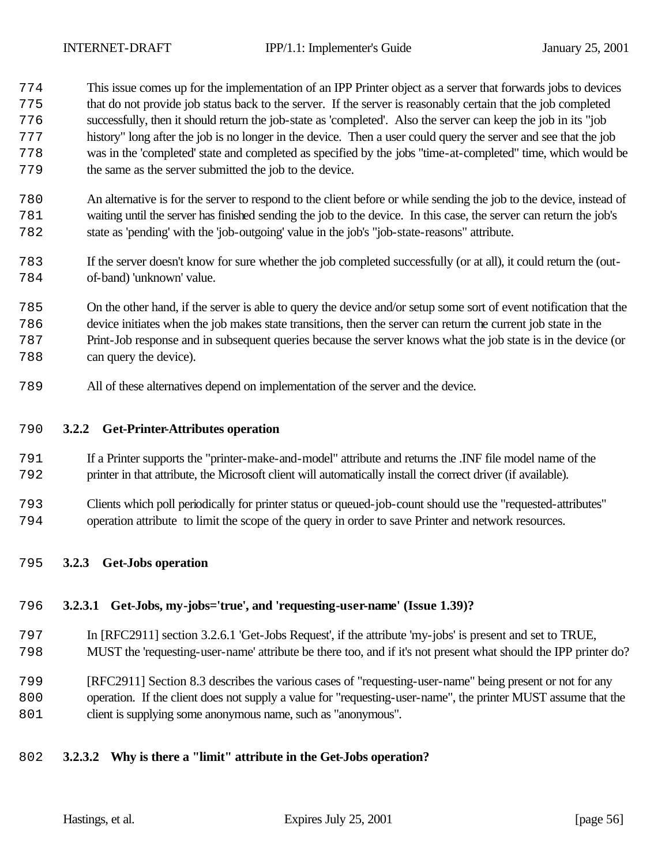- This issue comes up for the implementation of an IPP Printer object as a server that forwards jobs to devices that do not provide job status back to the server. If the server is reasonably certain that the job completed successfully, then it should return the job-state as 'completed'. Also the server can keep the job in its "job history" long after the job is no longer in the device. Then a user could query the server and see that the job was in the 'completed' state and completed as specified by the jobs "time-at-completed" time, which would be the same as the server submitted the job to the device.
- An alternative is for the server to respond to the client before or while sending the job to the device, instead of waiting until the server has finished sending the job to the device. In this case, the server can return the job's state as 'pending' with the 'job-outgoing' value in the job's "job-state-reasons" attribute.
- If the server doesn't know for sure whether the job completed successfully (or at all), it could return the (out-of-band) 'unknown' value.
- On the other hand, if the server is able to query the device and/or setup some sort of event notification that the device initiates when the job makes state transitions, then the server can return the current job state in the Print-Job response and in subsequent queries because the server knows what the job state is in the device (or can query the device).
- All of these alternatives depend on implementation of the server and the device.

#### **3.2.2 Get-Printer-Attributes operation**

- If a Printer supports the "printer-make-and-model" attribute and returns the .INF file model name of the printer in that attribute, the Microsoft client will automatically install the correct driver (if available).
- Clients which poll periodically for printer status or queued-job-count should use the "requested-attributes" operation attribute to limit the scope of the query in order to save Printer and network resources.
- **3.2.3 Get-Jobs operation**

#### **3.2.3.1 Get-Jobs, my-jobs='true', and 'requesting-user-name' (Issue 1.39)?**

- In [RFC2911] section 3.2.6.1 'Get-Jobs Request', if the attribute 'my-jobs' is present and set to TRUE,
- MUST the 'requesting-user-name' attribute be there too, and if it's not present what should the IPP printer do?
- [RFC2911] Section 8.3 describes the various cases of "requesting-user-name" being present or not for any operation. If the client does not supply a value for "requesting-user-name", the printer MUST assume that the 801 client is supplying some anonymous name, such as "anonymous".
- **3.2.3.2 Why is there a "limit" attribute in the Get-Jobs operation?**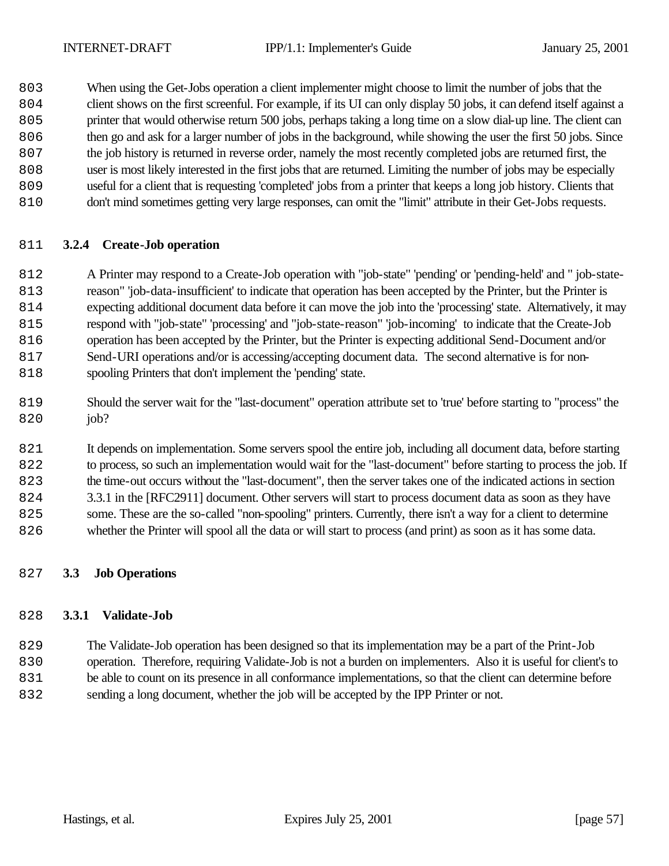When using the Get-Jobs operation a client implementer might choose to limit the number of jobs that the client shows on the first screenful. For example, if its UI can only display 50 jobs, it can defend itself against a printer that would otherwise return 500 jobs, perhaps taking a long time on a slow dial-up line. The client can

- then go and ask for a larger number of jobs in the background, while showing the user the first 50 jobs. Since
- the job history is returned in reverse order, namely the most recently completed jobs are returned first, the
- user is most likely interested in the first jobs that are returned. Limiting the number of jobs may be especially
- useful for a client that is requesting 'completed' jobs from a printer that keeps a long job history. Clients that
- don't mind sometimes getting very large responses, can omit the "limit" attribute in their Get-Jobs requests.

# **3.2.4 Create-Job operation**

 A Printer may respond to a Create-Job operation with "job-state" 'pending' or 'pending-held' and " job-state- reason" 'job-data-insufficient' to indicate that operation has been accepted by the Printer, but the Printer is expecting additional document data before it can move the job into the 'processing' state. Alternatively, it may respond with "job-state" 'processing' and "job-state-reason" 'job-incoming' to indicate that the Create-Job operation has been accepted by the Printer, but the Printer is expecting additional Send-Document and/or Send-URI operations and/or is accessing/accepting document data. The second alternative is for non-818 spooling Printers that don't implement the 'pending' state.

 Should the server wait for the "last-document" operation attribute set to 'true' before starting to "process" the 820 job?

 It depends on implementation. Some servers spool the entire job, including all document data, before starting to process, so such an implementation would wait for the "last-document" before starting to process the job. If the time-out occurs without the "last-document", then the server takes one of the indicated actions in section 3.3.1 in the [RFC2911] document. Other servers will start to process document data as soon as they have some. These are the so-called "non-spooling" printers. Currently, there isn't a way for a client to determine whether the Printer will spool all the data or will start to process (and print) as soon as it has some data.

## **3.3 Job Operations**

# **3.3.1 Validate-Job**

 The Validate-Job operation has been designed so that its implementation may be a part of the Print-Job operation. Therefore, requiring Validate-Job is not a burden on implementers. Also it is useful for client's to be able to count on its presence in all conformance implementations, so that the client can determine before sending a long document, whether the job will be accepted by the IPP Printer or not.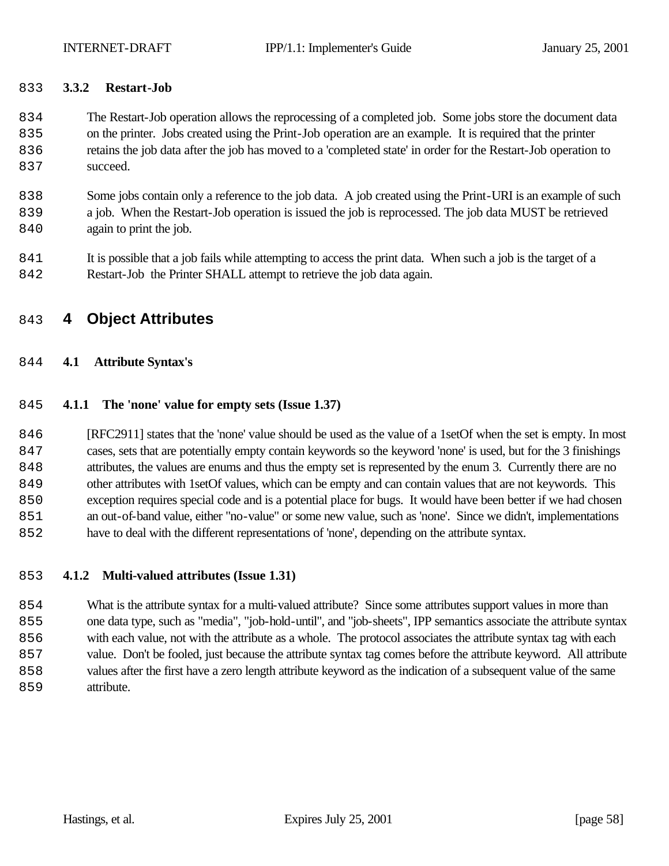#### **3.3.2 Restart-Job**

- The Restart-Job operation allows the reprocessing of a completed job. Some jobs store the document data on the printer. Jobs created using the Print-Job operation are an example. It is required that the printer retains the job data after the job has moved to a 'completed state' in order for the Restart-Job operation to 837 succeed.
- Some jobs contain only a reference to the job data. A job created using the Print-URI is an example of such a job. When the Restart-Job operation is issued the job is reprocessed. The job data MUST be retrieved 840 again to print the job.
- It is possible that a job fails while attempting to access the print data. When such a job is the target of a Restart-Job the Printer SHALL attempt to retrieve the job data again.

# **4 Object Attributes**

#### **4.1 Attribute Syntax's**

#### **4.1.1 The 'none' value for empty sets (Issue 1.37)**

 [RFC2911] states that the 'none' value should be used as the value of a 1setOf when the set is empty. In most cases, sets that are potentially empty contain keywords so the keyword 'none' is used, but for the 3 finishings attributes, the values are enums and thus the empty set is represented by the enum 3. Currently there are no other attributes with 1setOf values, which can be empty and can contain values that are not keywords. This exception requires special code and is a potential place for bugs. It would have been better if we had chosen an out-of-band value, either "no-value" or some new value, such as 'none'. Since we didn't, implementations have to deal with the different representations of 'none', depending on the attribute syntax.

#### **4.1.2 Multi-valued attributes (Issue 1.31)**

 What is the attribute syntax for a multi-valued attribute? Since some attributes support values in more than one data type, such as "media", "job-hold-until", and "job-sheets", IPP semantics associate the attribute syntax with each value, not with the attribute as a whole. The protocol associates the attribute syntax tag with each value. Don't be fooled, just because the attribute syntax tag comes before the attribute keyword. All attribute values after the first have a zero length attribute keyword as the indication of a subsequent value of the same 859 attribute.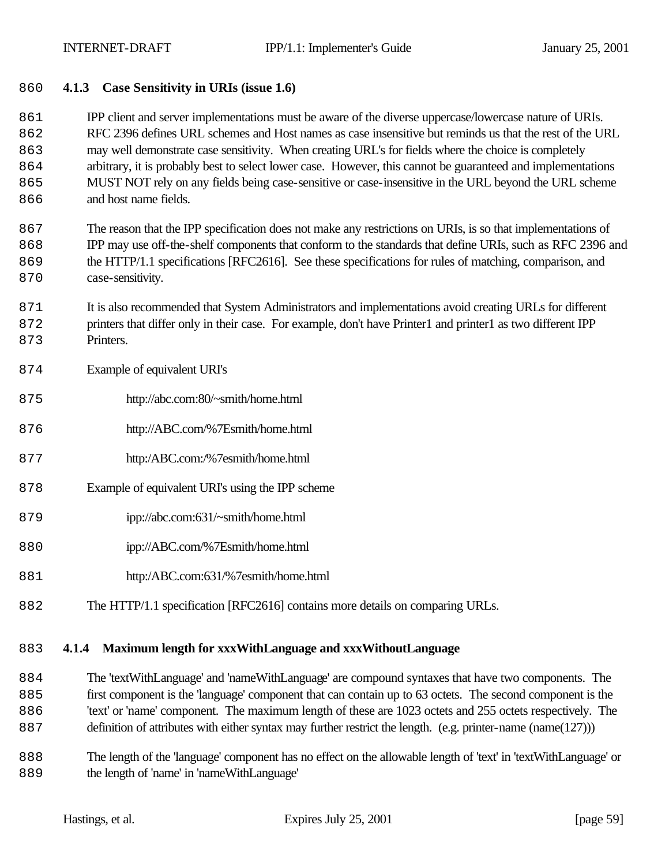# **4.1.3 Case Sensitivity in URIs (issue 1.6)**

 IPP client and server implementations must be aware of the diverse uppercase/lowercase nature of URIs. RFC 2396 defines URL schemes and Host names as case insensitive but reminds us that the rest of the URL may well demonstrate case sensitivity. When creating URL's for fields where the choice is completely arbitrary, it is probably best to select lower case. However, this cannot be guaranteed and implementations MUST NOT rely on any fields being case-sensitive or case-insensitive in the URL beyond the URL scheme 866 and host name fields.

 The reason that the IPP specification does not make any restrictions on URIs, is so that implementations of IPP may use off-the-shelf components that conform to the standards that define URIs, such as RFC 2396 and the HTTP/1.1 specifications [RFC2616]. See these specifications for rules of matching, comparison, and 870 case-sensitivity.

 It is also recommended that System Administrators and implementations avoid creating URLs for different printers that differ only in their case. For example, don't have Printer1 and printer1 as two different IPP 873 Printers.

# Example of equivalent URI's

- http://abc.com:80/~smith/home.html
- http://ABC.com/%7Esmith/home.html
- http:/ABC.com:/%7esmith/home.html
- Example of equivalent URI's using the IPP scheme
- ipp://abc.com:631/~smith/home.html
- ipp://ABC.com/%7Esmith/home.html
- http:/ABC.com:631/%7esmith/home.html
- The HTTP/1.1 specification [RFC2616] contains more details on comparing URLs.

## **4.1.4 Maximum length for xxxWithLanguage and xxxWithoutLanguage**

 The 'textWithLanguage' and 'nameWithLanguage' are compound syntaxes that have two components. The first component is the 'language' component that can contain up to 63 octets. The second component is the 'text' or 'name' component. The maximum length of these are 1023 octets and 255 octets respectively. The definition of attributes with either syntax may further restrict the length. (e.g. printer-name (name(127)))

 The length of the 'language' component has no effect on the allowable length of 'text' in 'textWithLanguage' or the length of 'name' in 'nameWithLanguage'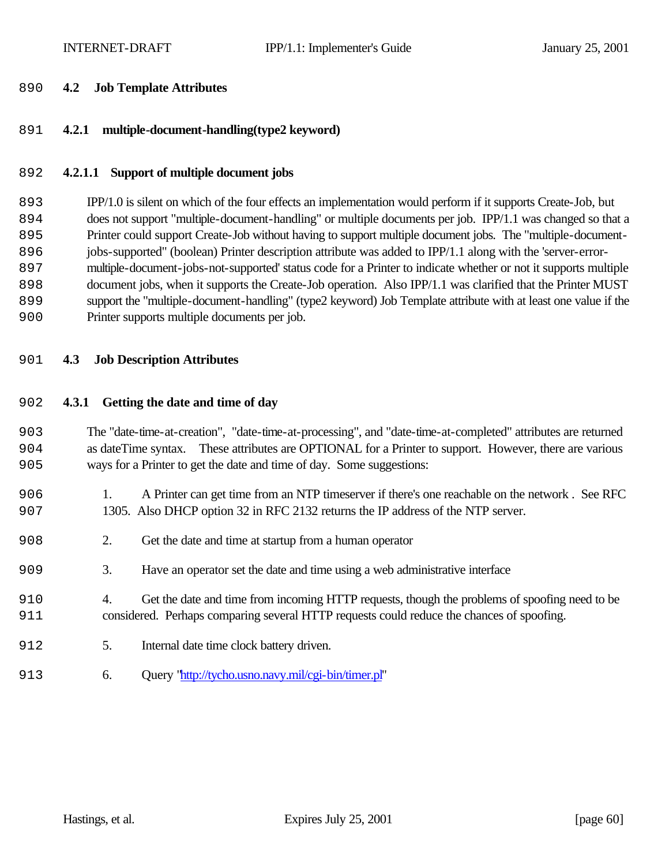#### **4.2 Job Template Attributes**

# **4.2.1 multiple-document-handling(type2 keyword)**

# **4.2.1.1 Support of multiple document jobs**

 IPP/1.0 is silent on which of the four effects an implementation would perform if it supports Create-Job, but does not support "multiple-document-handling" or multiple documents per job. IPP/1.1 was changed so that a Printer could support Create-Job without having to support multiple document jobs. The "multiple-document- jobs-supported" (boolean) Printer description attribute was added to IPP/1.1 along with the 'server-error- multiple-document-jobs-not-supported' status code for a Printer to indicate whether or not it supports multiple document jobs, when it supports the Create-Job operation. Also IPP/1.1 was clarified that the Printer MUST support the "multiple-document-handling" (type2 keyword) Job Template attribute with at least one value if the Printer supports multiple documents per job.

# **4.3 Job Description Attributes**

# **4.3.1 Getting the date and time of day**

 The "date-time-at-creation", "date-time-at-processing", and "date-time-at-completed" attributes are returned as dateTime syntax. These attributes are OPTIONAL for a Printer to support. However, there are various ways for a Printer to get the date and time of day. Some suggestions:

- 1. A Printer can get time from an NTP timeserver if there's one reachable on the network . See RFC 1305. Also DHCP option 32 in RFC 2132 returns the IP address of the NTP server.
- 2. Get the date and time at startup from a human operator
- 3. Have an operator set the date and time using a web administrative interface
- 4. Get the date and time from incoming HTTP requests, though the problems of spoofing need to be considered. Perhaps comparing several HTTP requests could reduce the chances of spoofing.
- 912 5. Internal date time clock battery driven.
- 6. Query "http://tycho.usno.navy.mil/cgi-bin/timer.pl"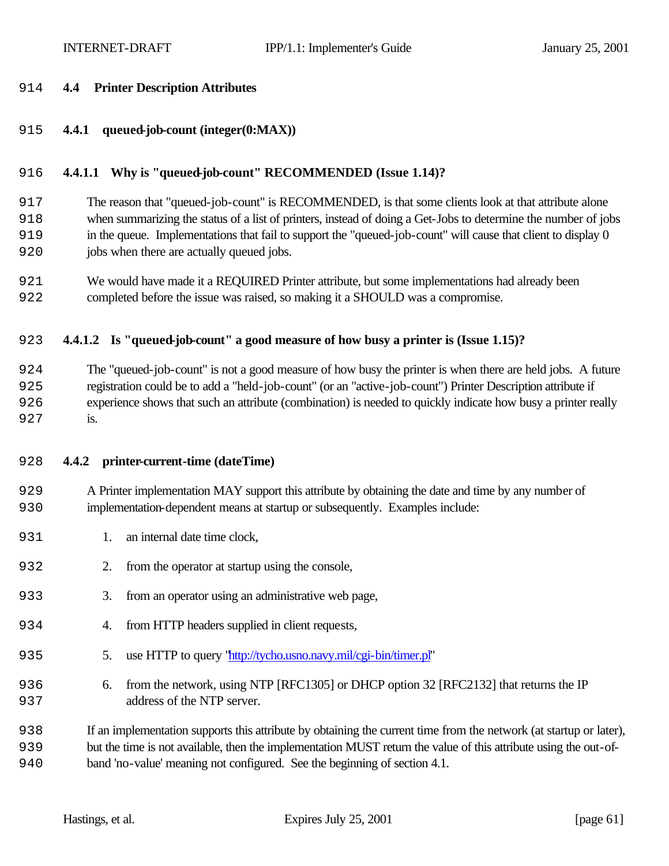#### **4.4 Printer Description Attributes**

**4.4.1 queued-job-count (integer(0:MAX))**

#### **4.4.1.1 Why is "queued-job-count" RECOMMENDED (Issue 1.14)?**

 The reason that "queued-job-count" is RECOMMENDED, is that some clients look at that attribute alone when summarizing the status of a list of printers, instead of doing a Get-Jobs to determine the number of jobs in the queue. Implementations that fail to support the "queued-job-count" will cause that client to display 0 jobs when there are actually queued jobs.

 We would have made it a REQUIRED Printer attribute, but some implementations had already been completed before the issue was raised, so making it a SHOULD was a compromise.

#### **4.4.1.2 Is "queued-job-count" a good measure of how busy a printer is (Issue 1.15)?**

 The "queued-job-count" is not a good measure of how busy the printer is when there are held jobs. A future registration could be to add a "held-job-count" (or an "active-job-count") Printer Description attribute if experience shows that such an attribute (combination) is needed to quickly indicate how busy a printer really 927 is.

- **4.4.2 printer-current-time (dateTime)**
- A Printer implementation MAY support this attribute by obtaining the date and time by any number of implementation-dependent means at startup or subsequently. Examples include:
- 931 1. an internal date time clock,
- 2. from the operator at startup using the console,
- 933 3. from an operator using an administrative web page,
- 934 4. from HTTP headers supplied in client requests,
- 5. use HTTP to query "http://tycho.usno.navy.mil/cgi-bin/timer.pl"
- 6. from the network, using NTP [RFC1305] or DHCP option 32 [RFC2132] that returns the IP address of the NTP server.

 If an implementation supports this attribute by obtaining the current time from the network (at startup or later), but the time is not available, then the implementation MUST return the value of this attribute using the out-of-band 'no-value' meaning not configured. See the beginning of section 4.1.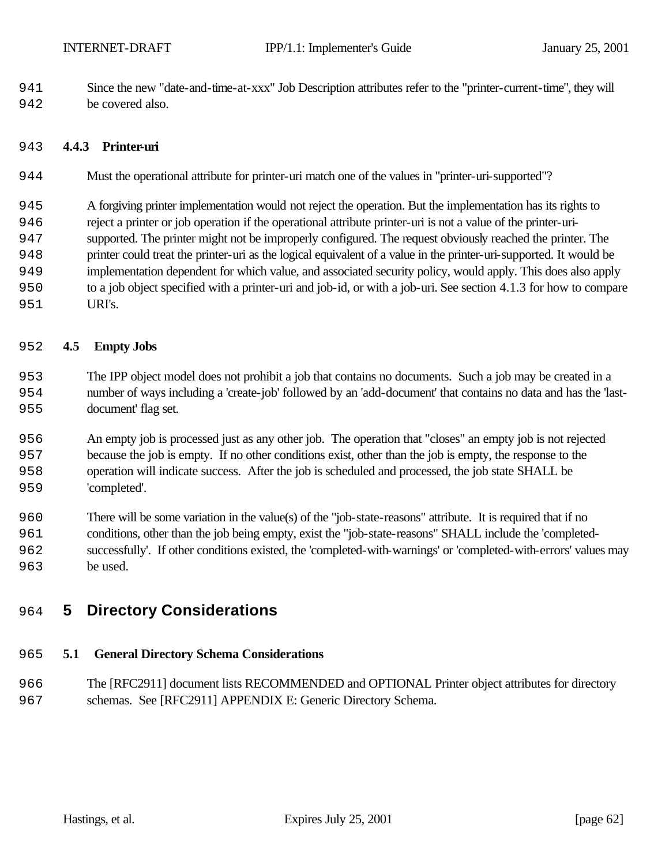Since the new "date-and-time-at-xxx" Job Description attributes refer to the "printer-current-time", they will be covered also.

#### **4.4.3 Printer-uri**

- Must the operational attribute for printer-uri match one of the values in "printer-uri-supported"?
- A forgiving printer implementation would not reject the operation. But the implementation has its rights to
- reject a printer or job operation if the operational attribute printer-uri is not a value of the printer-uri-
- supported. The printer might not be improperly configured. The request obviously reached the printer. The printer could treat the printer-uri as the logical equivalent of a value in the printer-uri-supported. It would be
- implementation dependent for which value, and associated security policy, would apply. This does also apply to a job object specified with a printer-uri and job-id, or with a job-uri. See section 4.1.3 for how to compare
- 951 URI's.

#### **4.5 Empty Jobs**

- The IPP object model does not prohibit a job that contains no documents. Such a job may be created in a number of ways including a 'create-job' followed by an 'add-document' that contains no data and has the 'last-document' flag set.
- An empty job is processed just as any other job. The operation that "closes" an empty job is not rejected because the job is empty. If no other conditions exist, other than the job is empty, the response to the operation will indicate success. After the job is scheduled and processed, the job state SHALL be 'completed'.
- There will be some variation in the value(s) of the "job-state-reasons" attribute. It is required that if no conditions, other than the job being empty, exist the "job-state-reasons" SHALL include the 'completed- successfully'. If other conditions existed, the 'completed-with-warnings' or 'completed-with-errors' values may be used.

# **5 Directory Considerations**

#### **5.1 General Directory Schema Considerations**

 The [RFC2911] document lists RECOMMENDED and OPTIONAL Printer object attributes for directory schemas. See [RFC2911] APPENDIX E: Generic Directory Schema.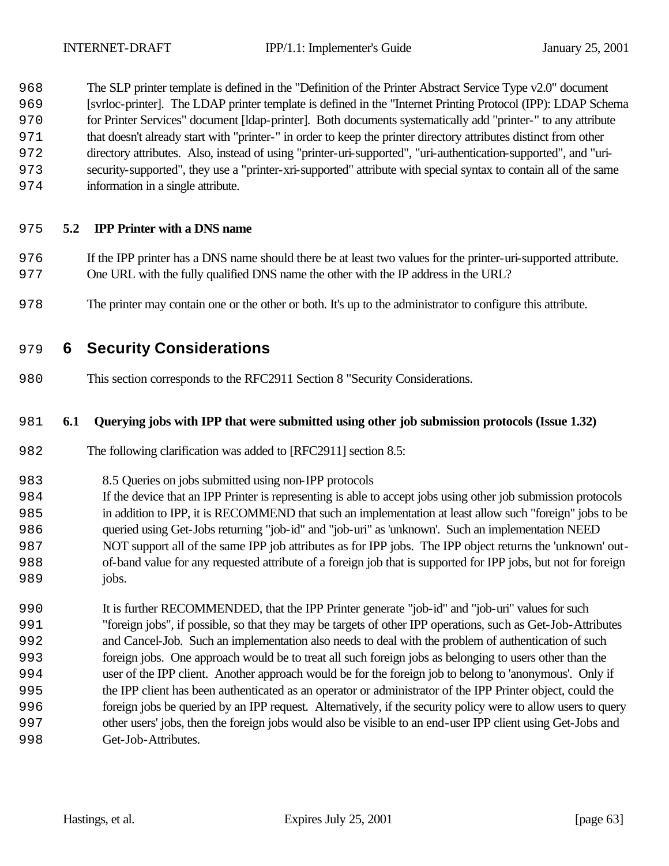The SLP printer template is defined in the "Definition of the Printer Abstract Service Type v2.0" document [svrloc-printer]. The LDAP printer template is defined in the "Internet Printing Protocol (IPP): LDAP Schema for Printer Services" document [ldap-printer]. Both documents systematically add "printer-" to any attribute that doesn't already start with "printer-" in order to keep the printer directory attributes distinct from other directory attributes. Also, instead of using "printer-uri-supported", "uri-authentication-supported", and "uri- security-supported", they use a "printer-xri-supported" attribute with special syntax to contain all of the same information in a single attribute.

#### **5.2 IPP Printer with a DNS name**

- If the IPP printer has a DNS name should there be at least two values for the printer-uri-supported attribute. One URL with the fully qualified DNS name the other with the IP address in the URL?
- The printer may contain one or the other or both. It's up to the administrator to configure this attribute.

# **6 Security Considerations**

This section corresponds to the RFC2911 Section 8 "Security Considerations.

#### **6.1 Querying jobs with IPP that were submitted using other job submission protocols (Issue 1.32)**

The following clarification was added to [RFC2911] section 8.5:

- 8.5 Queries on jobs submitted using non-IPP protocols
- If the device that an IPP Printer is representing is able to accept jobs using other job submission protocols in addition to IPP, it is RECOMMEND that such an implementation at least allow such "foreign" jobs to be queried using Get-Jobs returning "job-id" and "job-uri" as 'unknown'. Such an implementation NEED NOT support all of the same IPP job attributes as for IPP jobs. The IPP object returns the 'unknown' out- of-band value for any requested attribute of a foreign job that is supported for IPP jobs, but not for foreign 989 jobs.
- It is further RECOMMENDED, that the IPP Printer generate "job-id" and "job-uri" values for such "foreign jobs", if possible, so that they may be targets of other IPP operations, such as Get-Job-Attributes and Cancel-Job. Such an implementation also needs to deal with the problem of authentication of such foreign jobs. One approach would be to treat all such foreign jobs as belonging to users other than the user of the IPP client. Another approach would be for the foreign job to belong to 'anonymous'. Only if the IPP client has been authenticated as an operator or administrator of the IPP Printer object, could the foreign jobs be queried by an IPP request. Alternatively, if the security policy were to allow users to query other users' jobs, then the foreign jobs would also be visible to an end-user IPP client using Get-Jobs and 998 Get-Job-Attributes.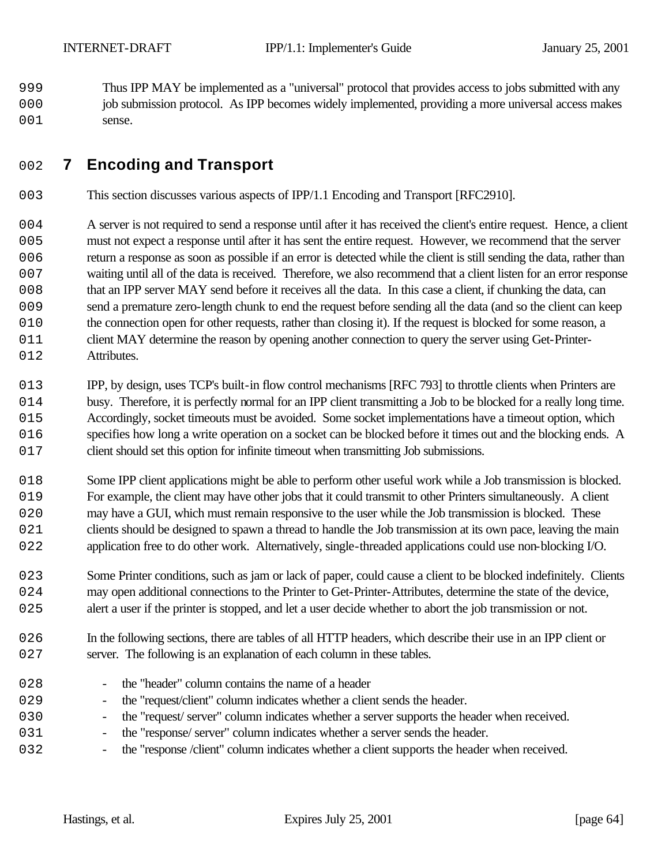1999 Thus IPP MAY be implemented as a "universal" protocol that provides access to jobs submitted with any 2000 job submission protocol. As IPP becomes widely implemented, providing a more universal access makes 001 sense.

# 2002 **7 Encoding and Transport**

- 2003 This section discusses various aspects of IPP/1.1 Encoding and Transport [RFC2910].
- 004 A server is not required to send a response until after it has received the client's entire request. Hence, a client 2005 must not expect a response until after it has sent the entire request. However, we recommend that the server 2006 return a response as soon as possible if an error is detected while the client is still sending the data, rather than 2007 waiting until all of the data is received. Therefore, we also recommend that a client listen for an error response 2008 that an IPP server MAY send before it receives all the data. In this case a client, if chunking the data, can 2009 send a premature zero-length chunk to end the request before sending all the data (and so the client can keep 010 the connection open for other requests, rather than closing it). If the request is blocked for some reason, a 011 client MAY determine the reason by opening another connection to query the server using Get-Printer-012 Attributes.
- 2013 IPP, by design, uses TCP's built-in flow control mechanisms [RFC 793] to throttle clients when Printers are 014 busy. Therefore, it is perfectly normal for an IPP client transmitting a Job to be blocked for a really long time. 2015 Accordingly, socket timeouts must be avoided. Some socket implementations have a timeout option, which 016 specifies how long a write operation on a socket can be blocked before it times out and the blocking ends. A 017 client should set this option for infinite timeout when transmitting Job submissions.
- 2018 Some IPP client applications might be able to perform other useful work while a Job transmission is blocked. 2019 For example, the client may have other jobs that it could transmit to other Printers simultaneously. A client 020 may have a GUI, which must remain responsive to the user while the Job transmission is blocked. These 021 clients should be designed to spawn a thread to handle the Job transmission at its own pace, leaving the main 022 application free to do other work. Alternatively, single-threaded applications could use non-blocking I/O.
- 2023 Some Printer conditions, such as jam or lack of paper, could cause a client to be blocked indefinitely. Clients 024 may open additional connections to the Printer to Get-Printer-Attributes, determine the state of the device, 025 alert a user if the printer is stopped, and let a user decide whether to abort the job transmission or not.
- 026 In the following sections, there are tables of all HTTP headers, which describe their use in an IPP client or 027 server. The following is an explanation of each column in these tables.
- 2028 the "header" column contains the name of a header 2029 - the "request/client" column indicates whether a client sends the header. 030 - the "request' server" column indicates whether a server supports the header when received.
- 031 the "response/ server" column indicates whether a server sends the header.
- 032 the "response /client" column indicates whether a client supports the header when received.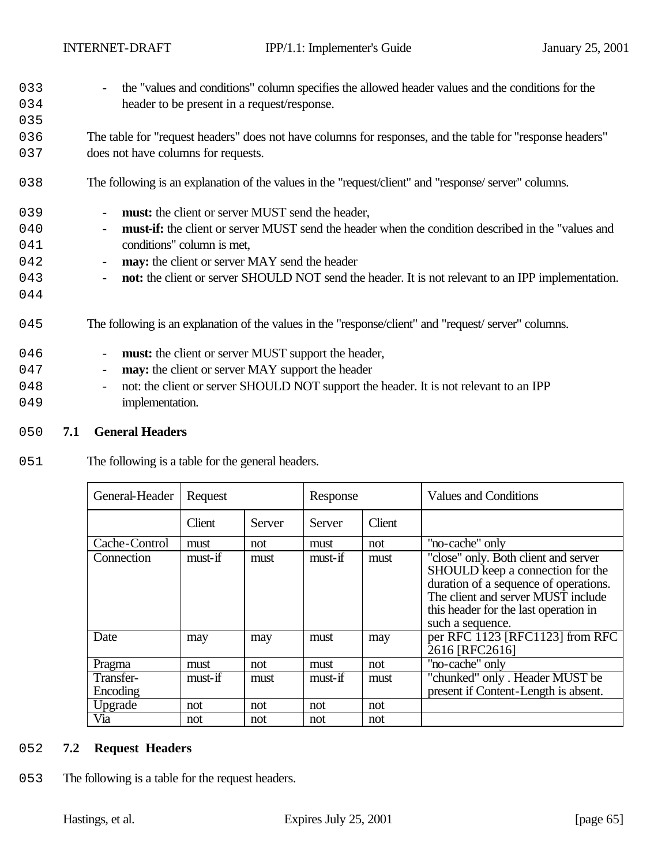- 2033 the "values and conditions" column specifies the allowed header values and the conditions for the 034 header to be present in a request/response.
- 2036 The table for "request headers" does not have columns for responses, and the table for "response headers" 037 does not have columns for requests.
- 2038 The following is an explanation of the values in the "request/client" and "response/ server" columns.
- 039 **must:** the client or server MUST send the header,
- 2040 **must-if:** the client or server MUST send the header when the condition described in the "values and 041 conditions" column is met,
- 042 **may:** the client or server MAY send the header
- 2043 **not:** the client or server SHOULD NOT send the header. It is not relevant to an IPP implementation.
- 2044
- 2045 The following is an explanation of the values in the "response/client" and "request/ server" columns.
- 046 **must:** the client or server MUST support the header, 047 - **may:** the client or server MAY support the header 048 - not: the client or server SHOULD NOT support the header. It is not relevant to an IPP 049 implementation.
- 2050 **7.1 General Headers**
- 051 The following is a table for the general headers.

| General-Header<br>Request |         | Response |               | <b>Values and Conditions</b> |                                                                                                                                                                                                                      |
|---------------------------|---------|----------|---------------|------------------------------|----------------------------------------------------------------------------------------------------------------------------------------------------------------------------------------------------------------------|
|                           | Client  | Server   | <b>Server</b> | Client                       |                                                                                                                                                                                                                      |
| Cache-Control             | must    | not      | must          | not                          | "no-cache" only                                                                                                                                                                                                      |
| Connection                | must-if | must     | must-if       | must                         | "close" only. Both client and server<br>SHOULD keep a connection for the<br>duration of a sequence of operations.<br>The client and server MUST include<br>this header for the last operation in<br>such a sequence. |
| Date                      | may     | may      | must          | may                          | per RFC 1123 [RFC1123] from RFC<br>2616 [RFC2616]                                                                                                                                                                    |
| Pragma                    | must    | not      | must          | not                          | "no-cache" only                                                                                                                                                                                                      |
| Transfer-<br>Encoding     | must-if | must     | must-if       | must                         | "chunked" only. Header MUST be<br>present if Content-Length is absent.                                                                                                                                               |
| Upgrade                   | not     | not      | not           | not                          |                                                                                                                                                                                                                      |
| Via                       | not     | not      | not           | not                          |                                                                                                                                                                                                                      |

#### 2052 **7.2 Request Headers**

053 The following is a table for the request headers.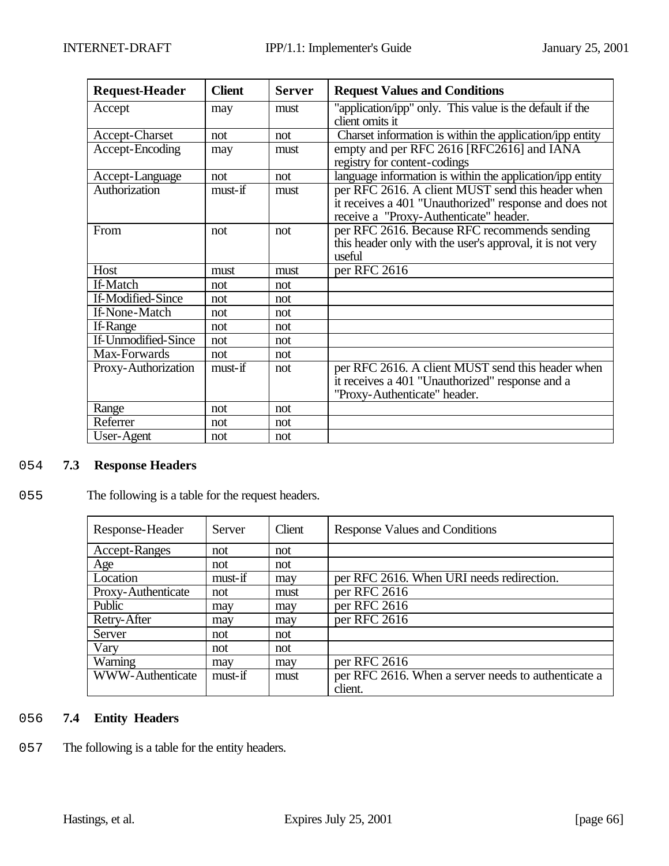| <b>Request-Header</b> | <b>Client</b> | <b>Server</b> | <b>Request Values and Conditions</b>                                                                                                                  |
|-----------------------|---------------|---------------|-------------------------------------------------------------------------------------------------------------------------------------------------------|
| Accept                | may           | must          | "application/ipp" only. This value is the default if the<br>client omits it                                                                           |
| Accept-Charset        | not           | not           | Charset information is within the application/ipp entity                                                                                              |
| Accept-Encoding       | may           | must          | empty and per RFC 2616 [RFC2616] and IANA<br>registry for content-codings                                                                             |
| Accept-Language       | not           | not           | language information is within the application/ipp entity                                                                                             |
| Authorization         | must-if       | must          | per RFC 2616. A client MUST send this header when<br>it receives a 401 "Unauthorized" response and does not<br>receive a "Proxy-Authenticate" header. |
| From                  | not           | not           | per RFC 2616. Because RFC recommends sending<br>this header only with the user's approval, it is not very<br>useful                                   |
| Host                  | must          | must          | per RFC 2616                                                                                                                                          |
| If-Match              | not           | not           |                                                                                                                                                       |
| If-Modified-Since     | not           | not           |                                                                                                                                                       |
| If-None-Match         | not           | not           |                                                                                                                                                       |
| If-Range              | not           | not           |                                                                                                                                                       |
| If-Unmodified-Since   | not           | not           |                                                                                                                                                       |
| Max-Forwards          | not           | not           |                                                                                                                                                       |
| Proxy-Authorization   | $must$ -if    | not           | per RFC 2616. A client MUST send this header when<br>it receives a 401 "Unauthorized" response and a<br>"Proxy-Authenticate" header.                  |
| Range                 | not           | not           |                                                                                                                                                       |
| Referrer              | not           | not           |                                                                                                                                                       |
| User-Agent            | not           | not           |                                                                                                                                                       |

# 2054 **7.3 Response Headers**

# 055 The following is a table for the request headers.

| Response-Header      | Server  | Client | Response Values and Conditions                      |
|----------------------|---------|--------|-----------------------------------------------------|
| <b>Accept-Ranges</b> | not     | not    |                                                     |
| Age                  | not     | not    |                                                     |
| Location             | must-if | may    | per RFC 2616. When URI needs redirection.           |
| Proxy-Authenticate   | not     | must   | per RFC 2616                                        |
| Public               | may     | may    | per RFC 2616                                        |
| Retry-After          | may     | may    | per RFC 2616                                        |
| Server               | not     | not    |                                                     |
| Vary                 | not     | not    |                                                     |
| Warning              | may     | may    | per RFC 2616                                        |
| WWW-Authenticate     | must-if | must   | per RFC 2616. When a server needs to authenticate a |
|                      |         |        | client.                                             |

# 2056 **7.4 Entity Headers**

057 The following is a table for the entity headers.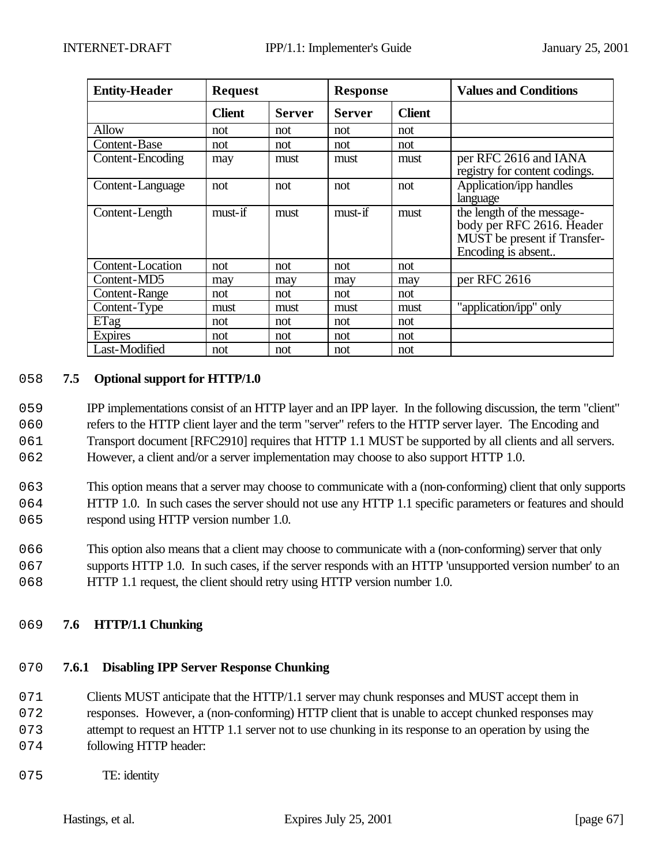| <b>Entity-Header</b> | <b>Request</b> |               | <b>Response</b> |               | <b>Values and Conditions</b>                                                                                  |
|----------------------|----------------|---------------|-----------------|---------------|---------------------------------------------------------------------------------------------------------------|
|                      | <b>Client</b>  | <b>Server</b> | <b>Server</b>   | <b>Client</b> |                                                                                                               |
| Allow                | not            | not           | not             | not           |                                                                                                               |
| Content-Base         | not            | not           | not             | not           |                                                                                                               |
| Content-Encoding     | may            | must          | must            | must          | per RFC 2616 and IANA<br>registry for content codings.                                                        |
| Content-Language     | not            | not           | not             | not           | Application/ipp handles<br>language                                                                           |
| Content-Length       | must-if        | must          | must-if         | must          | the length of the message-<br>body per RFC 2616. Header<br>MUST be present if Transfer-<br>Encoding is absent |
| Content-Location     | not            | not           | not             | not           |                                                                                                               |
| Content-MD5          | may            | may           | may             | may           | per RFC $2616$                                                                                                |
| Content-Range        | not            | not           | not             | not           |                                                                                                               |
| Content-Type         | must           | must          | must            | must          | "application/ipp" only                                                                                        |
| ETag                 | not            | not           | not             | not           |                                                                                                               |
| <b>Expires</b>       | not            | not           | not             | not           |                                                                                                               |
| Last-Modified        | not            | not           | not             | not           |                                                                                                               |

#### 2058 **7.5 Optional support for HTTP/1.0**

 IPP implementations consist of an HTTP layer and an IPP layer. In the following discussion, the term "client" refers to the HTTP client layer and the term "server" refers to the HTTP server layer. The Encoding and Transport document [RFC2910] requires that HTTP 1.1 MUST be supported by all clients and all servers. However, a client and/or a server implementation may choose to also support HTTP 1.0.

- 2063 This option means that a server may choose to communicate with a (non-conforming) client that only supports 064 HTTP 1.0. In such cases the server should not use any HTTP 1.1 specific parameters or features and should 065 respond using HTTP version number 1.0.
- 2066 This option also means that a client may choose to communicate with a (non-conforming) server that only 067 supports HTTP 1.0. In such cases, if the server responds with an HTTP 'unsupported version number' to an
- 068 HTTP 1.1 request, the client should retry using HTTP version number 1.0.

## 2069 **7.6 HTTP/1.1 Chunking**

# 2070 **7.6.1 Disabling IPP Server Response Chunking**

- 071 Clients MUST anticipate that the HTTP/1.1 server may chunk responses and MUST accept them in
- 072 responses. However, a (non-conforming) HTTP client that is unable to accept chunked responses may
- 073 attempt to request an HTTP 1.1 server not to use chunking in its response to an operation by using the 074 following HTTP header:
- 075 TE: identity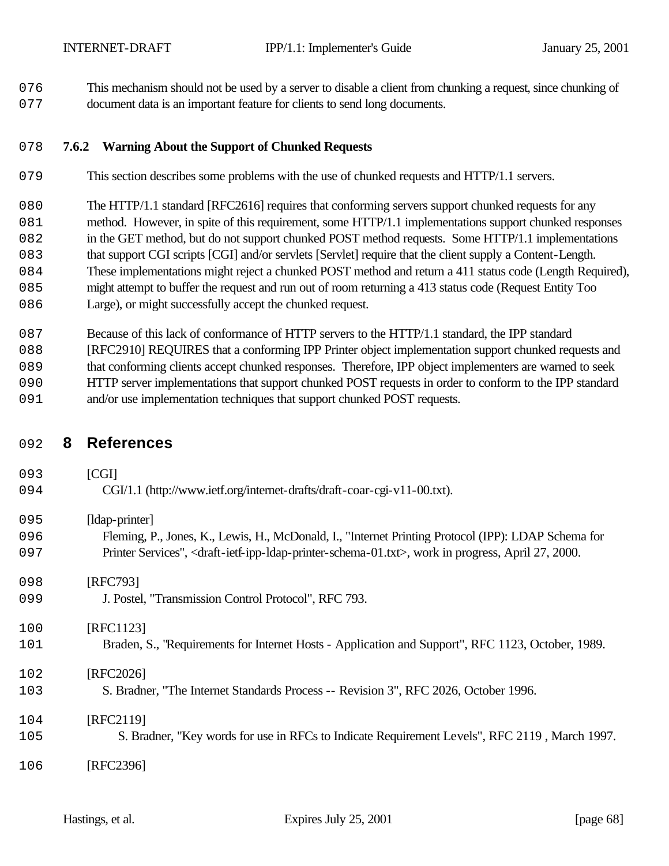076 This mechanism should not be used by a server to disable a client from chunking a request, since chunking of document data is an important feature for clients to send long documents.

#### **7.6.2 Warning About the Support of Chunked Requests**

- This section describes some problems with the use of chunked requests and HTTP/1.1 servers.
- 080 The HTTP/1.1 standard [RFC2616] requires that conforming servers support chunked requests for any
- 081 method. However, in spite of this requirement, some HTTP/1.1 implementations support chunked responses
- 082 in the GET method, but do not support chunked POST method requests. Some HTTP/1.1 implementations
- that support CGI scripts [CGI] and/or servlets [Servlet] require that the client supply a Content-Length. These implementations might reject a chunked POST method and return a 411 status code (Length Required),
- might attempt to buffer the request and run out of room returning a 413 status code (Request Entity Too
- 086 Large), or might successfully accept the chunked request.
- 087 Because of this lack of conformance of HTTP servers to the HTTP/1.1 standard, the IPP standard
- [RFC2910] REQUIRES that a conforming IPP Printer object implementation support chunked requests and that conforming clients accept chunked responses. Therefore, IPP object implementers are warned to seek
- HTTP server implementations that support chunked POST requests in order to conform to the IPP standard
- 091 and/or use implementation techniques that support chunked POST requests.

# **8 References**

**[CGI]**  CGI/1.1 (http://www.ietf.org/internet-drafts/draft-coar-cgi-v11-00.txt). 095 [Idap-printer] Fleming, P., Jones, K., Lewis, H., McDonald, I., "Internet Printing Protocol (IPP): LDAP Schema for Printer Services", <draft-ietf-ipp-ldap-printer-schema-01.txt>, work in progress, April 27, 2000. 098 [RFC793] J. Postel, "Transmission Control Protocol", RFC 793. [RFC1123] Braden, S., "Requirements for Internet Hosts - Application and Support", RFC 1123, October, 1989. [RFC2026] S. Bradner, "The Internet Standards Process -- Revision 3", RFC 2026, October 1996. [RFC2119] S. Bradner, "Key words for use in RFCs to Indicate Requirement Levels", RFC 2119 , March 1997. [RFC2396]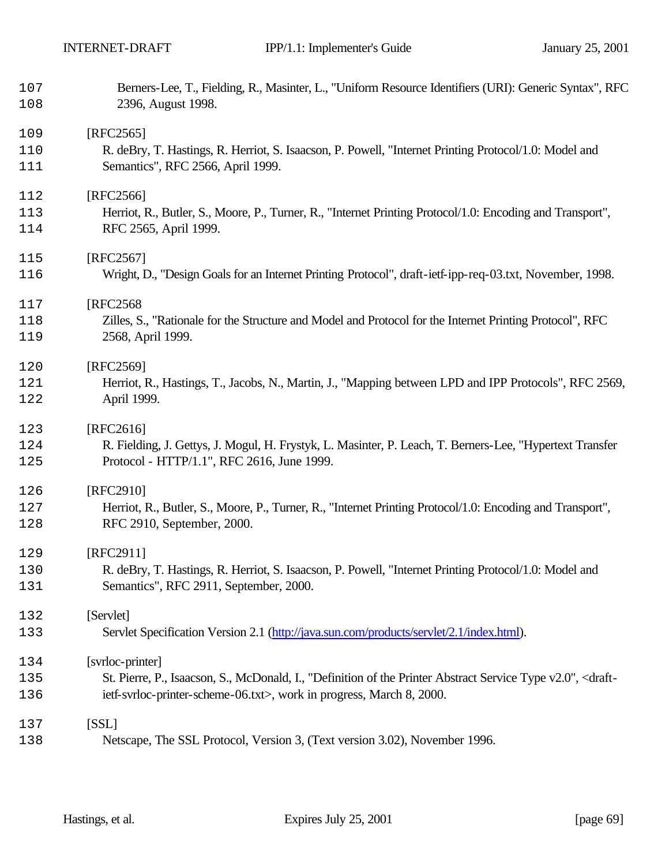| 107<br>108 | Berners-Lee, T., Fielding, R., Masinter, L., "Uniform Resource Identifiers (URI): Generic Syntax", RFC<br>2396, August 1998.  |
|------------|-------------------------------------------------------------------------------------------------------------------------------|
|            |                                                                                                                               |
| 109        | $[RFC2565]$                                                                                                                   |
| 110        | R. deBry, T. Hastings, R. Herriot, S. Isaacson, P. Powell, "Internet Printing Protocol/1.0: Model and                         |
| 111        | Semantics", RFC 2566, April 1999.                                                                                             |
| 112        | [RFC2566]                                                                                                                     |
| 113        | Herriot, R., Butler, S., Moore, P., Turner, R., "Internet Printing Protocol/1.0: Encoding and Transport",                     |
| 114        | RFC 2565, April 1999.                                                                                                         |
| 115        | [RFC2567]                                                                                                                     |
| 116        | Wright, D., "Design Goals for an Internet Printing Protocol", draft-ietf-ipp-req-03.txt, November, 1998.                      |
|            |                                                                                                                               |
| 117        | [RFC2568]                                                                                                                     |
| 118        | Zilles, S., "Rationale for the Structure and Model and Protocol for the Internet Printing Protocol", RFC                      |
| 119        | 2568, April 1999.                                                                                                             |
| 120        | [RFC2569]                                                                                                                     |
| 121        | Herriot, R., Hastings, T., Jacobs, N., Martin, J., "Mapping between LPD and IPP Protocols", RFC 2569,                         |
| 122        | April 1999.                                                                                                                   |
| 123        | [RFC2616]                                                                                                                     |
| 124        | R. Fielding, J. Gettys, J. Mogul, H. Frystyk, L. Masinter, P. Leach, T. Berners-Lee, "Hypertext Transfer                      |
| 125        | Protocol - HTTP/1.1", RFC 2616, June 1999.                                                                                    |
|            |                                                                                                                               |
| 126        | [RFC2910]                                                                                                                     |
| 127        | Herriot, R., Butler, S., Moore, P., Turner, R., "Internet Printing Protocol/1.0: Encoding and Transport",                     |
| 128        | RFC 2910, September, 2000.                                                                                                    |
| 129        | [RFC2911]                                                                                                                     |
| 130        | R. deBry, T. Hastings, R. Herriot, S. Isaacson, P. Powell, "Internet Printing Protocol/1.0: Model and                         |
| 131        | Semantics", RFC 2911, September, 2000.                                                                                        |
| 132        | [Servlet]                                                                                                                     |
| 133        | Servlet Specification Version 2.1 (http://java.sun.com/products/servlet/2.1/index.html).                                      |
|            |                                                                                                                               |
| 134        | [svrloc-printer]                                                                                                              |
| 135        | St. Pierre, P., Isaacson, S., McDonald, I., "Definition of the Printer Abstract Service Type v2.0", <draft-< td=""></draft-<> |
| 136        | ietf-svrloc-printer-scheme-06.txt>, work in progress, March 8, 2000.                                                          |
| 137        | [SSL]                                                                                                                         |
| 138        | Netscape, The SSL Protocol, Version 3, (Text version 3.02), November 1996.                                                    |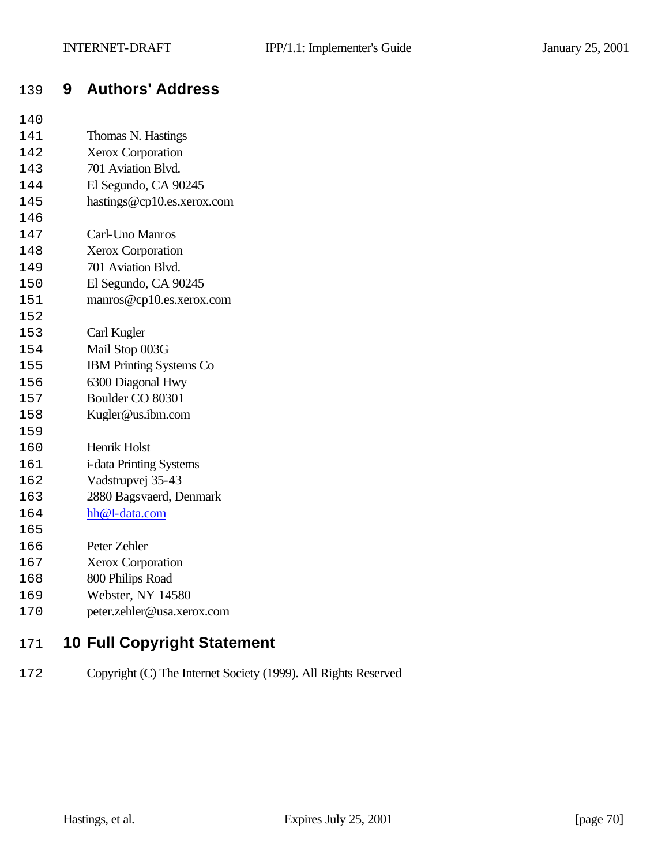# **9 Authors' Address**

- Thomas N. Hastings
- Xerox Corporation
- 701 Aviation Blvd.
- El Segundo, CA 90245
- hastings@cp10.es.xerox.com
- Carl-Uno Manros
- Xerox Corporation
- 701 Aviation Blvd.
- El Segundo, CA 90245
- manros@cp10.es.xerox.com
- Carl Kugler
- Mail Stop 003G
- IBM Printing Systems Co
- 6300 Diagonal Hwy
- Boulder CO 80301
- Kugler@us.ibm.com
- Henrik Holst
- i-data Printing Systems
- Vadstrupvej 35-43
- 2880 Bagsvaerd, Denmark
- hh@I-data.com
- 
- Peter Zehler
- Xerox Corporation
- 800 Philips Road
- Webster, NY 14580
- peter.zehler@usa.xerox.com

# **10 Full Copyright Statement**

Copyright (C) The Internet Society (1999). All Rights Reserved